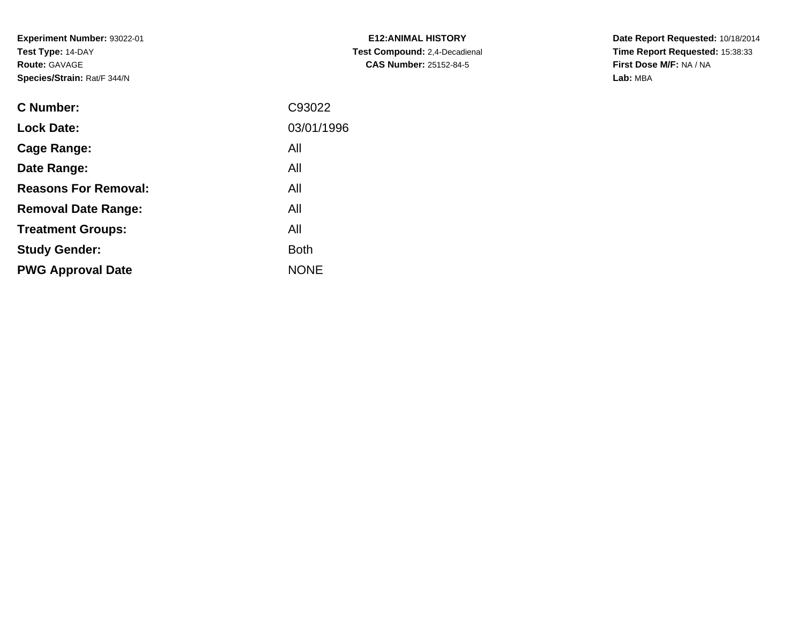**Experiment Number:** 93022-01**Test Type:** 14-DAY**Route:** GAVAGE**Species/Strain:** Rat/F 344/N

| <b>C Number:</b>            | C93022      |
|-----------------------------|-------------|
| <b>Lock Date:</b>           | 03/01/1996  |
| <b>Cage Range:</b>          | All         |
| Date Range:                 | All         |
| <b>Reasons For Removal:</b> | All         |
| <b>Removal Date Range:</b>  | All         |
| <b>Treatment Groups:</b>    | All         |
| <b>Study Gender:</b>        | <b>Both</b> |
| <b>PWG Approval Date</b>    | <b>NONE</b> |
|                             |             |

**E12:ANIMAL HISTORY Test Compound:** 2,4-Decadienal **CAS Number:** 25152-84-5

**Date Report Requested:** 10/18/2014 **Time Report Requested:** 15:38:33**First Dose M/F:** NA / NA**Lab:** MBA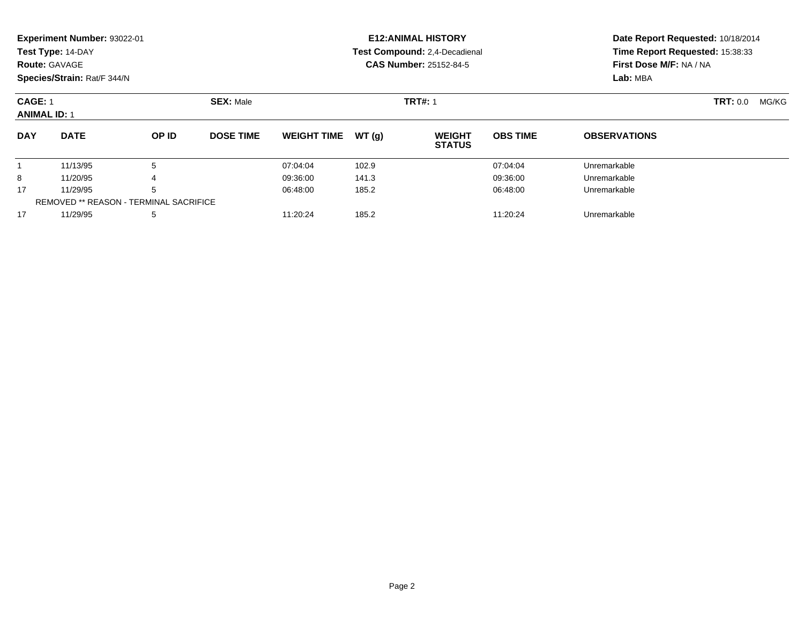|                                       | Experiment Number: 93022-01                   |       |                  |                    |                | <b>E12: ANIMAL HISTORY</b>     |                          | Date Report Requested: 10/18/2014<br>Time Report Requested: 15:38:33<br>First Dose M/F: NA / NA<br>Lab: MBA |  |  |
|---------------------------------------|-----------------------------------------------|-------|------------------|--------------------|----------------|--------------------------------|--------------------------|-------------------------------------------------------------------------------------------------------------|--|--|
|                                       | Test Type: 14-DAY                             |       |                  |                    |                | Test Compound: 2,4-Decadienal  |                          |                                                                                                             |  |  |
|                                       | <b>Route: GAVAGE</b>                          |       |                  |                    |                | <b>CAS Number: 25152-84-5</b>  |                          |                                                                                                             |  |  |
|                                       | Species/Strain: Rat/F 344/N                   |       |                  |                    |                |                                |                          |                                                                                                             |  |  |
| <b>CAGE: 1</b><br><b>ANIMAL ID: 1</b> |                                               |       | <b>SEX: Male</b> |                    | <b>TRT#: 1</b> |                                | <b>TRT:</b> 0.0<br>MG/KG |                                                                                                             |  |  |
| <b>DAY</b>                            | <b>DATE</b>                                   | OP ID | <b>DOSE TIME</b> | <b>WEIGHT TIME</b> | WT(q)          | <b>WEIGHT</b><br><b>STATUS</b> | <b>OBS TIME</b>          | <b>OBSERVATIONS</b>                                                                                         |  |  |
|                                       | 11/13/95                                      | 5     |                  | 07:04:04           | 102.9          |                                | 07:04:04                 | Unremarkable                                                                                                |  |  |
| 8                                     | 11/20/95                                      |       |                  | 09:36:00           | 141.3          |                                | 09:36:00                 | Unremarkable                                                                                                |  |  |
| 17                                    | 11/29/95                                      | 5     |                  | 06:48:00           | 185.2          |                                | 06:48:00                 | Unremarkable                                                                                                |  |  |
|                                       | <b>REMOVED ** REASON - TERMINAL SACRIFICE</b> |       |                  |                    |                |                                |                          |                                                                                                             |  |  |

11/29/95 <sup>5</sup> 11:20:24 185.2 11:20:24 Unremarkable

17

Page 2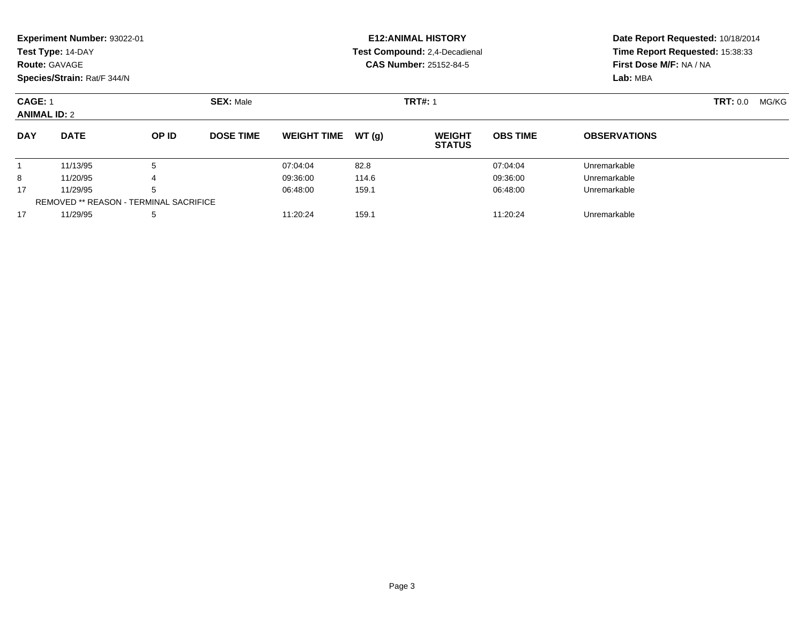|                                       | Experiment Number: 93022-01 |                                               |                  |                    |       | <b>E12: ANIMAL HISTORY</b>     |                 | Date Report Requested: 10/18/2014<br>Time Report Requested: 15:38:33<br>First Dose M/F: NA / NA<br>Lab: MBA |                   |  |
|---------------------------------------|-----------------------------|-----------------------------------------------|------------------|--------------------|-------|--------------------------------|-----------------|-------------------------------------------------------------------------------------------------------------|-------------------|--|
|                                       | Test Type: 14-DAY           |                                               |                  |                    |       | Test Compound: 2,4-Decadienal  |                 |                                                                                                             |                   |  |
|                                       | <b>Route: GAVAGE</b>        |                                               |                  |                    |       | <b>CAS Number: 25152-84-5</b>  |                 |                                                                                                             |                   |  |
|                                       | Species/Strain: Rat/F 344/N |                                               |                  |                    |       |                                |                 |                                                                                                             |                   |  |
| <b>CAGE: 1</b><br><b>ANIMAL ID: 2</b> |                             |                                               | <b>SEX: Male</b> |                    |       | <b>TRT#: 1</b>                 |                 |                                                                                                             | TRT: 0.0<br>MG/KG |  |
| <b>DAY</b>                            | <b>DATE</b>                 | OP ID                                         | <b>DOSE TIME</b> | <b>WEIGHT TIME</b> | WT(q) | <b>WEIGHT</b><br><b>STATUS</b> | <b>OBS TIME</b> | <b>OBSERVATIONS</b>                                                                                         |                   |  |
|                                       | 11/13/95                    | 5                                             |                  | 07:04:04           | 82.8  |                                | 07:04:04        | Unremarkable                                                                                                |                   |  |
| 8                                     | 11/20/95                    |                                               |                  | 09:36:00           | 114.6 |                                | 09:36:00        | Unremarkable                                                                                                |                   |  |
| 17                                    | 11/29/95                    | 5                                             |                  | 06:48:00           | 159.1 |                                | 06:48:00        | Unremarkable                                                                                                |                   |  |
|                                       |                             | <b>REMOVED ** REASON - TERMINAL SACRIFICE</b> |                  |                    |       |                                |                 |                                                                                                             |                   |  |

7 11/29/95 5 5 11:20:24 159.1 159.1 11:20:24 159.1 11:20:24 Unremarkable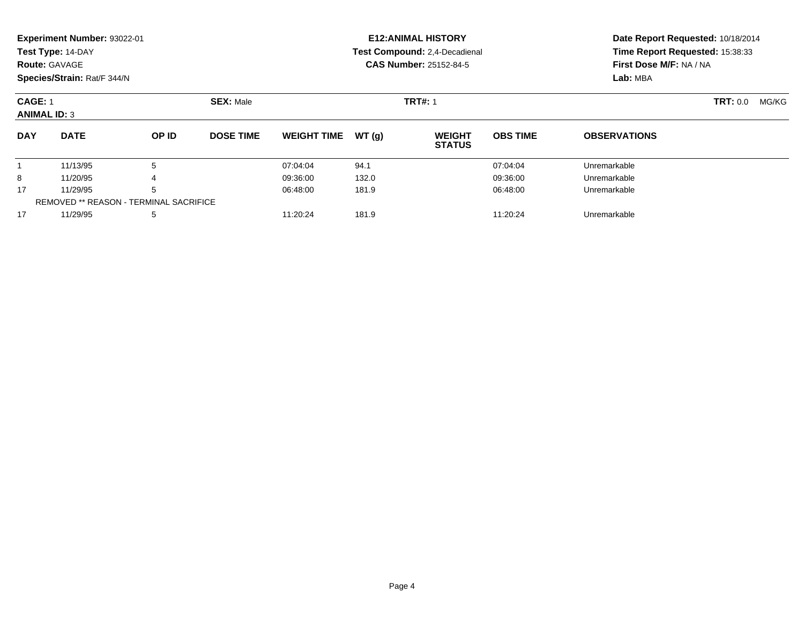|                                       | Experiment Number: 93022-01                   |       |                  |                    |                | <b>E12: ANIMAL HISTORY</b>     |                 | Date Report Requested: 10/18/2014<br>Time Report Requested: 15:38:33<br>First Dose M/F: NA / NA<br>Lab: MBA |  |  |
|---------------------------------------|-----------------------------------------------|-------|------------------|--------------------|----------------|--------------------------------|-----------------|-------------------------------------------------------------------------------------------------------------|--|--|
|                                       | Test Type: 14-DAY                             |       |                  |                    |                | Test Compound: 2,4-Decadienal  |                 |                                                                                                             |  |  |
|                                       | <b>Route: GAVAGE</b>                          |       |                  |                    |                | <b>CAS Number: 25152-84-5</b>  |                 |                                                                                                             |  |  |
|                                       | Species/Strain: Rat/F 344/N                   |       |                  |                    |                |                                |                 |                                                                                                             |  |  |
| <b>CAGE: 1</b><br><b>ANIMAL ID: 3</b> |                                               |       | <b>SEX: Male</b> |                    | <b>TRT#: 1</b> |                                | <b>TRT:</b> 0.0 | MG/KG                                                                                                       |  |  |
| <b>DAY</b>                            | <b>DATE</b>                                   | OP ID | <b>DOSE TIME</b> | <b>WEIGHT TIME</b> | WT(q)          | <b>WEIGHT</b><br><b>STATUS</b> | <b>OBS TIME</b> | <b>OBSERVATIONS</b>                                                                                         |  |  |
|                                       | 11/13/95                                      | 5     |                  | 07:04:04           | 94.1           |                                | 07:04:04        | Unremarkable                                                                                                |  |  |
| 8                                     | 11/20/95                                      |       |                  | 09:36:00           | 132.0          |                                | 09:36:00        | Unremarkable                                                                                                |  |  |
| 17                                    | 11/29/95                                      | 5     |                  | 06:48:00           | 181.9          |                                | 06:48:00        | Unremarkable                                                                                                |  |  |
|                                       | <b>REMOVED ** REASON - TERMINAL SACRIFICE</b> |       |                  |                    |                |                                |                 |                                                                                                             |  |  |

11/29/95 <sup>5</sup> 11:20:24 181.9 11:20:24 Unremarkable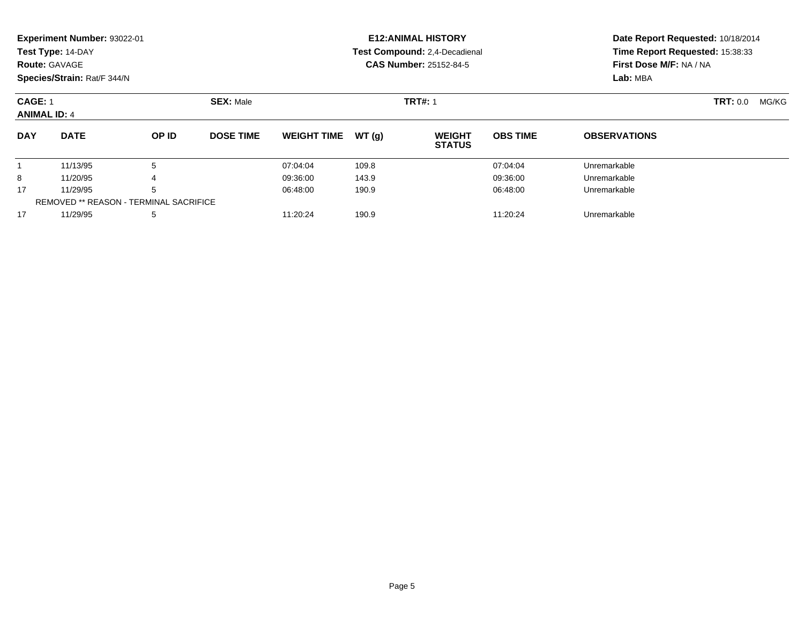|                                                                      | <b>Experiment Number: 93022-01</b><br>Test Type: 14-DAY<br><b>Route: GAVAGE</b><br>Species/Strain: Rat/F 344/N |       |                  |                    |        | <b>E12: ANIMAL HISTORY</b><br>Test Compound: 2,4-Decadienal<br><b>CAS Number: 25152-84-5</b> | Date Report Requested: 10/18/2014<br>Time Report Requested: 15:38:33<br>First Dose M/F: NA / NA<br>Lab: MBA |                     |  |  |
|----------------------------------------------------------------------|----------------------------------------------------------------------------------------------------------------|-------|------------------|--------------------|--------|----------------------------------------------------------------------------------------------|-------------------------------------------------------------------------------------------------------------|---------------------|--|--|
| <b>CAGE: 1</b><br><b>SEX: Male</b><br><b>ANIMAL ID: 4</b>            |                                                                                                                |       |                  |                    |        | <b>TRT#: 1</b>                                                                               | <b>TRT: 0.0</b>                                                                                             |                     |  |  |
| <b>DAY</b>                                                           | <b>DATE</b>                                                                                                    | OP ID | <b>DOSE TIME</b> | <b>WEIGHT TIME</b> | WT (q) | <b>WEIGHT</b><br><b>STATUS</b>                                                               | <b>OBS TIME</b>                                                                                             | <b>OBSERVATIONS</b> |  |  |
|                                                                      | 11/13/95                                                                                                       | 5     |                  | 07:04:04           | 109.8  |                                                                                              | 07:04:04                                                                                                    | Unremarkable        |  |  |
| 8                                                                    | 11/20/95                                                                                                       |       |                  | 09:36:00           | 143.9  |                                                                                              | 09:36:00                                                                                                    | Unremarkable        |  |  |
| 5<br>17<br>11/29/95<br><b>REMOVED ** REASON - TERMINAL SACRIFICE</b> |                                                                                                                |       | 06:48:00         | 190.9              |        | 06:48:00                                                                                     | Unremarkable                                                                                                |                     |  |  |

11/29/95 <sup>5</sup> 11:20:24 190.9 11:20:24 Unremarkable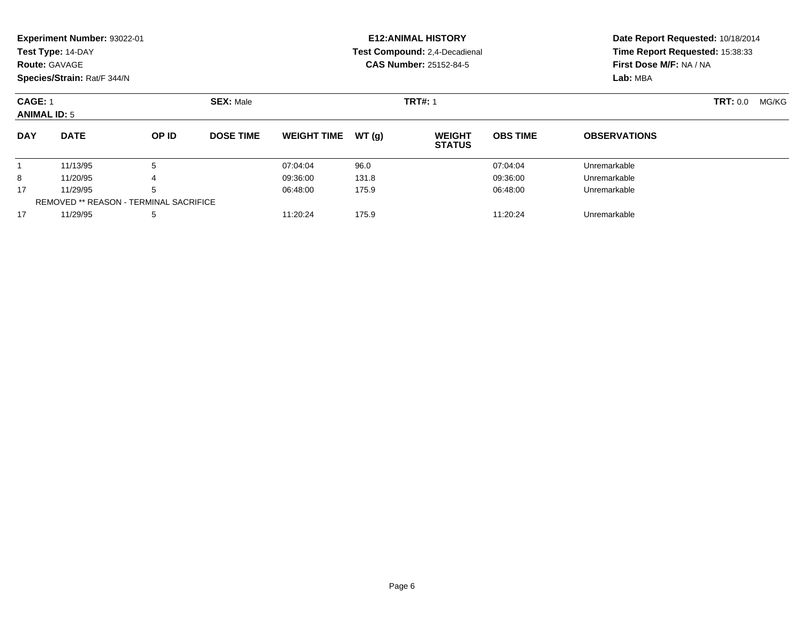|            | Experiment Number: 93022-01                               |                                               |                  |                    |       | <b>E12: ANIMAL HISTORY</b>     |                 | Date Report Requested: 10/18/2014<br>Time Report Requested: 15:38:33<br>First Dose M/F: NA / NA<br>Lab: MBA |  |  |
|------------|-----------------------------------------------------------|-----------------------------------------------|------------------|--------------------|-------|--------------------------------|-----------------|-------------------------------------------------------------------------------------------------------------|--|--|
|            | Test Type: 14-DAY                                         |                                               |                  |                    |       | Test Compound: 2,4-Decadienal  |                 |                                                                                                             |  |  |
|            | <b>Route: GAVAGE</b>                                      |                                               |                  |                    |       | <b>CAS Number: 25152-84-5</b>  |                 |                                                                                                             |  |  |
|            | Species/Strain: Rat/F 344/N                               |                                               |                  |                    |       |                                |                 |                                                                                                             |  |  |
|            | <b>SEX: Male</b><br><b>CAGE: 1</b><br><b>ANIMAL ID: 5</b> |                                               |                  |                    |       | <b>TRT#: 1</b>                 |                 | TRT: 0.0<br>MG/KG                                                                                           |  |  |
| <b>DAY</b> | <b>DATE</b>                                               | OP ID                                         | <b>DOSE TIME</b> | <b>WEIGHT TIME</b> | WT(q) | <b>WEIGHT</b><br><b>STATUS</b> | <b>OBS TIME</b> | <b>OBSERVATIONS</b>                                                                                         |  |  |
|            | 11/13/95                                                  | 5                                             |                  | 07:04:04           | 96.0  |                                | 07:04:04        | Unremarkable                                                                                                |  |  |
| 8          | 11/20/95                                                  |                                               |                  | 09:36:00           | 131.8 |                                | 09:36:00        | Unremarkable                                                                                                |  |  |
| 17         | 11/29/95                                                  | 5                                             |                  | 06:48:00           | 175.9 |                                | 06:48:00        | Unremarkable                                                                                                |  |  |
|            |                                                           | <b>REMOVED ** REASON - TERMINAL SACRIFICE</b> |                  |                    |       |                                |                 |                                                                                                             |  |  |

11/29/95 <sup>5</sup> 11:20:24 175.9 11:20:24 Unremarkable

17

Page 6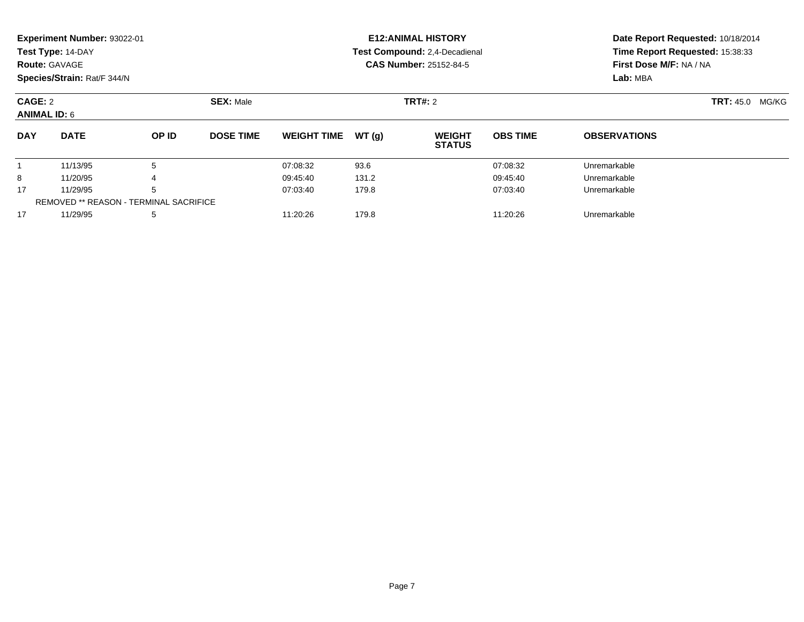|            | Experiment Number: 93022-01<br>Test Type: 14-DAY<br><b>Route: GAVAGE</b><br>Species/Strain: Rat/F 344/N |       |                  |                    |       | <b>E12: ANIMAL HISTORY</b><br>Test Compound: 2,4-Decadienal<br><b>CAS Number: 25152-84-5</b> | Date Report Requested: 10/18/2014<br>Time Report Requested: 15:38:33<br>First Dose M/F: NA / NA<br>Lab: MBA |                     |  |
|------------|---------------------------------------------------------------------------------------------------------|-------|------------------|--------------------|-------|----------------------------------------------------------------------------------------------|-------------------------------------------------------------------------------------------------------------|---------------------|--|
|            | <b>CAGE: 2</b><br><b>SEX: Male</b><br><b>ANIMAL ID: 6</b>                                               |       |                  |                    |       | <b>TRT#: 2</b>                                                                               | <b>TRT:</b> 45.0<br>MG/KG                                                                                   |                     |  |
| <b>DAY</b> | <b>DATE</b>                                                                                             | OP ID | <b>DOSE TIME</b> | <b>WEIGHT TIME</b> | WT(g) | <b>WEIGHT</b><br><b>STATUS</b>                                                               | <b>OBS TIME</b>                                                                                             | <b>OBSERVATIONS</b> |  |
|            | 11/13/95                                                                                                | 5     |                  | 07:08:32           | 93.6  |                                                                                              | 07:08:32                                                                                                    | Unremarkable        |  |
| 8          | 11/20/95                                                                                                |       |                  | 09:45:40           | 131.2 |                                                                                              | 09:45:40                                                                                                    | Unremarkable        |  |
| 17         | 11/29/95                                                                                                | 5     |                  | 07:03:40           | 179.8 |                                                                                              | 07:03:40                                                                                                    | Unremarkable        |  |
|            | <b>REMOVED ** REASON - TERMINAL SACRIFICE</b>                                                           |       |                  |                    |       |                                                                                              |                                                                                                             |                     |  |
| 17         | 11/29/95                                                                                                | 5     |                  | 11:20:26           | 179.8 |                                                                                              | 11:20:26                                                                                                    | Unremarkable        |  |

11/29/95 <sup>5</sup> 11:20:26 179.8 11:20:26 Unremarkable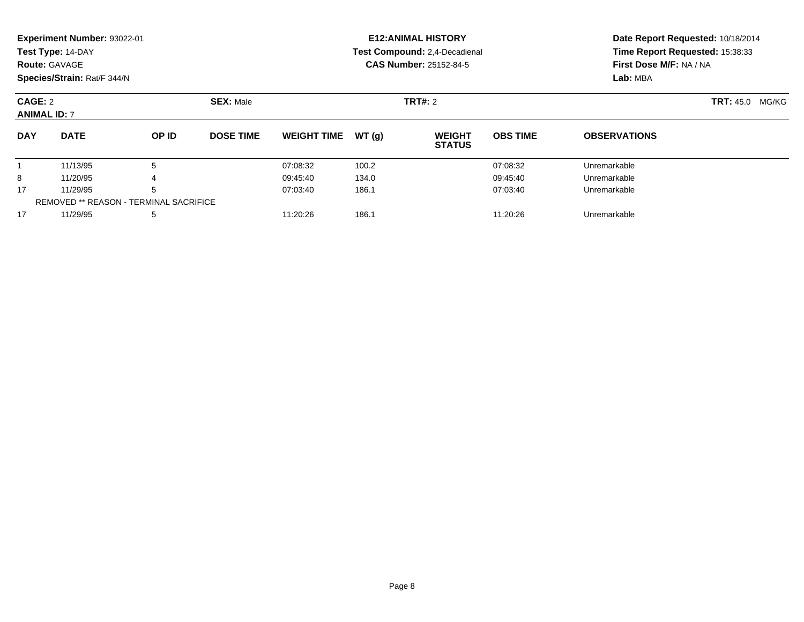|                                | Experiment Number: 93022-01<br>Test Type: 14-DAY |       |                  |                    |        | <b>E12: ANIMAL HISTORY</b><br>Test Compound: 2,4-Decadienal | Date Report Requested: 10/18/2014<br>Time Report Requested: 15:38:33 |                                     |  |  |
|--------------------------------|--------------------------------------------------|-------|------------------|--------------------|--------|-------------------------------------------------------------|----------------------------------------------------------------------|-------------------------------------|--|--|
|                                | <b>Route: GAVAGE</b>                             |       |                  |                    |        | <b>CAS Number: 25152-84-5</b>                               |                                                                      | First Dose M/F: NA / NA<br>Lab: MBA |  |  |
|                                | Species/Strain: Rat/F 344/N                      |       |                  |                    |        |                                                             |                                                                      |                                     |  |  |
| CAGE: 2<br><b>ANIMAL ID: 7</b> |                                                  |       | <b>SEX: Male</b> |                    |        | <b>TRT#: 2</b>                                              |                                                                      | <b>TRT: 45.0</b><br>MG/KG           |  |  |
| <b>DAY</b>                     | <b>DATE</b>                                      | OP ID | <b>DOSE TIME</b> | <b>WEIGHT TIME</b> | WT (q) | <b>WEIGHT</b><br><b>STATUS</b>                              | <b>OBS TIME</b>                                                      | <b>OBSERVATIONS</b>                 |  |  |
|                                | 11/13/95                                         | 5     |                  | 07:08:32           | 100.2  |                                                             | 07:08:32                                                             | Unremarkable                        |  |  |
| 8                              | 11/20/95                                         | 4     |                  | 09:45:40           | 134.0  |                                                             | 09:45:40                                                             | Unremarkable                        |  |  |
| 17                             | 11/29/95                                         | 5     |                  | 07:03:40           | 186.1  |                                                             | 07:03:40                                                             | Unremarkable                        |  |  |
|                                | REMOVED ** REASON - TERMINAL SACRIFICE           |       |                  |                    |        |                                                             |                                                                      |                                     |  |  |

7 11/29/95 5 5 11:20:26 186.1 11:20.26 198.1 11:20:26 198.1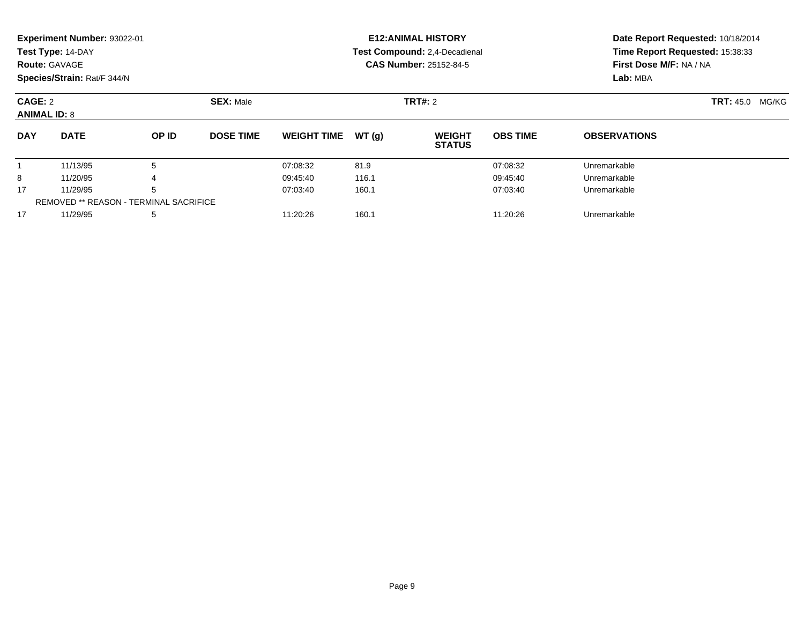|                                | Experiment Number: 93022-01                   |       |                  |                    |       | <b>E12: ANIMAL HISTORY</b>     |                 | Date Report Requested: 10/18/2014<br>Time Report Requested: 15:38:33<br>First Dose M/F: NA / NA<br>Lab: MBA |                        |  |
|--------------------------------|-----------------------------------------------|-------|------------------|--------------------|-------|--------------------------------|-----------------|-------------------------------------------------------------------------------------------------------------|------------------------|--|
|                                | Test Type: 14-DAY                             |       |                  |                    |       | Test Compound: 2,4-Decadienal  |                 |                                                                                                             |                        |  |
|                                | <b>Route: GAVAGE</b>                          |       |                  |                    |       | <b>CAS Number: 25152-84-5</b>  |                 |                                                                                                             |                        |  |
|                                | Species/Strain: Rat/F 344/N                   |       |                  |                    |       |                                |                 |                                                                                                             |                        |  |
| CAGE: 2<br><b>ANIMAL ID: 8</b> |                                               |       | <b>SEX: Male</b> |                    |       | <b>TRT#: 2</b>                 |                 |                                                                                                             | <b>TRT: 45.0 MG/KG</b> |  |
| <b>DAY</b>                     | <b>DATE</b>                                   | OP ID | <b>DOSE TIME</b> | <b>WEIGHT TIME</b> | WT(q) | <b>WEIGHT</b><br><b>STATUS</b> | <b>OBS TIME</b> | <b>OBSERVATIONS</b>                                                                                         |                        |  |
|                                | 11/13/95                                      | 5     |                  | 07:08:32           | 81.9  |                                | 07:08:32        | Unremarkable                                                                                                |                        |  |
| 8                              | 11/20/95                                      |       |                  | 09:45:40           | 116.1 |                                | 09:45:40        | Unremarkable                                                                                                |                        |  |
| 17                             | 11/29/95                                      | 5     |                  | 07:03:40           | 160.1 |                                | 07:03:40        | Unremarkable                                                                                                |                        |  |
|                                | <b>REMOVED ** REASON - TERMINAL SACRIFICE</b> |       |                  |                    |       |                                |                 |                                                                                                             |                        |  |

7 11/29/95 5 5 11:20:26 160.1 101 11:20:26 160.1 11:20:26 Unremarkable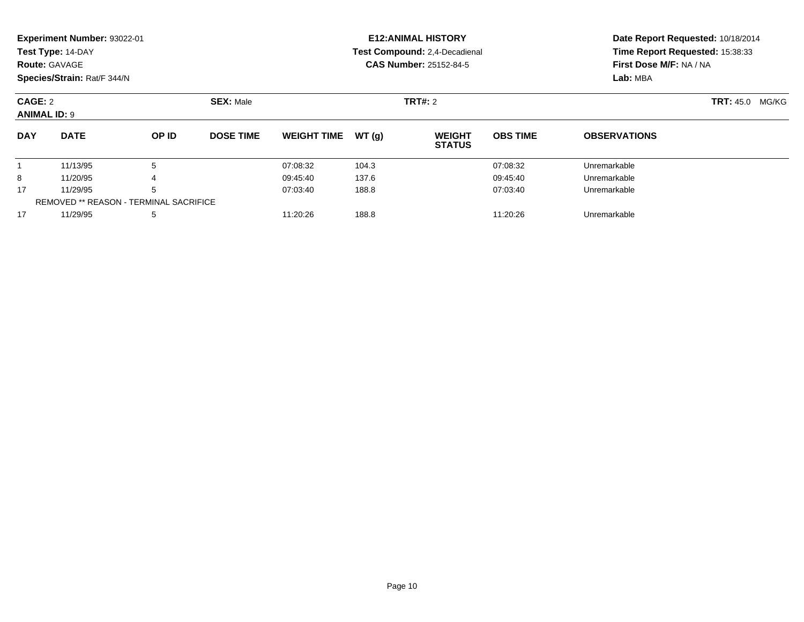|            | Experiment Number: 93022-01<br>Test Type: 14-DAY<br><b>Route: GAVAGE</b><br>Species/Strain: Rat/F 344/N |       |                  |                    |       | <b>E12: ANIMAL HISTORY</b><br>Test Compound: 2,4-Decadienal<br><b>CAS Number: 25152-84-5</b> | Date Report Requested: 10/18/2014<br>Time Report Requested: 15:38:33<br>First Dose M/F: NA / NA<br>Lab: MBA |                     |  |
|------------|---------------------------------------------------------------------------------------------------------|-------|------------------|--------------------|-------|----------------------------------------------------------------------------------------------|-------------------------------------------------------------------------------------------------------------|---------------------|--|
|            | CAGE: 2<br><b>SEX: Male</b><br><b>ANIMAL ID: 9</b>                                                      |       |                  |                    |       | <b>TRT#: 2</b>                                                                               | <b>TRT: 45.0</b><br>MG/KG                                                                                   |                     |  |
| <b>DAY</b> | <b>DATE</b>                                                                                             | OP ID | <b>DOSE TIME</b> | <b>WEIGHT TIME</b> | WT(g) | <b>WEIGHT</b><br><b>STATUS</b>                                                               | <b>OBS TIME</b>                                                                                             | <b>OBSERVATIONS</b> |  |
|            | 11/13/95                                                                                                | 5     |                  | 07:08:32           | 104.3 |                                                                                              | 07:08:32                                                                                                    | Unremarkable        |  |
| 8          | 11/20/95                                                                                                | 4     |                  | 09:45:40           | 137.6 |                                                                                              | 09:45:40                                                                                                    | Unremarkable        |  |
| 17         | 11/29/95                                                                                                | 5     |                  | 07:03:40           | 188.8 |                                                                                              | 07:03:40                                                                                                    | Unremarkable        |  |
|            | <b>REMOVED ** REASON - TERMINAL SACRIFICE</b>                                                           |       |                  |                    |       |                                                                                              |                                                                                                             |                     |  |
| 17         | 11/29/95                                                                                                | 5     |                  | 11:20:26           | 188.8 |                                                                                              | 11:20:26                                                                                                    | Unremarkable        |  |

11/29/95 <sup>5</sup> 11:20:26 188.8 11:20:26 Unremarkable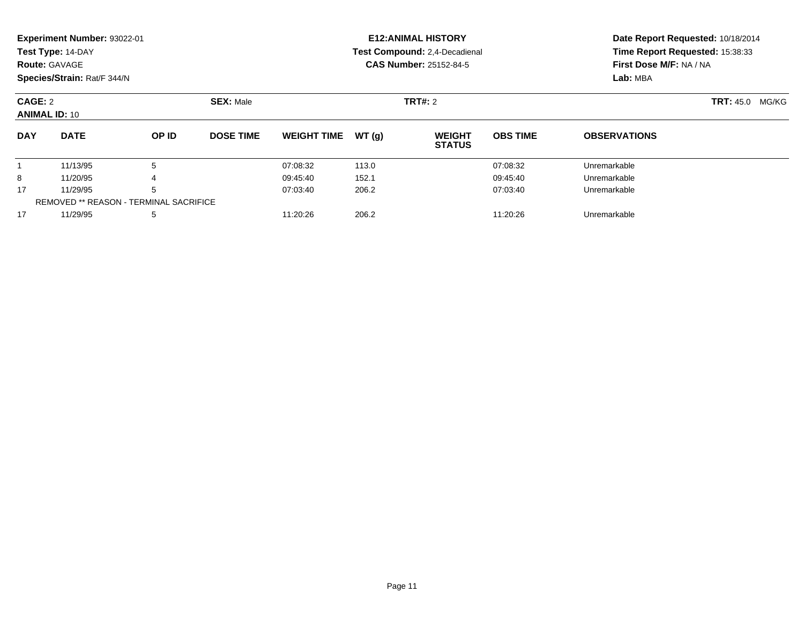|                                 | <b>Experiment Number: 93022-01</b>     |       |                  |                    |       | <b>E12:ANIMAL HISTORY</b>      |                 | Date Report Requested: 10/18/2014                          |  |  |  |
|---------------------------------|----------------------------------------|-------|------------------|--------------------|-------|--------------------------------|-----------------|------------------------------------------------------------|--|--|--|
|                                 | Test Type: 14-DAY                      |       |                  |                    |       | Test Compound: 2,4-Decadienal  |                 | Time Report Requested: 15:38:33<br>First Dose M/F: NA / NA |  |  |  |
|                                 | <b>Route: GAVAGE</b>                   |       |                  |                    |       | <b>CAS Number: 25152-84-5</b>  |                 |                                                            |  |  |  |
|                                 | Species/Strain: Rat/F 344/N            |       |                  |                    |       | Lab: MBA                       |                 |                                                            |  |  |  |
| CAGE: 2<br><b>ANIMAL ID: 10</b> |                                        |       | <b>SEX: Male</b> |                    |       | <b>TRT#: 2</b>                 |                 | <b>TRT:</b> 45.0<br>MG/KG                                  |  |  |  |
| <b>DAY</b>                      | <b>DATE</b>                            | OP ID | <b>DOSE TIME</b> | <b>WEIGHT TIME</b> | WT(q) | <b>WEIGHT</b><br><b>STATUS</b> | <b>OBS TIME</b> | <b>OBSERVATIONS</b>                                        |  |  |  |
|                                 | 11/13/95                               | 5     |                  | 07:08:32           | 113.0 |                                | 07:08:32        | Unremarkable                                               |  |  |  |
| 8                               | 11/20/95                               |       |                  | 09:45:40           | 152.1 |                                | 09:45:40        | Unremarkable                                               |  |  |  |
| 17                              | 11/29/95                               | 5     |                  | 07:03:40           | 206.2 |                                | 07:03:40        | Unremarkable                                               |  |  |  |
|                                 | REMOVED ** REASON - TERMINAL SACRIFICE |       |                  |                    |       |                                |                 |                                                            |  |  |  |
| 17                              | 11/29/95                               | 5     |                  | 11:20:26           | 206.2 |                                | 11:20:26        | Unremarkable                                               |  |  |  |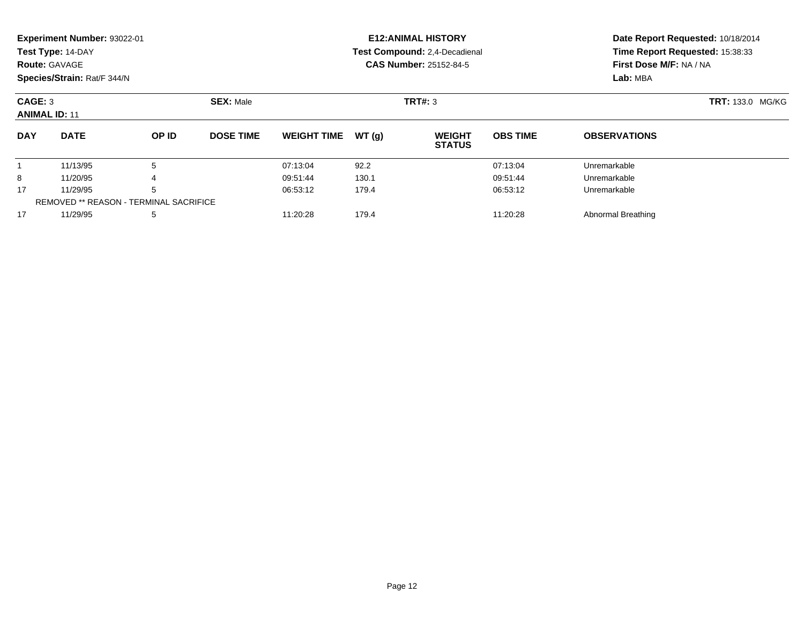|                                                     | Experiment Number: 93022-01<br>Test Type: 14-DAY<br><b>Route: GAVAGE</b><br>Species/Strain: Rat/F 344/N |       |                  |                    |                | <b>E12: ANIMAL HISTORY</b><br><b>Test Compound: 2.4-Decadienal</b><br><b>CAS Number: 25152-84-5</b> | Date Report Requested: 10/18/2014<br>Time Report Requested: 15:38:33<br>First Dose M/F: NA / NA<br>Lab: MBA |                     |  |
|-----------------------------------------------------|---------------------------------------------------------------------------------------------------------|-------|------------------|--------------------|----------------|-----------------------------------------------------------------------------------------------------|-------------------------------------------------------------------------------------------------------------|---------------------|--|
| CAGE: 3<br><b>SEX: Male</b><br><b>ANIMAL ID: 11</b> |                                                                                                         |       |                  |                    | <b>TRT#: 3</b> | <b>TRT: 133.0 MG/KG</b>                                                                             |                                                                                                             |                     |  |
| <b>DAY</b>                                          | <b>DATE</b>                                                                                             | OP ID | <b>DOSE TIME</b> | <b>WEIGHT TIME</b> | WT (q)         | <b>WEIGHT</b><br><b>STATUS</b>                                                                      | <b>OBS TIME</b>                                                                                             | <b>OBSERVATIONS</b> |  |
|                                                     | 11/13/95                                                                                                | 5     |                  | 07:13:04           | 92.2           |                                                                                                     | 07:13:04                                                                                                    | Unremarkable        |  |
| 8                                                   | 11/20/95                                                                                                | 4     |                  | 09:51:44           | 130.1          |                                                                                                     | 09:51:44                                                                                                    | Unremarkable        |  |
| 17                                                  | 11/29/95                                                                                                | 5     |                  | 06:53:12           | 179.4          |                                                                                                     | 06:53:12                                                                                                    | Unremarkable        |  |
|                                                     | <b>REMOVED ** REASON - TERMINAL SACRIFICE</b>                                                           |       |                  |                    |                |                                                                                                     |                                                                                                             |                     |  |

7 11/29/95 5 5 11:20:28 179.4 1999 179.4 11:20:28 179.4 11:20:28 Abnormal Breathing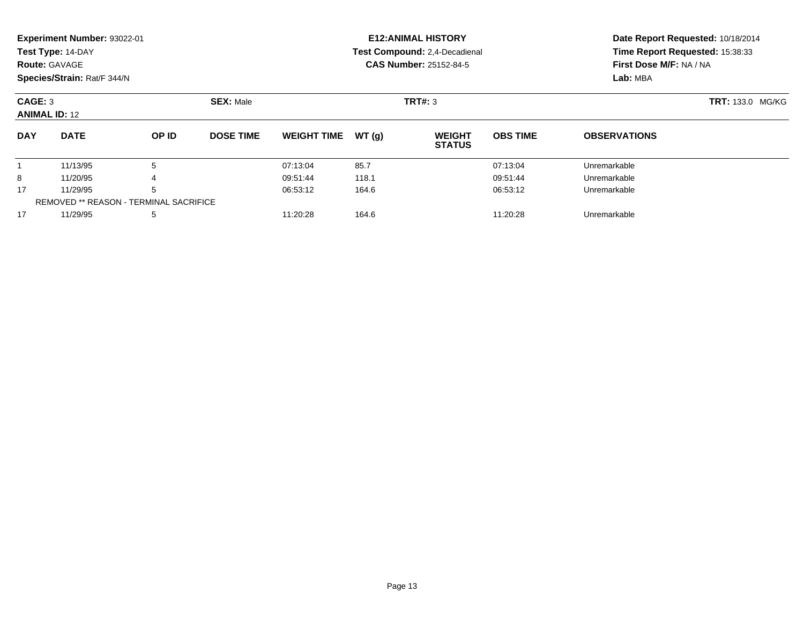|                                               | Experiment Number: 93022-01 |       |                               |                    |       | <b>E12: ANIMAL HISTORY</b>     | Date Report Requested: 10/18/2014 |                                                            |  |  |
|-----------------------------------------------|-----------------------------|-------|-------------------------------|--------------------|-------|--------------------------------|-----------------------------------|------------------------------------------------------------|--|--|
|                                               | Test Type: 14-DAY           |       |                               |                    |       | Test Compound: 2,4-Decadienal  |                                   | Time Report Requested: 15:38:33<br>First Dose M/F: NA / NA |  |  |
|                                               | <b>Route: GAVAGE</b>        |       |                               |                    |       | <b>CAS Number: 25152-84-5</b>  |                                   |                                                            |  |  |
|                                               | Species/Strain: Rat/F 344/N |       |                               |                    |       |                                |                                   | Lab: MBA                                                   |  |  |
| CAGE: 3                                       |                             |       | <b>SEX: Male</b>              |                    |       | TRT#: 3                        | <b>TRT: 133.0 MG/KG</b>           |                                                            |  |  |
|                                               | <b>ANIMAL ID: 12</b>        |       |                               |                    |       |                                |                                   |                                                            |  |  |
| <b>DAY</b>                                    | <b>DATE</b>                 | OP ID | <b>DOSE TIME</b>              | <b>WEIGHT TIME</b> | WT(g) | <b>WEIGHT</b><br><b>STATUS</b> | <b>OBS TIME</b>                   | <b>OBSERVATIONS</b>                                        |  |  |
|                                               | 11/13/95                    | 5     |                               | 07:13:04           | 85.7  |                                | 07:13:04                          | Unremarkable                                               |  |  |
| 8                                             | 11/20/95                    |       |                               | 09:51:44           | 118.1 |                                | 09:51:44                          | Unremarkable                                               |  |  |
| 17                                            | 11/29/95<br>5               |       | 06:53:12<br>164.6<br>06:53:12 |                    |       | Unremarkable                   |                                   |                                                            |  |  |
| <b>REMOVED ** REASON - TERMINAL SACRIFICE</b> |                             |       |                               |                    |       |                                |                                   |                                                            |  |  |

11/29/95 <sup>5</sup> 11:20:28 164.6 11:20:28 Unremarkable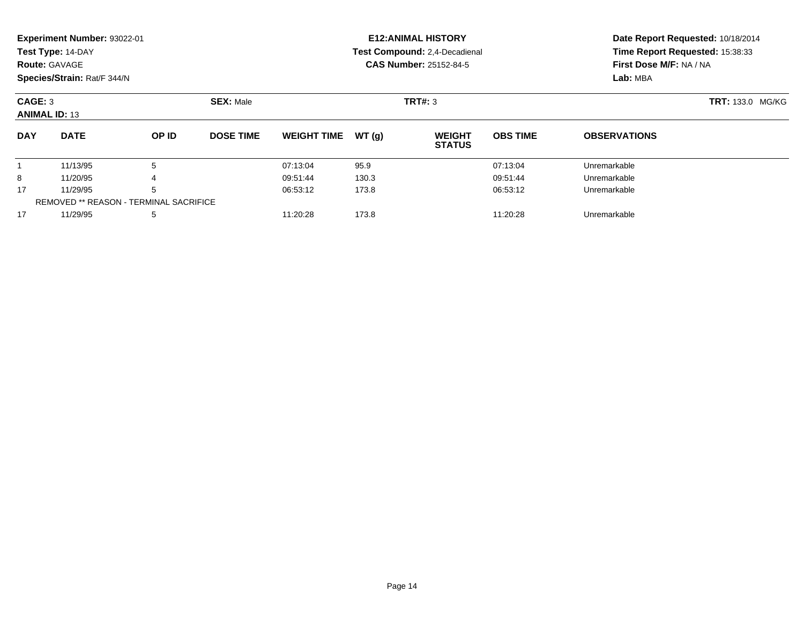|                                                     | Experiment Number: 93022-01 |       |                               |                    |       | <b>E12: ANIMAL HISTORY</b>    | Date Report Requested: 10/18/2014 |                                                                        |  |  |
|-----------------------------------------------------|-----------------------------|-------|-------------------------------|--------------------|-------|-------------------------------|-----------------------------------|------------------------------------------------------------------------|--|--|
|                                                     | Test Type: 14-DAY           |       |                               |                    |       | Test Compound: 2,4-Decadienal |                                   | Time Report Requested: 15:38:33<br>First Dose M/F: NA / NA<br>Lab: MBA |  |  |
|                                                     | <b>Route: GAVAGE</b>        |       |                               |                    |       | <b>CAS Number: 25152-84-5</b> |                                   |                                                                        |  |  |
|                                                     | Species/Strain: Rat/F 344/N |       |                               |                    |       |                               |                                   |                                                                        |  |  |
| <b>SEX: Male</b><br>CAGE: 3<br><b>ANIMAL ID: 13</b> |                             |       |                               |                    |       | TRT#: 3                       | <b>TRT: 133.0 MG/KG</b>           |                                                                        |  |  |
| <b>DAY</b>                                          | <b>DATE</b>                 | OP ID | <b>DOSE TIME</b>              | <b>WEIGHT TIME</b> | WT(g) | <b>WEIGHT</b>                 | <b>OBS TIME</b>                   | <b>OBSERVATIONS</b>                                                    |  |  |
|                                                     |                             |       |                               |                    |       | <b>STATUS</b>                 |                                   |                                                                        |  |  |
|                                                     | 11/13/95                    |       |                               | 07:13:04           | 95.9  |                               | 07:13:04                          | Unremarkable                                                           |  |  |
| 8                                                   | 11/20/95                    |       |                               | 09:51:44           | 130.3 |                               | 09:51:44                          | Unremarkable                                                           |  |  |
| 17                                                  | 11/29/95                    |       | 06:53:12<br>173.8<br>06:53:12 |                    |       | Unremarkable                  |                                   |                                                                        |  |  |
| <b>REMOVED ** REASON - TERMINAL SACRIFICE</b>       |                             |       |                               |                    |       |                               |                                   |                                                                        |  |  |

11/29/95 <sup>5</sup> 11:20:28 173.8 11:20:28 Unremarkable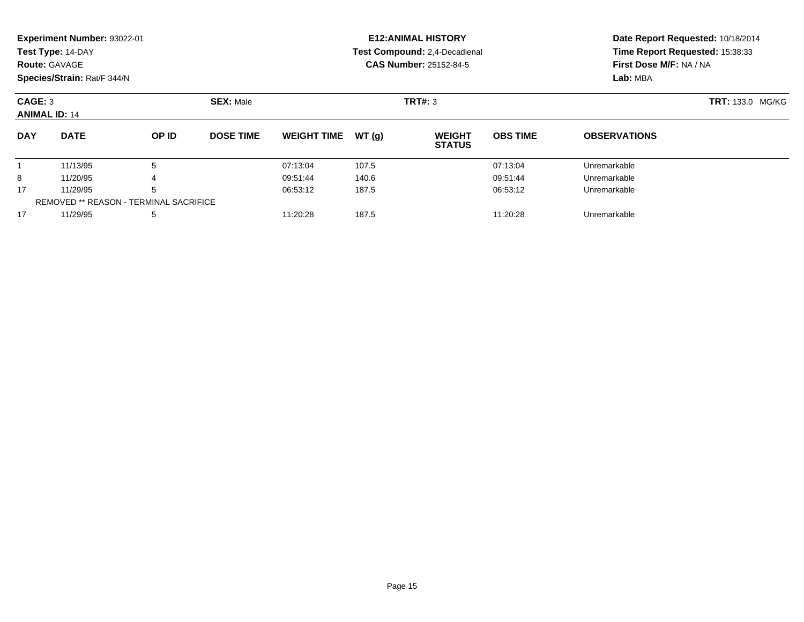|                                               | Experiment Number: 93022-01 |       |                               |                    |       | <b>E12: ANIMAL HISTORY</b>     |                 | Date Report Requested: 10/18/2014<br>Time Report Requested: 15:38:33<br>First Dose M/F: NA / NA<br>Lab: MBA |  |  |
|-----------------------------------------------|-----------------------------|-------|-------------------------------|--------------------|-------|--------------------------------|-----------------|-------------------------------------------------------------------------------------------------------------|--|--|
|                                               | Test Type: 14-DAY           |       |                               |                    |       | Test Compound: 2,4-Decadienal  |                 |                                                                                                             |  |  |
|                                               | <b>Route: GAVAGE</b>        |       |                               |                    |       | <b>CAS Number: 25152-84-5</b>  |                 |                                                                                                             |  |  |
|                                               | Species/Strain: Rat/F 344/N |       |                               |                    |       |                                |                 |                                                                                                             |  |  |
| CAGE: 3                                       |                             |       | <b>SEX: Male</b>              |                    |       | TRT#: 3                        |                 | <b>TRT: 133.0 MG/KG</b>                                                                                     |  |  |
|                                               | <b>ANIMAL ID: 14</b>        |       |                               |                    |       |                                |                 |                                                                                                             |  |  |
| <b>DAY</b>                                    | <b>DATE</b>                 | OP ID | <b>DOSE TIME</b>              | <b>WEIGHT TIME</b> | WT(q) | <b>WEIGHT</b><br><b>STATUS</b> | <b>OBS TIME</b> | <b>OBSERVATIONS</b>                                                                                         |  |  |
|                                               | 11/13/95                    | 5     |                               | 07:13:04           | 107.5 |                                | 07:13:04        | Unremarkable                                                                                                |  |  |
| 8                                             | 11/20/95                    |       |                               | 09:51:44           | 140.6 |                                | 09:51:44        | Unremarkable                                                                                                |  |  |
| 17                                            | 5<br>11/29/95               |       | 06:53:12<br>187.5<br>06:53:12 |                    |       | Unremarkable                   |                 |                                                                                                             |  |  |
| <b>REMOVED ** REASON - TERMINAL SACRIFICE</b> |                             |       |                               |                    |       |                                |                 |                                                                                                             |  |  |

11/29/95 <sup>5</sup> 11:20:28 187.5 11:20:28 Unremarkable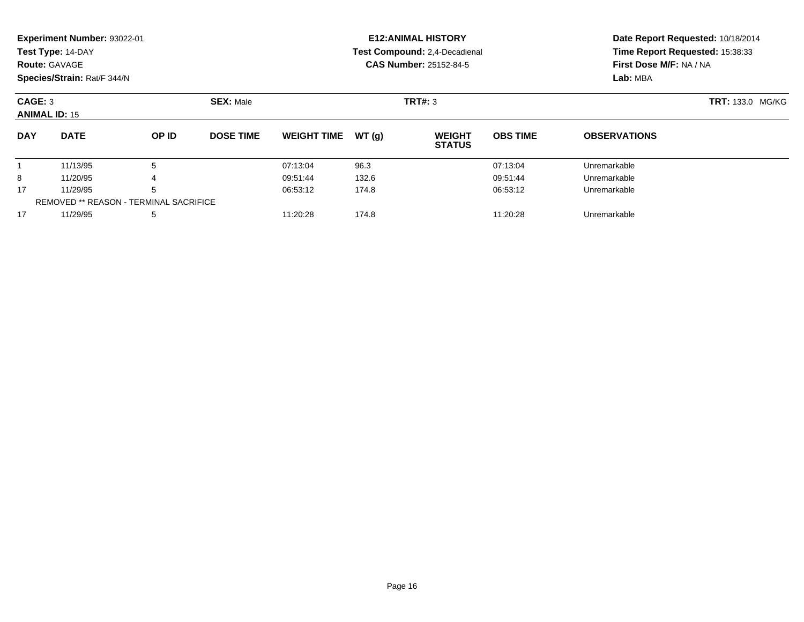|                                               | Experiment Number: 93022-01 |       |                  |                    |       | <b>E12: ANIMAL HISTORY</b>     | Date Report Requested: 10/18/2014 |                                                                        |  |  |
|-----------------------------------------------|-----------------------------|-------|------------------|--------------------|-------|--------------------------------|-----------------------------------|------------------------------------------------------------------------|--|--|
|                                               | Test Type: 14-DAY           |       |                  |                    |       | Test Compound: 2,4-Decadienal  |                                   | Time Report Requested: 15:38:33<br>First Dose M/F: NA / NA<br>Lab: MBA |  |  |
|                                               | <b>Route: GAVAGE</b>        |       |                  |                    |       | <b>CAS Number: 25152-84-5</b>  |                                   |                                                                        |  |  |
|                                               | Species/Strain: Rat/F 344/N |       |                  |                    |       |                                |                                   |                                                                        |  |  |
| CAGE: 3                                       |                             |       | <b>SEX: Male</b> |                    |       | TRT#: 3                        | <b>TRT: 133.0 MG/KG</b>           |                                                                        |  |  |
|                                               | <b>ANIMAL ID: 15</b>        |       |                  |                    |       |                                |                                   |                                                                        |  |  |
| <b>DAY</b>                                    | <b>DATE</b>                 | OP ID | <b>DOSE TIME</b> | <b>WEIGHT TIME</b> | WT(g) | <b>WEIGHT</b><br><b>STATUS</b> | <b>OBS TIME</b>                   | <b>OBSERVATIONS</b>                                                    |  |  |
|                                               | 11/13/95                    | 5     |                  | 07:13:04           | 96.3  |                                | 07:13:04                          | Unremarkable                                                           |  |  |
| 8                                             | 11/20/95                    |       |                  | 09:51:44           | 132.6 |                                | 09:51:44                          | Unremarkable                                                           |  |  |
| 17                                            | 11/29/95<br>.5              |       | 06:53:12         | 174.8              |       | 06:53:12                       | Unremarkable                      |                                                                        |  |  |
| <b>REMOVED ** REASON - TERMINAL SACRIFICE</b> |                             |       |                  |                    |       |                                |                                   |                                                                        |  |  |

11/29/95 <sup>5</sup> 11:20:28 174.8 11:20:28 Unremarkable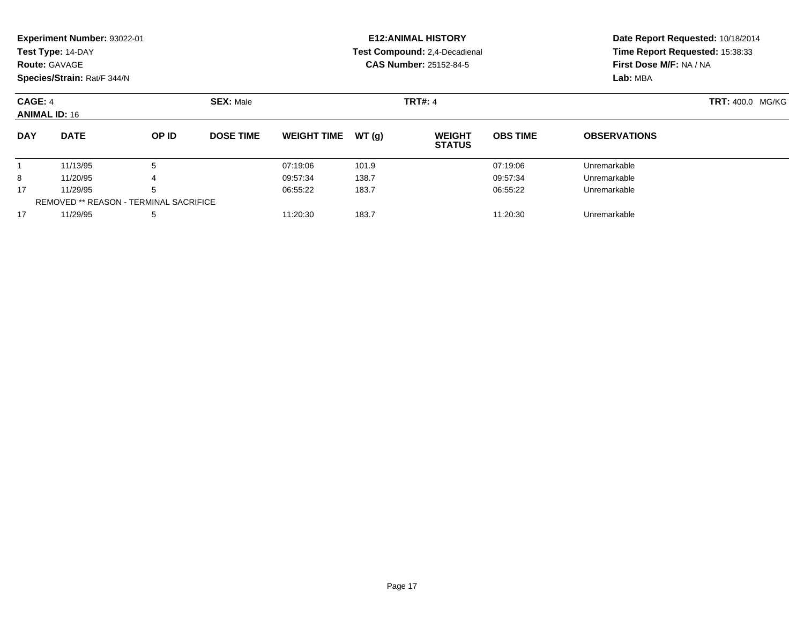|                                                     | Experiment Number: 93022-01                   |       |                  |                    |       | <b>E12: ANIMAL HISTORY</b>     | Date Report Requested: 10/18/2014 |                                                                        |  |  |
|-----------------------------------------------------|-----------------------------------------------|-------|------------------|--------------------|-------|--------------------------------|-----------------------------------|------------------------------------------------------------------------|--|--|
|                                                     | Test Type: 14-DAY                             |       |                  |                    |       | Test Compound: 2,4-Decadienal  |                                   | Time Report Requested: 15:38:33<br>First Dose M/F: NA / NA<br>Lab: MBA |  |  |
|                                                     | <b>Route: GAVAGE</b>                          |       |                  |                    |       | <b>CAS Number: 25152-84-5</b>  |                                   |                                                                        |  |  |
|                                                     | Species/Strain: Rat/F 344/N                   |       |                  |                    |       |                                |                                   |                                                                        |  |  |
| <b>SEX: Male</b><br>CAGE: 4<br><b>ANIMAL ID: 16</b> |                                               |       |                  |                    |       | <b>TRT#: 4</b>                 | <b>TRT: 400.0 MG/KG</b>           |                                                                        |  |  |
| <b>DAY</b>                                          | <b>DATE</b>                                   | OP ID | <b>DOSE TIME</b> | <b>WEIGHT TIME</b> | WT(q) | <b>WEIGHT</b><br><b>STATUS</b> | <b>OBS TIME</b>                   | <b>OBSERVATIONS</b>                                                    |  |  |
|                                                     | 11/13/95                                      | 5     |                  | 07:19:06           | 101.9 |                                | 07:19:06                          | Unremarkable                                                           |  |  |
| 8                                                   | 11/20/95                                      |       |                  | 09:57:34           | 138.7 |                                | 09:57:34                          | Unremarkable                                                           |  |  |
| 17                                                  | 11/29/95                                      | 5     |                  | 06:55:22           | 183.7 |                                | 06:55:22                          | Unremarkable                                                           |  |  |
|                                                     | <b>REMOVED ** REASON - TERMINAL SACRIFICE</b> |       |                  |                    |       |                                |                                   |                                                                        |  |  |

11/29/95 <sup>5</sup> 11:20:30 183.7 11:20:30 Unremarkable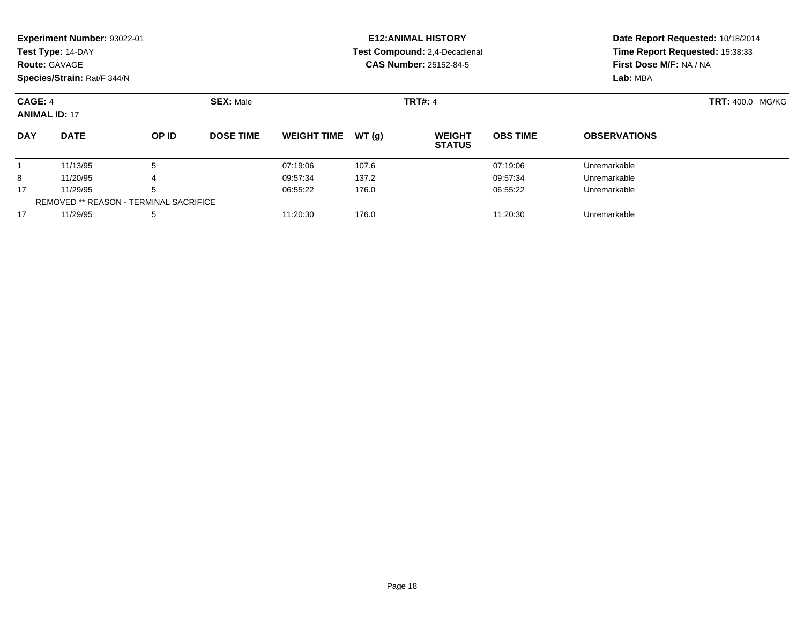|                                 | Experiment Number: 93022-01 |                                        |                  |                    |          | <b>E12: ANIMAL HISTORY</b>     | Date Report Requested: 10/18/2014 |                                                                        |  |  |
|---------------------------------|-----------------------------|----------------------------------------|------------------|--------------------|----------|--------------------------------|-----------------------------------|------------------------------------------------------------------------|--|--|
|                                 | Test Type: 14-DAY           |                                        |                  |                    |          | Test Compound: 2,4-Decadienal  |                                   | Time Report Requested: 15:38:33<br>First Dose M/F: NA / NA<br>Lab: MBA |  |  |
| <b>Route: GAVAGE</b>            |                             |                                        |                  |                    |          | <b>CAS Number: 25152-84-5</b>  |                                   |                                                                        |  |  |
|                                 | Species/Strain: Rat/F 344/N |                                        |                  |                    |          |                                |                                   |                                                                        |  |  |
| CAGE: 4<br><b>ANIMAL ID: 17</b> |                             |                                        | <b>SEX: Male</b> |                    |          | <b>TRT#: 4</b>                 |                                   | <b>TRT: 400.0 MG/KG</b>                                                |  |  |
| <b>DAY</b>                      | <b>DATE</b>                 | OP ID                                  | <b>DOSE TIME</b> | <b>WEIGHT TIME</b> | WT (q)   | <b>WEIGHT</b><br><b>STATUS</b> | <b>OBS TIME</b>                   | <b>OBSERVATIONS</b>                                                    |  |  |
|                                 | 11/13/95                    | 5                                      |                  | 07:19:06           | 107.6    |                                | 07:19:06                          | Unremarkable                                                           |  |  |
| 8                               | 11/20/95                    | 4                                      |                  | 09:57:34           | 137.2    |                                | 09:57:34                          | Unremarkable                                                           |  |  |
| 5<br>17<br>11/29/95             |                             | 06:55:22                               | 176.0            |                    | 06:55:22 | Unremarkable                   |                                   |                                                                        |  |  |
|                                 |                             | REMOVED ** REASON - TERMINAL SACRIFICE |                  |                    |          |                                |                                   |                                                                        |  |  |

11/29/95 <sup>5</sup> 11:20:30 176.0 11:20:30 Unremarkable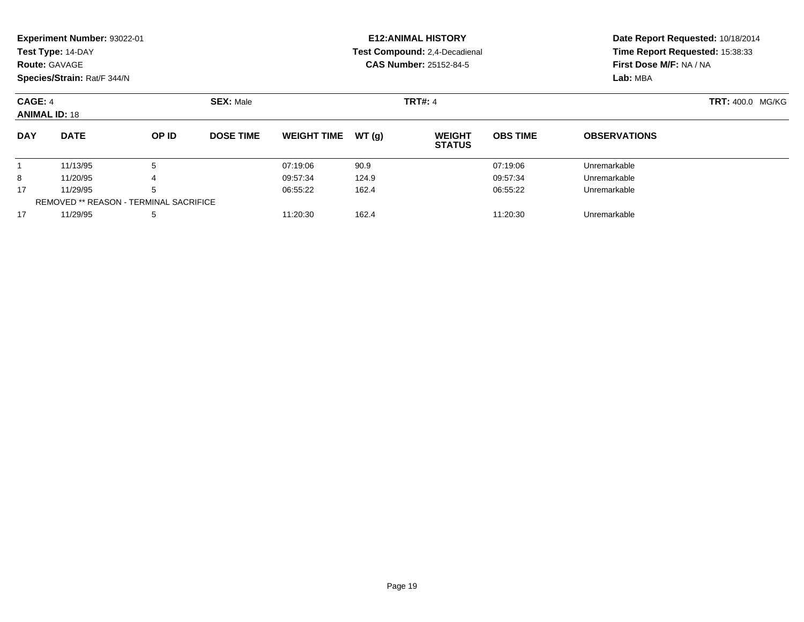|                                 | Experiment Number: 93022-01            |       |                  |                    |       | <b>E12: ANIMAL HISTORY</b>     | Date Report Requested: 10/18/2014<br>Time Report Requested: 15:38:33<br>First Dose M/F: NA / NA |                     |  |  |
|---------------------------------|----------------------------------------|-------|------------------|--------------------|-------|--------------------------------|-------------------------------------------------------------------------------------------------|---------------------|--|--|
|                                 | Test Type: 14-DAY                      |       |                  |                    |       | Test Compound: 2,4-Decadienal  |                                                                                                 |                     |  |  |
|                                 | <b>Route: GAVAGE</b>                   |       |                  |                    |       | CAS Number: 25152-84-5         |                                                                                                 |                     |  |  |
|                                 | Species/Strain: Rat/F 344/N            |       |                  |                    |       |                                |                                                                                                 | Lab: MBA            |  |  |
| CAGE: 4<br><b>ANIMAL ID: 18</b> |                                        |       | <b>SEX: Male</b> |                    |       | <b>TRT#: 4</b>                 | <b>TRT: 400.0 MG/KG</b>                                                                         |                     |  |  |
| <b>DAY</b>                      | <b>DATE</b>                            | OP ID | <b>DOSE TIME</b> | <b>WEIGHT TIME</b> | WT(g) | <b>WEIGHT</b><br><b>STATUS</b> | <b>OBS TIME</b>                                                                                 | <b>OBSERVATIONS</b> |  |  |
|                                 | 11/13/95                               | 5     |                  | 07:19:06           | 90.9  |                                | 07:19:06                                                                                        | Unremarkable        |  |  |
| 8                               | 11/20/95                               | 4     |                  | 09:57:34           | 124.9 |                                | 09:57:34                                                                                        | Unremarkable        |  |  |
| 17                              | 11/29/95                               | 5     |                  | 06:55:22           | 162.4 |                                | 06:55:22                                                                                        | Unremarkable        |  |  |
|                                 | REMOVED ** REASON - TERMINAL SACRIFICE |       |                  |                    |       |                                |                                                                                                 |                     |  |  |

11/29/95 <sup>5</sup> 11:20:30 162.4 11:20:30 Unremarkable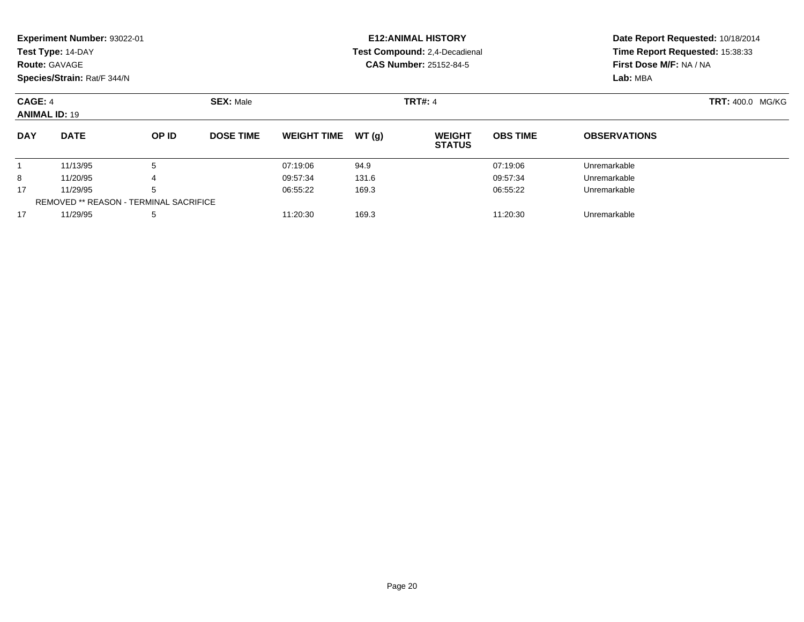|                                 | Experiment Number: 93022-01            |       |                  |                    |       | <b>E12: ANIMAL HISTORY</b>     | Date Report Requested: 10/18/2014<br>Time Report Requested: 15:38:33<br>First Dose M/F: NA / NA |                     |  |  |
|---------------------------------|----------------------------------------|-------|------------------|--------------------|-------|--------------------------------|-------------------------------------------------------------------------------------------------|---------------------|--|--|
|                                 | Test Type: 14-DAY                      |       |                  |                    |       | Test Compound: 2,4-Decadienal  |                                                                                                 |                     |  |  |
|                                 | <b>Route: GAVAGE</b>                   |       |                  |                    |       | CAS Number: 25152-84-5         |                                                                                                 |                     |  |  |
|                                 | Species/Strain: Rat/F 344/N            |       |                  |                    |       |                                |                                                                                                 | Lab: MBA            |  |  |
| CAGE: 4<br><b>ANIMAL ID: 19</b> |                                        |       | <b>SEX: Male</b> |                    |       | <b>TRT#: 4</b>                 | <b>TRT: 400.0 MG/KG</b>                                                                         |                     |  |  |
| <b>DAY</b>                      | <b>DATE</b>                            | OP ID | <b>DOSE TIME</b> | <b>WEIGHT TIME</b> | WT(g) | <b>WEIGHT</b><br><b>STATUS</b> | <b>OBS TIME</b>                                                                                 | <b>OBSERVATIONS</b> |  |  |
|                                 | 11/13/95                               | 5     |                  | 07:19:06           | 94.9  |                                | 07:19:06                                                                                        | Unremarkable        |  |  |
| 8                               | 11/20/95                               | 4     |                  | 09:57:34           | 131.6 |                                | 09:57:34                                                                                        | Unremarkable        |  |  |
| 17                              | 11/29/95                               | 5     |                  | 06:55:22           | 169.3 |                                | 06:55:22                                                                                        | Unremarkable        |  |  |
|                                 | REMOVED ** REASON - TERMINAL SACRIFICE |       |                  |                    |       |                                |                                                                                                 |                     |  |  |

11/29/95 <sup>5</sup> 11:20:30 169.3 11:20:30 Unremarkable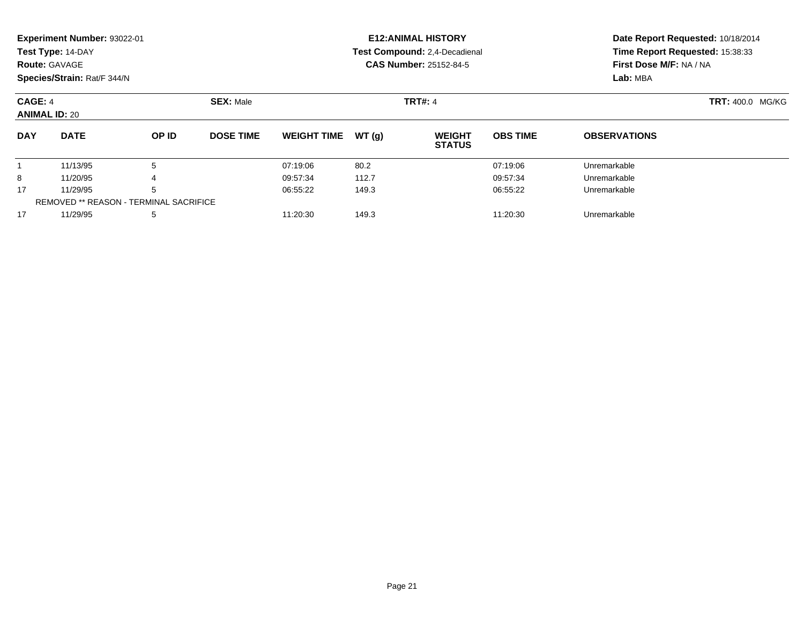|                                 | Experiment Number: 93022-01<br>Test Type: 14-DAY<br><b>Route: GAVAGE</b><br>Species/Strain: Rat/F 344/N |       |                  |                    |        | <b>E12: ANIMAL HISTORY</b><br>Test Compound: 2,4-Decadienal<br><b>CAS Number: 25152-84-5</b> | Date Report Requested: 10/18/2014<br>Time Report Requested: 15:38:33<br>First Dose M/F: NA / NA<br>Lab: MBA |                         |  |
|---------------------------------|---------------------------------------------------------------------------------------------------------|-------|------------------|--------------------|--------|----------------------------------------------------------------------------------------------|-------------------------------------------------------------------------------------------------------------|-------------------------|--|
| CAGE: 4<br><b>ANIMAL ID: 20</b> |                                                                                                         |       | <b>SEX: Male</b> |                    |        | <b>TRT#: 4</b>                                                                               |                                                                                                             | <b>TRT: 400.0 MG/KG</b> |  |
| <b>DAY</b>                      | <b>DATE</b>                                                                                             | OP ID | <b>DOSE TIME</b> | <b>WEIGHT TIME</b> | WT (a) | <b>WEIGHT</b><br><b>STATUS</b>                                                               | <b>OBS TIME</b>                                                                                             | <b>OBSERVATIONS</b>     |  |
|                                 | 11/13/95                                                                                                | 5     |                  | 07:19:06           | 80.2   |                                                                                              | 07:19:06                                                                                                    | Unremarkable            |  |
| 8                               | 11/20/95                                                                                                |       |                  | 09:57:34           | 112.7  |                                                                                              | 09:57:34                                                                                                    | Unremarkable            |  |
| 17                              | 11/29/95                                                                                                | 5     |                  | 06:55:22           | 149.3  |                                                                                              | 06:55:22                                                                                                    | Unremarkable            |  |
|                                 | <b>REMOVED ** REASON - TERMINAL SACRIFICE</b>                                                           |       |                  |                    |        |                                                                                              |                                                                                                             |                         |  |

11/29/95 <sup>5</sup> 11:20:30 149.3 11:20:30 Unremarkable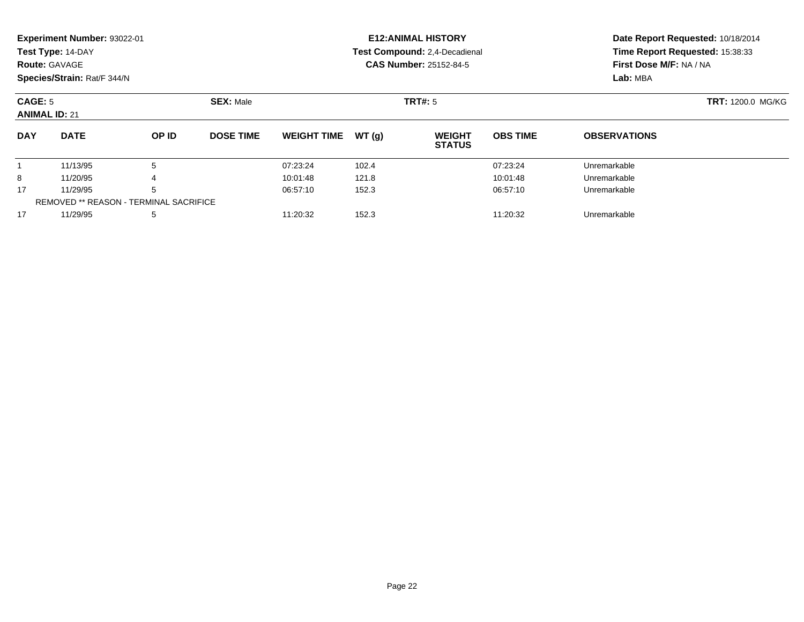|                                                     | Experiment Number: 93022-01 |       |                  |                    |       | <b>E12: ANIMAL HISTORY</b>     | Date Report Requested: 10/18/2014<br>Time Report Requested: 15:38:33 |                                     |  |  |
|-----------------------------------------------------|-----------------------------|-------|------------------|--------------------|-------|--------------------------------|----------------------------------------------------------------------|-------------------------------------|--|--|
|                                                     | Test Type: 14-DAY           |       |                  |                    |       | Test Compound: 2,4-Decadienal  |                                                                      |                                     |  |  |
| <b>Route: GAVAGE</b>                                |                             |       |                  |                    |       | <b>CAS Number: 25152-84-5</b>  |                                                                      | First Dose M/F: NA / NA<br>Lab: MBA |  |  |
|                                                     | Species/Strain: Rat/F 344/N |       |                  |                    |       |                                |                                                                      |                                     |  |  |
| <b>SEX: Male</b><br>CAGE: 5<br><b>ANIMAL ID: 21</b> |                             |       |                  |                    |       | <b>TRT#:</b> 5                 |                                                                      | <b>TRT: 1200.0 MG/KG</b>            |  |  |
|                                                     |                             |       |                  |                    |       |                                |                                                                      |                                     |  |  |
| <b>DAY</b>                                          | <b>DATE</b>                 | OP ID | <b>DOSE TIME</b> | <b>WEIGHT TIME</b> | WT(q) | <b>WEIGHT</b><br><b>STATUS</b> | <b>OBS TIME</b>                                                      | <b>OBSERVATIONS</b>                 |  |  |
|                                                     | 11/13/95                    | 5     |                  | 07:23:24           | 102.4 |                                | 07:23:24                                                             | Unremarkable                        |  |  |
| 8                                                   | 11/20/95                    | 4     |                  | 10:01:48           | 121.8 |                                | 10:01:48                                                             | Unremarkable                        |  |  |
| 17<br>11/29/95<br>5                                 |                             |       |                  | 06:57:10           | 152.3 |                                | 06:57:10                                                             | Unremarkable                        |  |  |

11/29/95 <sup>5</sup> 11:20:32 152.3 11:20:32 Unremarkable

REMOVED \*\* REASON - TERMINAL SACRIFICE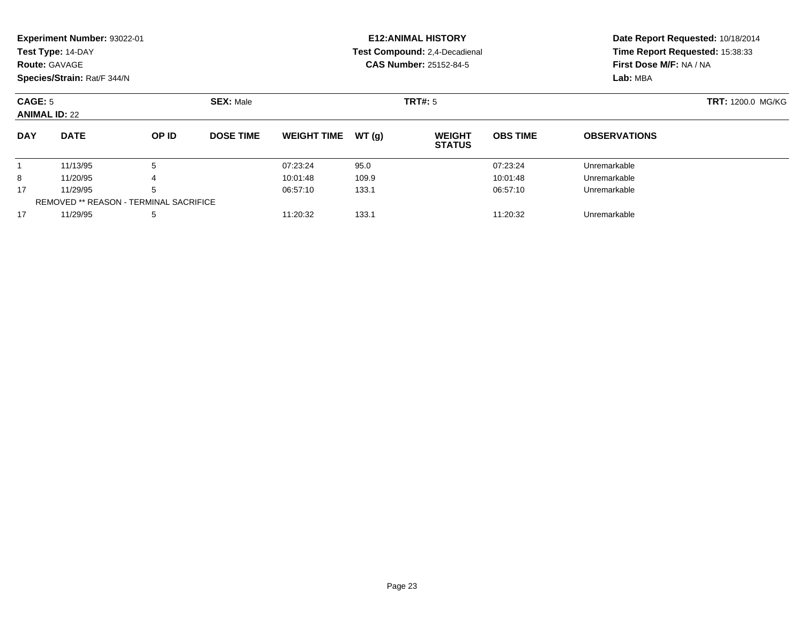|                      | Experiment Number: 93022-01 |       |                  |                               |       | <b>E12: ANIMAL HISTORY</b>           | Date Report Requested: 10/18/2014 |                          |  |  |
|----------------------|-----------------------------|-------|------------------|-------------------------------|-------|--------------------------------------|-----------------------------------|--------------------------|--|--|
|                      | Test Type: 14-DAY           |       |                  |                               |       | <b>Test Compound: 2.4-Decadienal</b> | Time Report Requested: 15:38:33   |                          |  |  |
| Route: GAVAGE        |                             |       |                  |                               |       | <b>CAS Number: 25152-84-5</b>        |                                   | First Dose M/F: NA / NA  |  |  |
|                      | Species/Strain: Rat/F 344/N |       |                  |                               |       |                                      |                                   | Lab: MBA                 |  |  |
| CAGE: 5              |                             |       | <b>SEX: Male</b> |                               |       | <b>TRT#: 5</b>                       |                                   | <b>TRT: 1200.0 MG/KG</b> |  |  |
| <b>ANIMAL ID: 22</b> |                             |       |                  |                               |       |                                      |                                   |                          |  |  |
| <b>DAY</b>           | <b>DATE</b>                 | OP ID | <b>DOSE TIME</b> | <b>WEIGHT TIME</b>            | WT(q) | <b>WEIGHT</b><br><b>STATUS</b>       | <b>OBS TIME</b>                   | <b>OBSERVATIONS</b>      |  |  |
|                      | 11/13/95                    | 5     |                  | 07:23:24                      | 95.0  |                                      | 07:23:24                          | Unremarkable             |  |  |
| 8                    | 11/20/95                    | 4     |                  | 10:01:48                      | 109.9 |                                      | 10:01:48                          | Unremarkable             |  |  |
| 17<br>11/29/95<br>5  |                             |       |                  | 06:57:10<br>06:57:10<br>133.1 |       |                                      |                                   | Unremarkable             |  |  |

7 11/29/95 5 5 11:20:32 133.1 11:20:32 133.1 11:20:32 Unremarkable

REMOVED \*\* REASON - TERMINAL SACRIFICE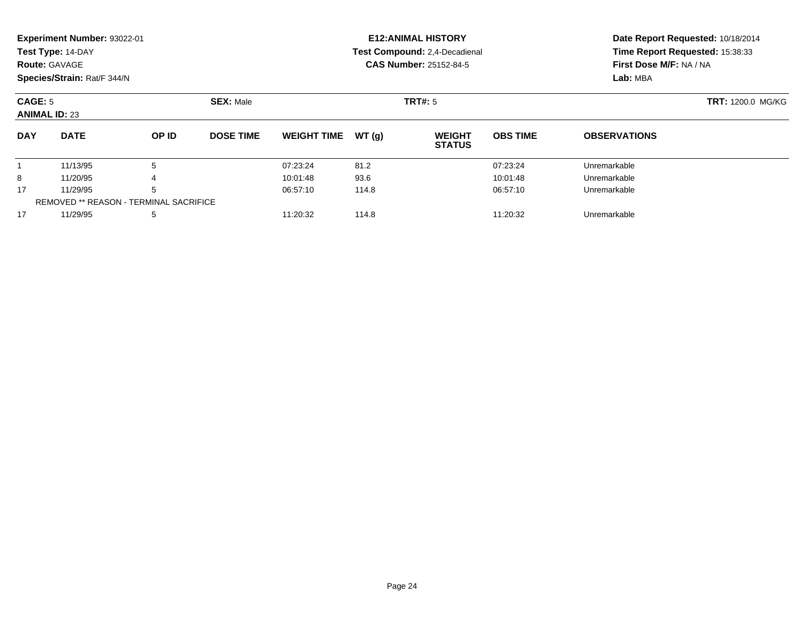|                                                     | Experiment Number: 93022-01                   |          |                  |                    |          | <b>E12: ANIMAL HISTORY</b>     | Date Report Requested: 10/18/2014 |                                                                        |  |  |
|-----------------------------------------------------|-----------------------------------------------|----------|------------------|--------------------|----------|--------------------------------|-----------------------------------|------------------------------------------------------------------------|--|--|
|                                                     | Test Type: 14-DAY                             |          |                  |                    |          | Test Compound: 2,4-Decadienal  |                                   | Time Report Requested: 15:38:33<br>First Dose M/F: NA / NA<br>Lab: MBA |  |  |
|                                                     | <b>Route: GAVAGE</b>                          |          |                  |                    |          | <b>CAS Number: 25152-84-5</b>  |                                   |                                                                        |  |  |
|                                                     | Species/Strain: Rat/F 344/N                   |          |                  |                    |          |                                |                                   |                                                                        |  |  |
| <b>SEX: Male</b><br>CAGE: 5<br><b>ANIMAL ID: 23</b> |                                               |          |                  |                    |          | <b>TRT#:</b> 5                 | <b>TRT: 1200.0 MG/KG</b>          |                                                                        |  |  |
| <b>DAY</b>                                          | <b>DATE</b>                                   | OP ID    | <b>DOSE TIME</b> | <b>WEIGHT TIME</b> | WT(q)    | <b>WEIGHT</b><br><b>STATUS</b> | <b>OBS TIME</b>                   | <b>OBSERVATIONS</b>                                                    |  |  |
|                                                     | 11/13/95                                      | 5        |                  | 07:23:24           | 81.2     |                                | 07:23:24                          | Unremarkable                                                           |  |  |
| 8                                                   | 11/20/95                                      |          |                  | 10:01:48           | 93.6     |                                | 10:01:48                          | Unremarkable                                                           |  |  |
| 17<br>5<br>11/29/95                                 |                                               | 06:57:10 | 114.8            |                    | 06:57:10 | Unremarkable                   |                                   |                                                                        |  |  |
|                                                     | <b>REMOVED ** REASON - TERMINAL SACRIFICE</b> |          |                  |                    |          |                                |                                   |                                                                        |  |  |

11/29/95 <sup>5</sup> 11:20:32 114.8 11:20:32 Unremarkable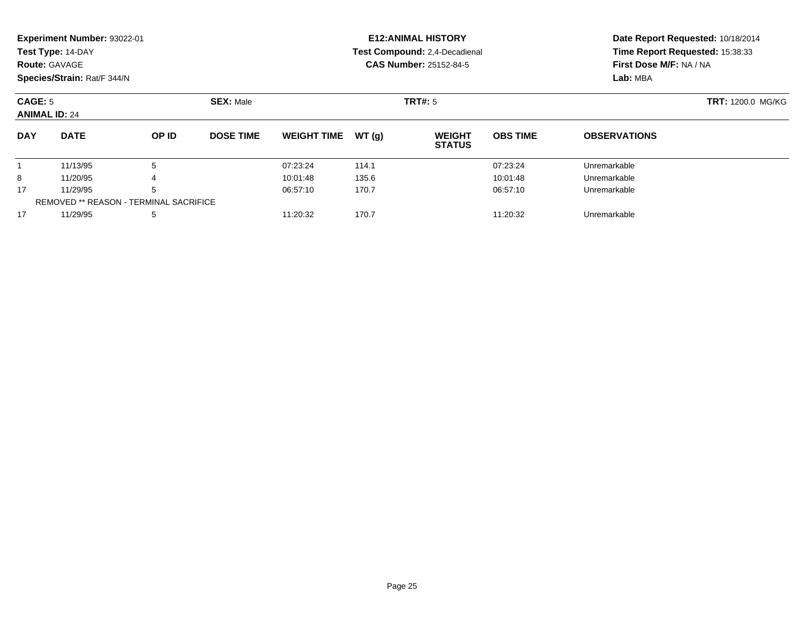|                                 | Experiment Number: 93022-01                   |                  |                  |                    |       | <b>E12: ANIMAL HISTORY</b>     | Date Report Requested: 10/18/2014<br>Time Report Requested: 15:38:33 |                         |  |  |
|---------------------------------|-----------------------------------------------|------------------|------------------|--------------------|-------|--------------------------------|----------------------------------------------------------------------|-------------------------|--|--|
|                                 | Test Type: 14-DAY                             |                  |                  |                    |       | Test Compound: 2,4-Decadienal  |                                                                      |                         |  |  |
|                                 | <b>Route: GAVAGE</b>                          |                  |                  |                    |       | <b>CAS Number: 25152-84-5</b>  |                                                                      | First Dose M/F: NA / NA |  |  |
|                                 | Species/Strain: Rat/F 344/N                   |                  |                  |                    |       |                                |                                                                      | Lab: MBA                |  |  |
| CAGE: 5<br><b>ANIMAL ID: 24</b> |                                               | <b>SEX: Male</b> |                  | <b>TRT#:</b> 5     |       | <b>TRT: 1200.0 MG/KG</b>       |                                                                      |                         |  |  |
| <b>DAY</b>                      | <b>DATE</b>                                   | OP ID            | <b>DOSE TIME</b> | <b>WEIGHT TIME</b> | WT(q) | <b>WEIGHT</b><br><b>STATUS</b> | <b>OBS TIME</b>                                                      | <b>OBSERVATIONS</b>     |  |  |
|                                 | 11/13/95                                      | 5                |                  | 07:23:24           | 114.1 |                                | 07:23:24                                                             | Unremarkable            |  |  |
| 8                               | 11/20/95                                      |                  |                  | 10:01:48           | 135.6 |                                | 10:01:48                                                             | Unremarkable            |  |  |
| 17                              | 11/29/95                                      | 5                |                  | 06:57:10           | 170.7 |                                | 06:57:10                                                             | Unremarkable            |  |  |
|                                 | <b>REMOVED ** REASON - TERMINAL SACRIFICE</b> |                  |                  |                    |       |                                |                                                                      |                         |  |  |

11/29/95 <sup>5</sup> 11:20:32 170.7 11:20:32 Unremarkable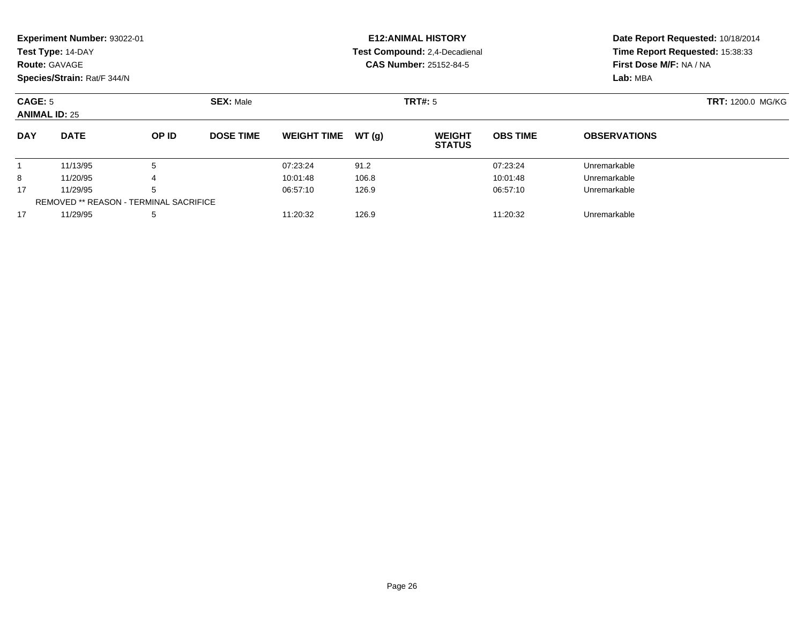|                                 | Experiment Number: 93022-01                   |       |                  |                    |                | <b>E12: ANIMAL HISTORY</b>     | Date Report Requested: 10/18/2014<br>Time Report Requested: 15:38:33 |                         |  |  |
|---------------------------------|-----------------------------------------------|-------|------------------|--------------------|----------------|--------------------------------|----------------------------------------------------------------------|-------------------------|--|--|
|                                 | Test Type: 14-DAY                             |       |                  |                    |                | Test Compound: 2,4-Decadienal  |                                                                      |                         |  |  |
|                                 | <b>Route: GAVAGE</b>                          |       |                  |                    |                | <b>CAS Number: 25152-84-5</b>  |                                                                      | First Dose M/F: NA / NA |  |  |
|                                 | Species/Strain: Rat/F 344/N                   |       |                  |                    |                |                                |                                                                      | Lab: MBA                |  |  |
| CAGE: 5<br><b>ANIMAL ID: 25</b> |                                               |       | <b>SEX: Male</b> |                    | <b>TRT#:</b> 5 |                                | <b>TRT:</b> 1200.0 MG/KG                                             |                         |  |  |
| <b>DAY</b>                      | <b>DATE</b>                                   | OP ID | <b>DOSE TIME</b> | <b>WEIGHT TIME</b> | WT(q)          | <b>WEIGHT</b><br><b>STATUS</b> | <b>OBS TIME</b>                                                      | <b>OBSERVATIONS</b>     |  |  |
|                                 | 11/13/95                                      | 5     |                  | 07:23:24           | 91.2           |                                | 07:23:24                                                             | Unremarkable            |  |  |
| 8                               | 11/20/95                                      |       |                  | 10:01:48           | 106.8          |                                | 10:01:48                                                             | Unremarkable            |  |  |
| 17                              | 11/29/95                                      | 5     |                  | 06:57:10           | 126.9          |                                | 06:57:10                                                             | Unremarkable            |  |  |
|                                 | <b>REMOVED ** REASON - TERMINAL SACRIFICE</b> |       |                  |                    |                |                                |                                                                      |                         |  |  |

11/29/95 <sup>5</sup> 11:20:32 126.9 11:20:32 Unremarkable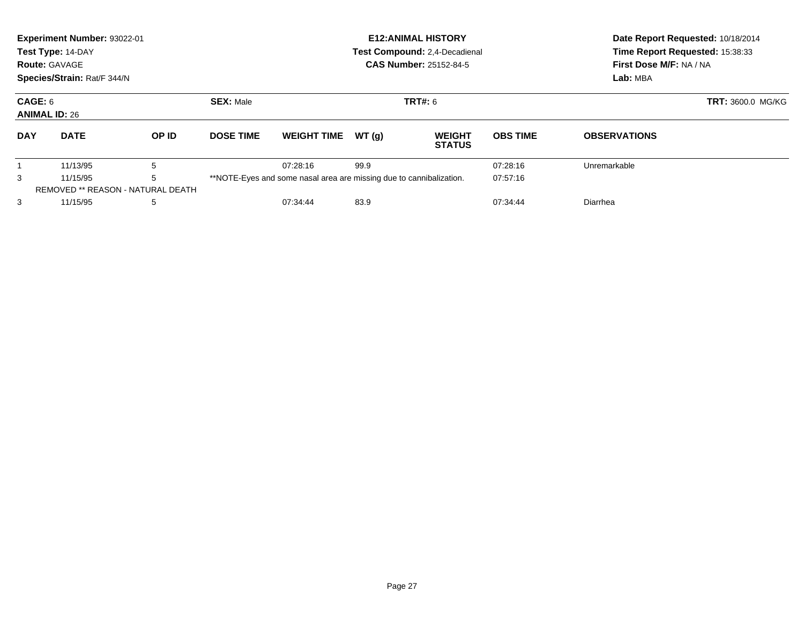|                                 | Experiment Number: 93022-01<br>Test Type: 14-DAY<br><b>Route: GAVAGE</b><br>Species/Strain: Rat/F 344/N |                                          |                  |                                                                     |       | <b>E12: ANIMAL HISTORY</b><br>Test Compound: 2,4-Decadienal<br><b>CAS Number: 25152-84-5</b> | Date Report Requested: 10/18/2014<br>Time Report Requested: 15:38:33<br>First Dose M/F: NA / NA<br>Lab: MBA |                     |  |
|---------------------------------|---------------------------------------------------------------------------------------------------------|------------------------------------------|------------------|---------------------------------------------------------------------|-------|----------------------------------------------------------------------------------------------|-------------------------------------------------------------------------------------------------------------|---------------------|--|
| CAGE: 6<br><b>ANIMAL ID: 26</b> |                                                                                                         | <b>SEX: Male</b><br><b>TRT#:</b> 6       |                  |                                                                     |       |                                                                                              | <b>TRT: 3600.0 MG/KG</b>                                                                                    |                     |  |
| <b>DAY</b>                      | <b>DATE</b>                                                                                             | OP ID                                    | <b>DOSE TIME</b> | <b>WEIGHT TIME</b>                                                  | WT(q) | <b>WEIGHT</b><br><b>STATUS</b>                                                               | <b>OBS TIME</b>                                                                                             | <b>OBSERVATIONS</b> |  |
|                                 | 11/13/95                                                                                                | 5                                        |                  | 07:28:16                                                            | 99.9  |                                                                                              | 07:28:16                                                                                                    | Unremarkable        |  |
| 3                               | 5<br>11/15/95                                                                                           |                                          |                  | **NOTE-Eyes and some nasal area are missing due to cannibalization. |       |                                                                                              | 07:57:16                                                                                                    |                     |  |
|                                 |                                                                                                         | <b>REMOVED ** REASON - NATURAL DEATH</b> |                  |                                                                     |       |                                                                                              |                                                                                                             |                     |  |
| 3                               | 11/15/95                                                                                                | 5                                        |                  | 07:34:44                                                            | 83.9  |                                                                                              | 07:34:44                                                                                                    | Diarrhea            |  |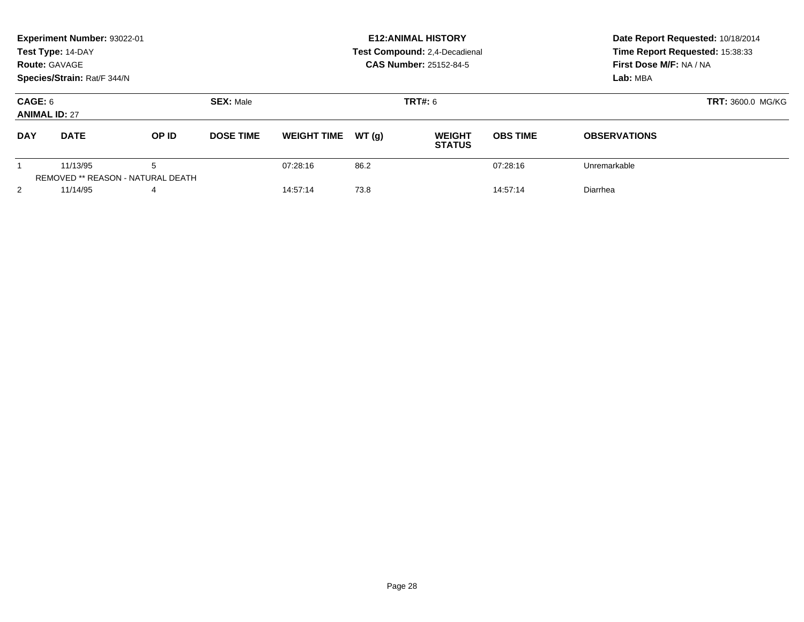|                                 | Experiment Number: 93022-01<br>Test Type: 14-DAY<br><b>Route: GAVAGE</b><br>Species/Strain: Rat/F 344/N |                                        |                  |                    |       | <b>E12: ANIMAL HISTORY</b><br><b>Test Compound: 2,4-Decadienal</b><br>CAS Number: 25152-84-5 | Date Report Requested: 10/18/2014<br>Time Report Requested: 15:38:33<br>First Dose M/F: NA / NA<br>Lab: MBA |                          |  |
|---------------------------------|---------------------------------------------------------------------------------------------------------|----------------------------------------|------------------|--------------------|-------|----------------------------------------------------------------------------------------------|-------------------------------------------------------------------------------------------------------------|--------------------------|--|
| CAGE: 6<br><b>ANIMAL ID: 27</b> |                                                                                                         |                                        | <b>SEX: Male</b> |                    |       | <b>TRT#: 6</b>                                                                               |                                                                                                             | <b>TRT: 3600.0 MG/KG</b> |  |
| <b>DAY</b>                      | <b>DATE</b>                                                                                             | OP ID                                  | <b>DOSE TIME</b> | <b>WEIGHT TIME</b> | WT(q) | <b>WEIGHT</b><br><b>STATUS</b>                                                               | <b>OBS TIME</b>                                                                                             | <b>OBSERVATIONS</b>      |  |
|                                 | 11/13/95                                                                                                | 5<br>REMOVED ** REASON - NATURAL DEATH |                  | 07:28:16           | 86.2  |                                                                                              | 07:28:16                                                                                                    | Unremarkable             |  |
| 2                               | 11/14/95                                                                                                | 4                                      |                  | 14:57:14           | 73.8  |                                                                                              | 14:57:14                                                                                                    | Diarrhea                 |  |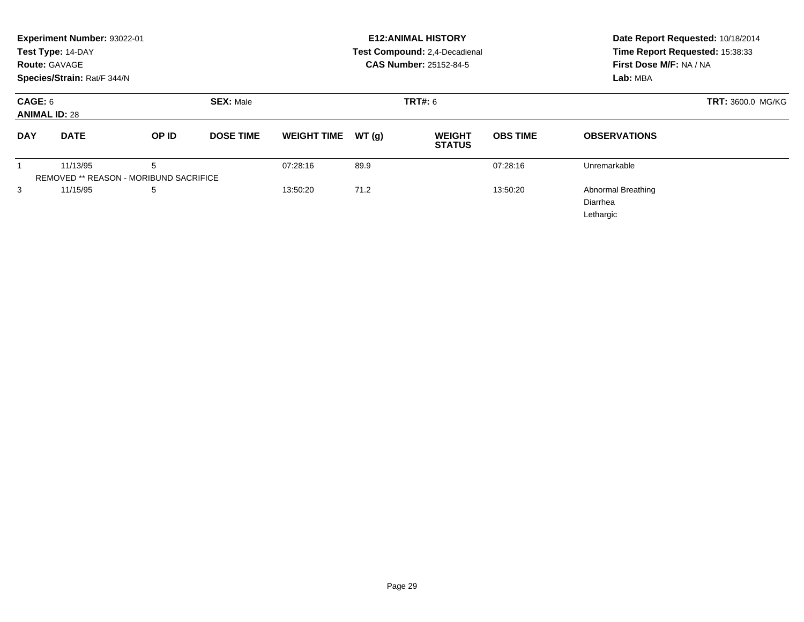|                                 | Experiment Number: 93022-01<br>Test Type: 14-DAY<br><b>Route: GAVAGE</b><br>Species/Strain: Rat/F 344/N |                                                    |                  | <b>E12: ANIMAL HISTORY</b><br>Test Compound: 2,4-Decadienal<br><b>CAS Number: 25152-84-5</b> | Date Report Requested: 10/18/2014<br>Time Report Requested: 15:38:33<br>First Dose M/F: NA / NA<br>Lab: MBA |                                |                 |                                                    |
|---------------------------------|---------------------------------------------------------------------------------------------------------|----------------------------------------------------|------------------|----------------------------------------------------------------------------------------------|-------------------------------------------------------------------------------------------------------------|--------------------------------|-----------------|----------------------------------------------------|
| CAGE: 6<br><b>ANIMAL ID: 28</b> |                                                                                                         |                                                    | <b>SEX: Male</b> |                                                                                              |                                                                                                             | TRT#: 6                        |                 | TRT: 3600.0 MG/KG                                  |
| <b>DAY</b>                      | <b>DATE</b>                                                                                             | OP ID                                              | <b>DOSE TIME</b> | <b>WEIGHT TIME</b>                                                                           | WT(g)                                                                                                       | <b>WEIGHT</b><br><b>STATUS</b> | <b>OBS TIME</b> | <b>OBSERVATIONS</b>                                |
|                                 | 11/13/95                                                                                                | 5<br><b>REMOVED ** REASON - MORIBUND SACRIFICE</b> |                  | 07:28:16                                                                                     | 89.9                                                                                                        |                                | 07:28:16        | Unremarkable                                       |
| 3                               | 11/15/95                                                                                                | 5                                                  |                  | 13:50:20                                                                                     | 71.2                                                                                                        |                                | 13:50:20        | <b>Abnormal Breathing</b><br>Diarrhea<br>Lethargic |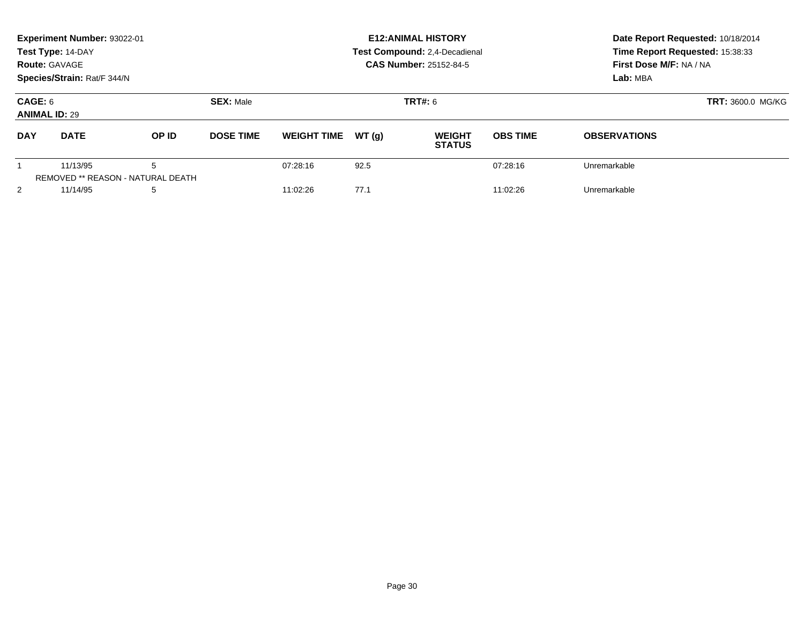|                                 | Experiment Number: 93022-01<br>Test Type: 14-DAY<br><b>Route: GAVAGE</b><br>Species/Strain: Rat/F 344/N |                                               |                  |                    |       | <b>E12: ANIMAL HISTORY</b><br><b>Test Compound: 2,4-Decadienal</b><br><b>CAS Number: 25152-84-5</b> | Date Report Requested: 10/18/2014<br>Time Report Requested: 15:38:33<br>First Dose M/F: NA / NA<br>Lab: MBA |                          |  |
|---------------------------------|---------------------------------------------------------------------------------------------------------|-----------------------------------------------|------------------|--------------------|-------|-----------------------------------------------------------------------------------------------------|-------------------------------------------------------------------------------------------------------------|--------------------------|--|
| CAGE: 6<br><b>ANIMAL ID: 29</b> |                                                                                                         |                                               | <b>SEX: Male</b> |                    |       | <b>TRT#: 6</b>                                                                                      |                                                                                                             | <b>TRT: 3600.0 MG/KG</b> |  |
| <b>DAY</b>                      | <b>DATE</b>                                                                                             | OP ID                                         | <b>DOSE TIME</b> | <b>WEIGHT TIME</b> | WT(q) | <b>WEIGHT</b><br><b>STATUS</b>                                                                      | <b>OBS TIME</b>                                                                                             | <b>OBSERVATIONS</b>      |  |
|                                 | 11/13/95                                                                                                | 5<br><b>REMOVED ** REASON - NATURAL DEATH</b> |                  | 07:28:16           | 92.5  |                                                                                                     | 07:28:16                                                                                                    | Unremarkable             |  |
| 2                               | 11/14/95                                                                                                | 5                                             |                  | 11:02:26           | 77.1  |                                                                                                     | 11:02:26                                                                                                    | Unremarkable             |  |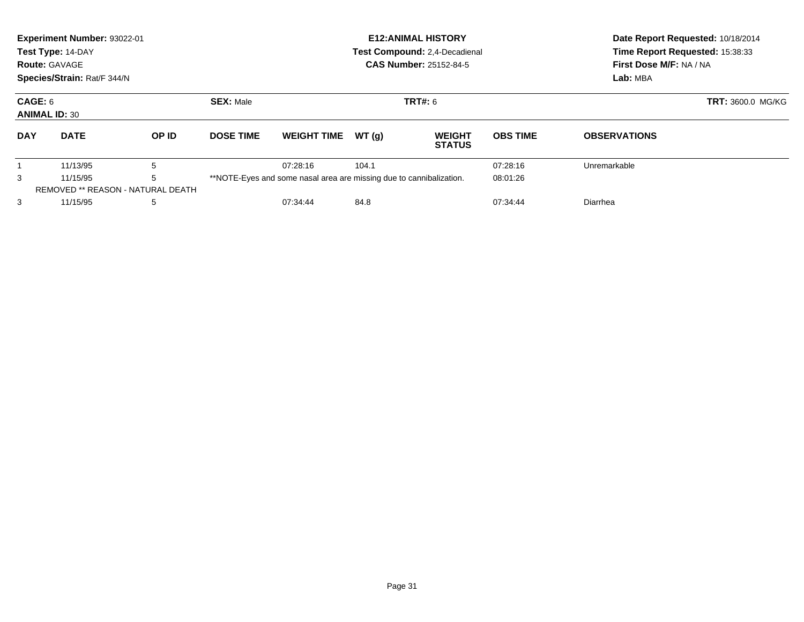|                                 | Experiment Number: 93022-01<br>Test Type: 14-DAY<br><b>Route: GAVAGE</b><br>Species/Strain: Rat/F 344/N |                                          |                  |                                                                     |       | <b>E12: ANIMAL HISTORY</b><br>Test Compound: 2,4-Decadienal<br><b>CAS Number: 25152-84-5</b> | Date Report Requested: 10/18/2014<br>Time Report Requested: 15:38:33<br>First Dose M/F: NA / NA<br>Lab: MBA |                     |  |
|---------------------------------|---------------------------------------------------------------------------------------------------------|------------------------------------------|------------------|---------------------------------------------------------------------|-------|----------------------------------------------------------------------------------------------|-------------------------------------------------------------------------------------------------------------|---------------------|--|
| CAGE: 6<br><b>ANIMAL ID: 30</b> |                                                                                                         | <b>SEX: Male</b><br><b>TRT#:</b> 6       |                  |                                                                     |       |                                                                                              | <b>TRT: 3600.0 MG/KG</b>                                                                                    |                     |  |
| <b>DAY</b>                      | <b>DATE</b>                                                                                             | OP ID                                    | <b>DOSE TIME</b> | <b>WEIGHT TIME</b>                                                  | WT(q) | <b>WEIGHT</b><br><b>STATUS</b>                                                               | <b>OBS TIME</b>                                                                                             | <b>OBSERVATIONS</b> |  |
|                                 | 11/13/95                                                                                                | 5                                        |                  | 07:28:16                                                            | 104.1 |                                                                                              | 07:28:16                                                                                                    | Unremarkable        |  |
| 3                               | 5<br>11/15/95                                                                                           |                                          |                  | **NOTE-Eyes and some nasal area are missing due to cannibalization. |       |                                                                                              | 08:01:26                                                                                                    |                     |  |
|                                 |                                                                                                         | <b>REMOVED ** REASON - NATURAL DEATH</b> |                  |                                                                     |       |                                                                                              |                                                                                                             |                     |  |
| 3                               | 11/15/95                                                                                                | 5                                        |                  | 07:34:44                                                            | 84.8  |                                                                                              | 07:34:44                                                                                                    | Diarrhea            |  |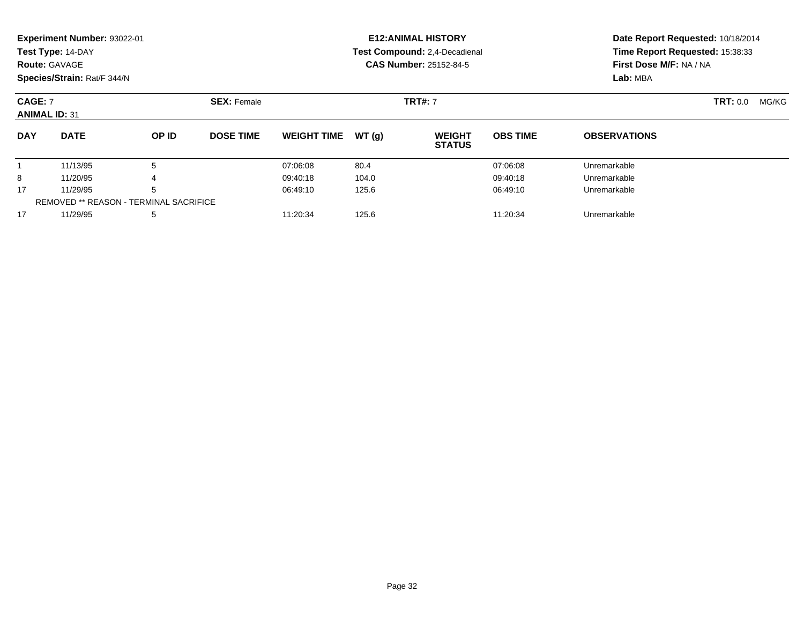|            | <b>Experiment Number: 93022-01</b>     |                                               |                                      |                    |       | <b>E12:ANIMAL HISTORY</b>      | Date Report Requested: 10/18/2014 |                                 |                 |       |  |
|------------|----------------------------------------|-----------------------------------------------|--------------------------------------|--------------------|-------|--------------------------------|-----------------------------------|---------------------------------|-----------------|-------|--|
|            | Test Type: 14-DAY                      |                                               |                                      |                    |       | Test Compound: 2,4-Decadienal  |                                   | Time Report Requested: 15:38:33 |                 |       |  |
|            | <b>Route: GAVAGE</b>                   |                                               |                                      |                    |       | <b>CAS Number: 25152-84-5</b>  |                                   | First Dose M/F: NA / NA         |                 |       |  |
|            | Species/Strain: Rat/F 344/N            |                                               |                                      |                    |       |                                |                                   | Lab: MBA                        |                 |       |  |
|            | <b>CAGE: 7</b><br><b>ANIMAL ID: 31</b> |                                               | <b>TRT#: 7</b><br><b>SEX: Female</b> |                    |       |                                |                                   |                                 | <b>TRT:</b> 0.0 | MG/KG |  |
| <b>DAY</b> | <b>DATE</b>                            | OP ID                                         | <b>DOSE TIME</b>                     | <b>WEIGHT TIME</b> | WT(g) | <b>WEIGHT</b><br><b>STATUS</b> | <b>OBS TIME</b>                   | <b>OBSERVATIONS</b>             |                 |       |  |
|            | 11/13/95                               | 5                                             |                                      | 07:06:08           | 80.4  |                                | 07:06:08                          | Unremarkable                    |                 |       |  |
| 8          | 11/20/95                               |                                               |                                      | 09:40:18           | 104.0 |                                | 09:40:18                          | Unremarkable                    |                 |       |  |
| 17         | 11/29/95                               | 5                                             |                                      | 06:49:10           | 125.6 |                                | 06:49:10                          | Unremarkable                    |                 |       |  |
|            |                                        | <b>REMOVED ** REASON - TERMINAL SACRIFICE</b> |                                      |                    |       |                                |                                   |                                 |                 |       |  |
| 17         | 11/29/95                               | 5                                             |                                      | 11:20:34           | 125.6 |                                | 11:20:34                          | Unremarkable                    |                 |       |  |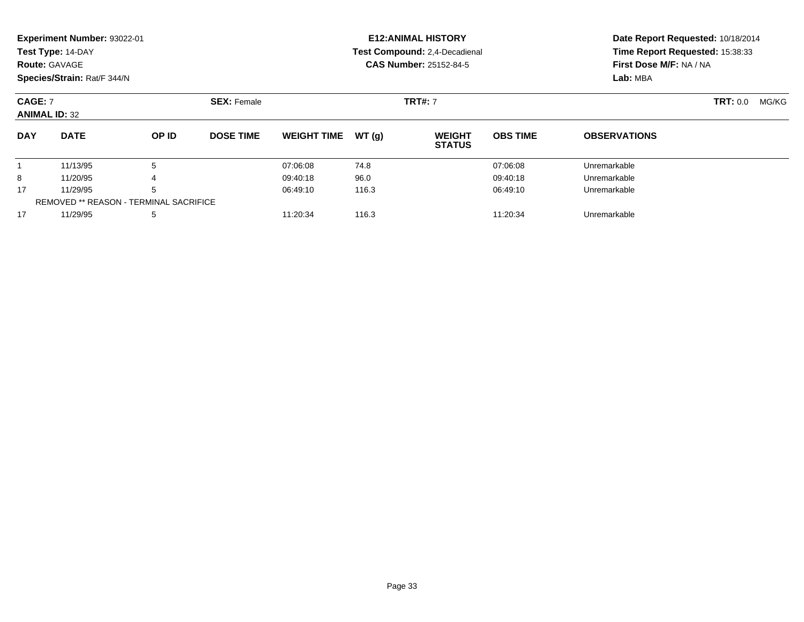|                | Experiment Number: 93022-01<br>Test Type: 14-DAY<br><b>Route: GAVAGE</b><br>Species/Strain: Rat/F 344/N |              |                    |                               |       | <b>E12: ANIMAL HISTORY</b><br>Test Compound: 2.4-Decadienal<br><b>CAS Number: 25152-84-5</b> | Date Report Requested: 10/18/2014<br>Time Report Requested: 15:38:33<br>First Dose M/F: NA / NA<br>Lab: MBA |                     |       |  |
|----------------|---------------------------------------------------------------------------------------------------------|--------------|--------------------|-------------------------------|-------|----------------------------------------------------------------------------------------------|-------------------------------------------------------------------------------------------------------------|---------------------|-------|--|
| <b>CAGE: 7</b> | <b>ANIMAL ID: 32</b>                                                                                    |              | <b>SEX: Female</b> |                               |       | <b>TRT#: 7</b>                                                                               |                                                                                                             | <b>TRT:</b> 0.0     | MG/KG |  |
| <b>DAY</b>     | <b>DATE</b>                                                                                             | <b>OP ID</b> | <b>DOSE TIME</b>   | <b>WEIGHT TIME</b>            | WT(q) | <b>WEIGHT</b><br><b>STATUS</b>                                                               | <b>OBS TIME</b>                                                                                             | <b>OBSERVATIONS</b> |       |  |
|                | 11/13/95                                                                                                | 5            |                    | 07:06:08                      | 74.8  |                                                                                              | 07:06:08                                                                                                    | Unremarkable        |       |  |
| 8              | 11/20/95                                                                                                |              |                    | 09:40:18                      | 96.0  |                                                                                              | 09:40:18                                                                                                    | Unremarkable        |       |  |
| 17             | 5<br>11/29/95                                                                                           |              |                    | 116.3<br>06:49:10<br>06:49:10 |       |                                                                                              | Unremarkable                                                                                                |                     |       |  |
|                | <b>REMOVED ** REASON - TERMINAL SACRIFICE</b>                                                           |              |                    |                               |       |                                                                                              |                                                                                                             |                     |       |  |

11/29/95 <sup>5</sup> 11:20:34 116.3 11:20:34 Unremarkable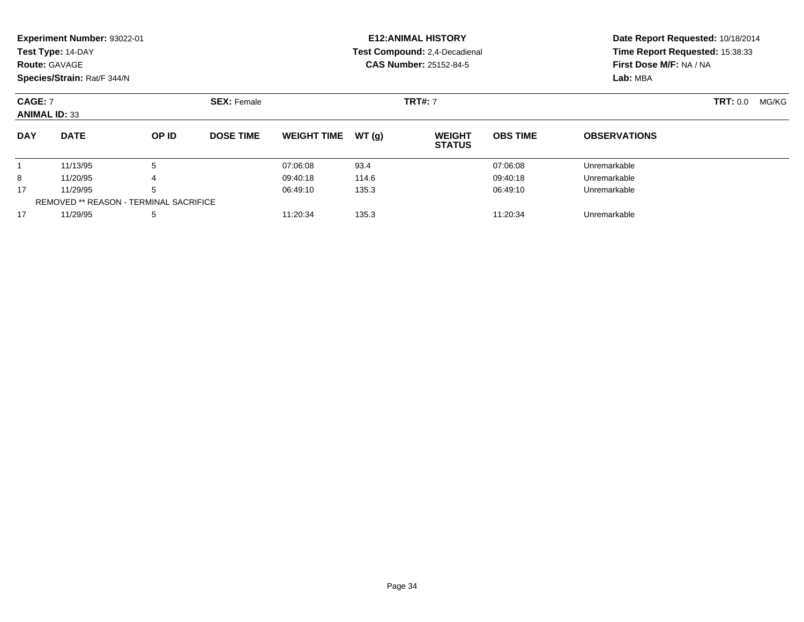|                | Experiment Number: 93022-01<br>Test Type: 14-DAY<br><b>Route: GAVAGE</b> |       |                    |                               |       | <b>E12: ANIMAL HISTORY</b><br>Test Compound: 2,4-Decadienal<br><b>CAS Number: 25152-84-5</b> | Date Report Requested: 10/18/2014<br>Time Report Requested: 15:38:33<br>First Dose M/F: NA / NA<br>Lab: MBA |                     |       |  |
|----------------|--------------------------------------------------------------------------|-------|--------------------|-------------------------------|-------|----------------------------------------------------------------------------------------------|-------------------------------------------------------------------------------------------------------------|---------------------|-------|--|
| <b>CAGE: 7</b> | Species/Strain: Rat/F 344/N<br><b>ANIMAL ID: 33</b>                      |       | <b>SEX: Female</b> |                               |       | <b>TRT#: 7</b>                                                                               |                                                                                                             | <b>TRT:</b> 0.0     | MG/KG |  |
| <b>DAY</b>     | <b>DATE</b>                                                              | OP ID | <b>DOSE TIME</b>   | <b>WEIGHT TIME</b>            | WT(g) | <b>WEIGHT</b><br><b>STATUS</b>                                                               | <b>OBS TIME</b>                                                                                             | <b>OBSERVATIONS</b> |       |  |
|                | 11/13/95                                                                 | 5     |                    | 07:06:08                      | 93.4  |                                                                                              | 07:06:08                                                                                                    | Unremarkable        |       |  |
| 8              | 11/20/95                                                                 |       |                    | 09:40:18                      | 114.6 |                                                                                              | 09:40:18                                                                                                    | Unremarkable        |       |  |
| 17             | 11/29/95<br>5                                                            |       |                    | 135.3<br>06:49:10<br>06:49:10 |       |                                                                                              | Unremarkable                                                                                                |                     |       |  |
|                | <b>REMOVED ** REASON - TERMINAL SACRIFICE</b>                            |       |                    |                               |       |                                                                                              |                                                                                                             |                     |       |  |

11/29/95 <sup>5</sup> 11:20:34 135.3 11:20:34 Unremarkable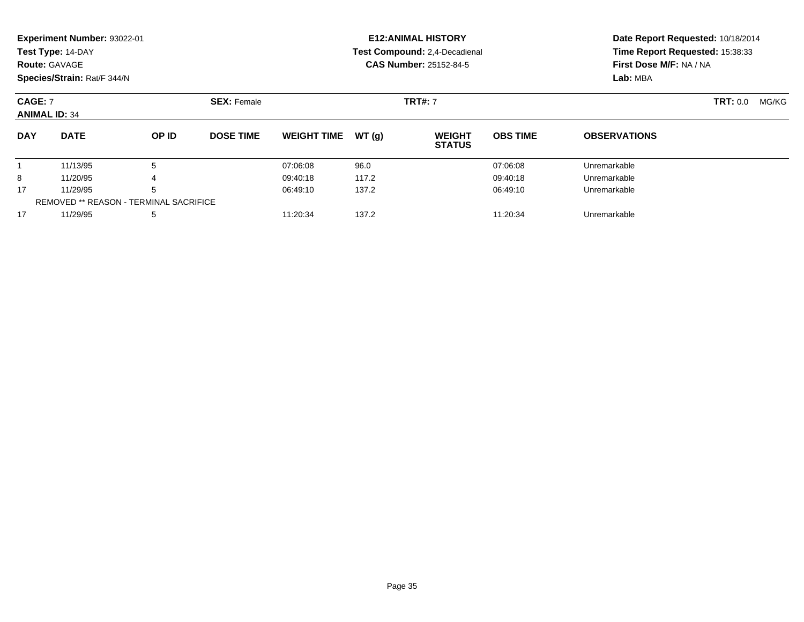|                                        | Experiment Number: 93022-01<br>Test Type: 14-DAY<br><b>Route: GAVAGE</b> |              |                    |                               |                | <b>E12: ANIMAL HISTORY</b><br>Test Compound: 2.4-Decadienal<br><b>CAS Number: 25152-84-5</b> | Date Report Requested: 10/18/2014<br>Time Report Requested: 15:38:33<br>First Dose M/F: NA / NA |                     |  |  |
|----------------------------------------|--------------------------------------------------------------------------|--------------|--------------------|-------------------------------|----------------|----------------------------------------------------------------------------------------------|-------------------------------------------------------------------------------------------------|---------------------|--|--|
|                                        | Species/Strain: Rat/F 344/N                                              |              |                    |                               |                |                                                                                              |                                                                                                 | Lab: MBA            |  |  |
| <b>CAGE: 7</b><br><b>ANIMAL ID: 34</b> |                                                                          |              | <b>SEX: Female</b> |                               | <b>TRT#: 7</b> |                                                                                              | <b>TRT:</b> 0.0                                                                                 | MG/KG               |  |  |
| <b>DAY</b>                             | <b>DATE</b>                                                              | <b>OP ID</b> | <b>DOSE TIME</b>   | <b>WEIGHT TIME</b>            | WT (a)         | <b>WEIGHT</b><br><b>STATUS</b>                                                               | <b>OBS TIME</b>                                                                                 | <b>OBSERVATIONS</b> |  |  |
|                                        | 11/13/95                                                                 | 5            |                    | 07:06:08                      | 96.0           |                                                                                              | 07:06:08                                                                                        | Unremarkable        |  |  |
| 8                                      | 11/20/95                                                                 | 4            |                    | 09:40:18                      | 117.2          |                                                                                              | 09:40:18                                                                                        | Unremarkable        |  |  |
| 17                                     | 5<br>11/29/95                                                            |              |                    | 137.2<br>06:49:10<br>06:49:10 |                |                                                                                              | Unremarkable                                                                                    |                     |  |  |
|                                        | <b>REMOVED ** REASON - TERMINAL SACRIFICE</b>                            |              |                    |                               |                |                                                                                              |                                                                                                 |                     |  |  |

11/29/95 <sup>5</sup> 11:20:34 137.2 11:20:34 Unremarkable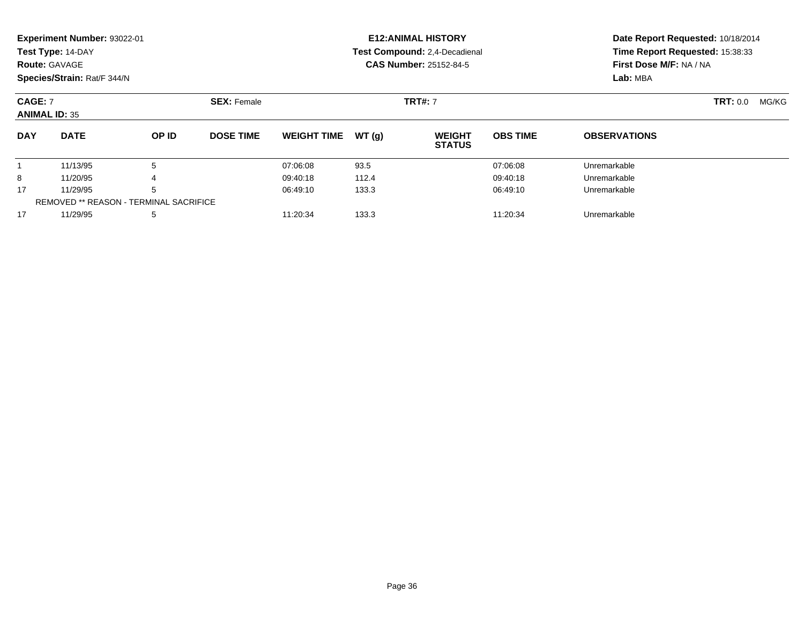|                                        | Experiment Number: 93022-01<br>Test Type: 14-DAY<br><b>Route: GAVAGE</b><br>Species/Strain: Rat/F 344/N |              |                                      | <b>E12: ANIMAL HISTORY</b><br>Test Compound: 2,4-Decadienal<br><b>CAS Number: 25152-84-5</b> |       |                                |                 | Date Report Requested: 10/18/2014<br>Time Report Requested: 15:38:33<br>First Dose M/F: NA / NA<br>Lab: MBA |  |       |
|----------------------------------------|---------------------------------------------------------------------------------------------------------|--------------|--------------------------------------|----------------------------------------------------------------------------------------------|-------|--------------------------------|-----------------|-------------------------------------------------------------------------------------------------------------|--|-------|
| <b>CAGE: 7</b><br><b>ANIMAL ID: 35</b> |                                                                                                         |              | <b>SEX: Female</b><br><b>TRT#: 7</b> |                                                                                              |       |                                | <b>TRT:</b> 0.0 |                                                                                                             |  | MG/KG |
| <b>DAY</b>                             | <b>DATE</b>                                                                                             | <b>OP ID</b> | <b>DOSE TIME</b>                     | <b>WEIGHT TIME</b>                                                                           | WT(q) | <b>WEIGHT</b><br><b>STATUS</b> | <b>OBS TIME</b> | <b>OBSERVATIONS</b>                                                                                         |  |       |
|                                        | 11/13/95                                                                                                | 5            |                                      | 07:06:08                                                                                     | 93.5  |                                | 07:06:08        | Unremarkable                                                                                                |  |       |
| 8                                      | 11/20/95                                                                                                | 4            |                                      | 09:40:18                                                                                     | 112.4 |                                | 09:40:18        | Unremarkable                                                                                                |  |       |
| 17                                     | 5<br>11/29/95                                                                                           |              | 133.3<br>06:49:10<br>06:49:10        |                                                                                              |       | Unremarkable                   |                 |                                                                                                             |  |       |
|                                        | REMOVED ** REASON - TERMINAL SACRIFICE                                                                  |              |                                      |                                                                                              |       |                                |                 |                                                                                                             |  |       |

11/29/95 <sup>5</sup> 11:20:34 133.3 11:20:34 Unremarkable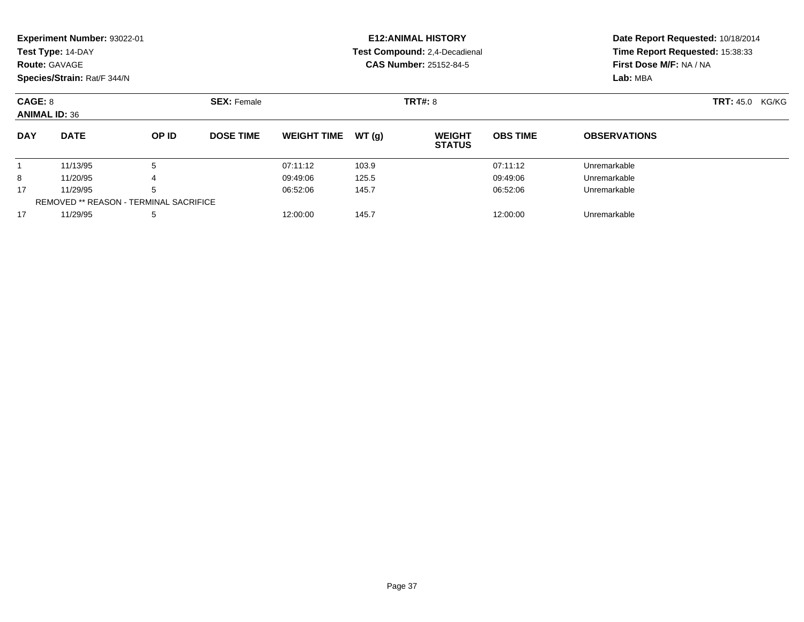|            | Experiment Number: 93022-01<br>Test Type: 14-DAY<br><b>Route: GAVAGE</b><br>Species/Strain: Rat/F 344/N |       |                  |                               |       | <b>E12: ANIMAL HISTORY</b><br>Test Compound: 2,4-Decadienal<br><b>CAS Number: 25152-84-5</b> | Date Report Requested: 10/18/2014<br>Time Report Requested: 15:38:33<br>First Dose M/F: NA / NA<br>Lab: MBA |                     |  |
|------------|---------------------------------------------------------------------------------------------------------|-------|------------------|-------------------------------|-------|----------------------------------------------------------------------------------------------|-------------------------------------------------------------------------------------------------------------|---------------------|--|
| CAGE: 8    | <b>ANIMAL ID: 36</b>                                                                                    |       |                  | <b>TRT#: 8</b>                |       | <b>TRT: 45.0 KG/KG</b>                                                                       |                                                                                                             |                     |  |
| <b>DAY</b> | <b>DATE</b>                                                                                             | OP ID | <b>DOSE TIME</b> | <b>WEIGHT TIME</b>            | WT(q) | <b>WEIGHT</b><br><b>STATUS</b>                                                               | <b>OBS TIME</b>                                                                                             | <b>OBSERVATIONS</b> |  |
|            | 11/13/95                                                                                                | 5     |                  | 07:11:12                      | 103.9 |                                                                                              | 07:11:12                                                                                                    | Unremarkable        |  |
| 8          | 11/20/95<br>4                                                                                           |       | 09:49:06         | 125.5                         |       | 09:49:06                                                                                     | Unremarkable                                                                                                |                     |  |
| 17         | 11/29/95<br>5                                                                                           |       |                  | 06:52:06<br>145.7<br>06:52:06 |       |                                                                                              | Unremarkable                                                                                                |                     |  |
|            | <b>REMOVED ** REASON - TERMINAL SACRIFICE</b>                                                           |       |                  |                               |       |                                                                                              |                                                                                                             |                     |  |

11/29/95 <sup>5</sup> 12:00:00 145.7 12:00:00 Unremarkable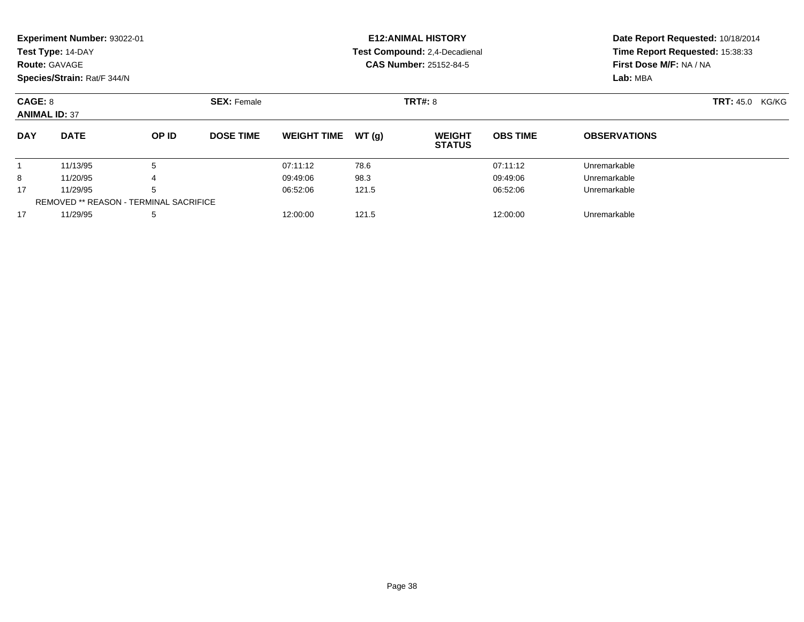|                                 | Experiment Number: 93022-01<br>Test Type: 14-DAY<br><b>Route: GAVAGE</b><br>Species/Strain: Rat/F 344/N |       |                  |                               |       | <b>E12: ANIMAL HISTORY</b><br>Test Compound: 2,4-Decadienal<br><b>CAS Number: 25152-84-5</b> | Date Report Requested: 10/18/2014<br>Time Report Requested: 15:38:33<br>First Dose M/F: NA / NA<br>Lab: MBA |                     |  |
|---------------------------------|---------------------------------------------------------------------------------------------------------|-------|------------------|-------------------------------|-------|----------------------------------------------------------------------------------------------|-------------------------------------------------------------------------------------------------------------|---------------------|--|
| CAGE: 8<br><b>ANIMAL ID: 37</b> |                                                                                                         |       |                  | <b>TRT#: 8</b>                |       | <b>TRT: 45.0 KG/KG</b>                                                                       |                                                                                                             |                     |  |
| <b>DAY</b>                      | <b>DATE</b>                                                                                             | OP ID | <b>DOSE TIME</b> | <b>WEIGHT TIME</b>            | WT(g) | <b>WEIGHT</b><br><b>STATUS</b>                                                               | <b>OBS TIME</b>                                                                                             | <b>OBSERVATIONS</b> |  |
|                                 | 11/13/95                                                                                                | 5     |                  | 07:11:12                      | 78.6  |                                                                                              | 07:11:12                                                                                                    | Unremarkable        |  |
| 8                               | 11/20/95<br>4                                                                                           |       | 09:49:06         | 98.3                          |       | 09:49:06                                                                                     | Unremarkable                                                                                                |                     |  |
| 17                              | 5<br>11/29/95                                                                                           |       |                  | 121.5<br>06:52:06<br>06:52:06 |       |                                                                                              | Unremarkable                                                                                                |                     |  |
|                                 | <b>REMOVED ** REASON - TERMINAL SACRIFICE</b>                                                           |       |                  |                               |       |                                                                                              |                                                                                                             |                     |  |

11/29/95 <sup>5</sup> 12:00:00 121.5 12:00:00 Unremarkable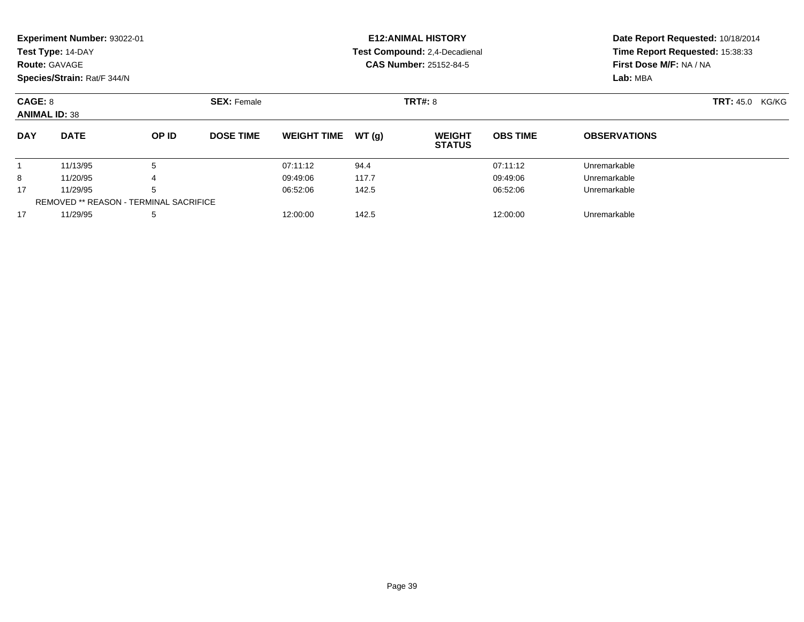|                                 | Experiment Number: 93022-01<br>Test Type: 14-DAY<br><b>Route: GAVAGE</b><br>Species/Strain: Rat/F 344/N |       |                               |                    |       | <b>E12: ANIMAL HISTORY</b><br>Test Compound: 2,4-Decadienal<br><b>CAS Number: 25152-84-5</b> | Date Report Requested: 10/18/2014<br>Time Report Requested: 15:38:33<br>First Dose M/F: NA / NA<br>Lab: MBA |                     |                           |
|---------------------------------|---------------------------------------------------------------------------------------------------------|-------|-------------------------------|--------------------|-------|----------------------------------------------------------------------------------------------|-------------------------------------------------------------------------------------------------------------|---------------------|---------------------------|
| CAGE: 8<br><b>ANIMAL ID: 38</b> |                                                                                                         |       | <b>SEX: Female</b>            |                    |       | <b>TRT#: 8</b>                                                                               |                                                                                                             |                     | <b>TRT:</b> 45.0<br>KG/KG |
| <b>DAY</b>                      | <b>DATE</b>                                                                                             | OP ID | <b>DOSE TIME</b>              | <b>WEIGHT TIME</b> | WT(q) | <b>WEIGHT</b><br><b>STATUS</b>                                                               | <b>OBS TIME</b>                                                                                             | <b>OBSERVATIONS</b> |                           |
|                                 | 11/13/95                                                                                                | 5     |                               | 07:11:12           | 94.4  |                                                                                              | 07:11:12                                                                                                    | Unremarkable        |                           |
| 8                               | 11/20/95<br>4                                                                                           |       |                               | 09:49:06           | 117.7 |                                                                                              | 09:49:06                                                                                                    | Unremarkable        |                           |
| 17                              | 11/29/95<br>5                                                                                           |       | 142.5<br>06:52:06<br>06:52:06 |                    |       | Unremarkable                                                                                 |                                                                                                             |                     |                           |
|                                 | <b>REMOVED ** REASON - TERMINAL SACRIFICE</b>                                                           |       |                               |                    |       |                                                                                              |                                                                                                             |                     |                           |

11/29/95 <sup>5</sup> 12:00:00 142.5 12:00:00 Unremarkable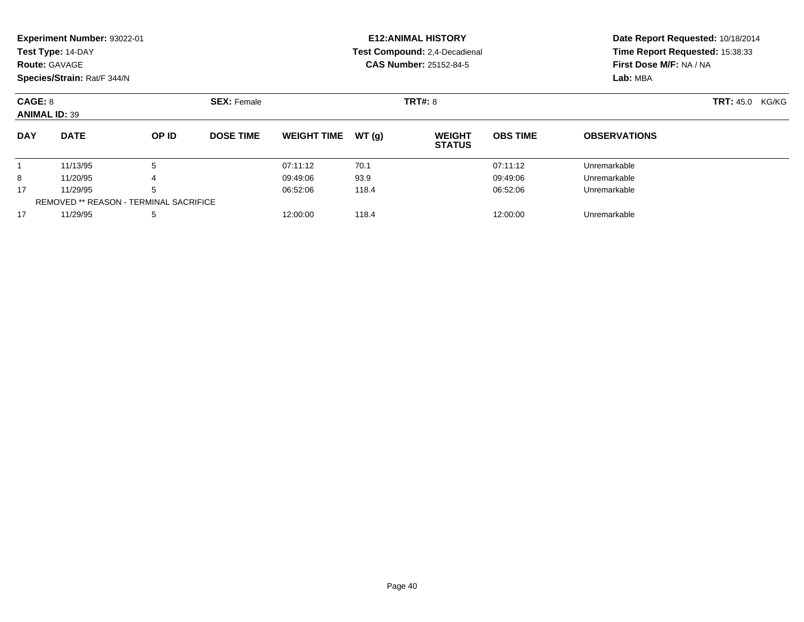|            | Experiment Number: 93022-01<br>Test Type: 14-DAY<br><b>Route: GAVAGE</b><br>Species/Strain: Rat/F 344/N |       |                  |                               |       | <b>E12: ANIMAL HISTORY</b><br>Test Compound: 2,4-Decadienal<br><b>CAS Number: 25152-84-5</b> | Date Report Requested: 10/18/2014<br>Time Report Requested: 15:38:33<br>First Dose M/F: NA / NA<br>Lab: MBA |                        |  |
|------------|---------------------------------------------------------------------------------------------------------|-------|------------------|-------------------------------|-------|----------------------------------------------------------------------------------------------|-------------------------------------------------------------------------------------------------------------|------------------------|--|
|            | <b>SEX: Female</b><br>CAGE: 8<br><b>ANIMAL ID: 39</b>                                                   |       |                  |                               |       | <b>TRT#: 8</b>                                                                               |                                                                                                             | <b>TRT: 45.0 KG/KG</b> |  |
| <b>DAY</b> | <b>DATE</b>                                                                                             | OP ID | <b>DOSE TIME</b> | <b>WEIGHT TIME</b>            | WT(q) | <b>WEIGHT</b><br><b>STATUS</b>                                                               | <b>OBS TIME</b>                                                                                             | <b>OBSERVATIONS</b>    |  |
|            | 11/13/95                                                                                                | 5     |                  | 07:11:12                      | 70.1  |                                                                                              | 07:11:12                                                                                                    | Unremarkable           |  |
| 8          | 11/20/95<br>4                                                                                           |       | 09:49:06         | 93.9                          |       | 09:49:06                                                                                     | Unremarkable                                                                                                |                        |  |
| 17         | 11/29/95<br>5                                                                                           |       |                  | 06:52:06<br>118.4<br>06:52:06 |       |                                                                                              | Unremarkable                                                                                                |                        |  |
|            | <b>REMOVED ** REASON - TERMINAL SACRIFICE</b>                                                           |       |                  |                               |       |                                                                                              |                                                                                                             |                        |  |

11/29/95 <sup>5</sup> 12:00:00 118.4 12:00:00 Unremarkable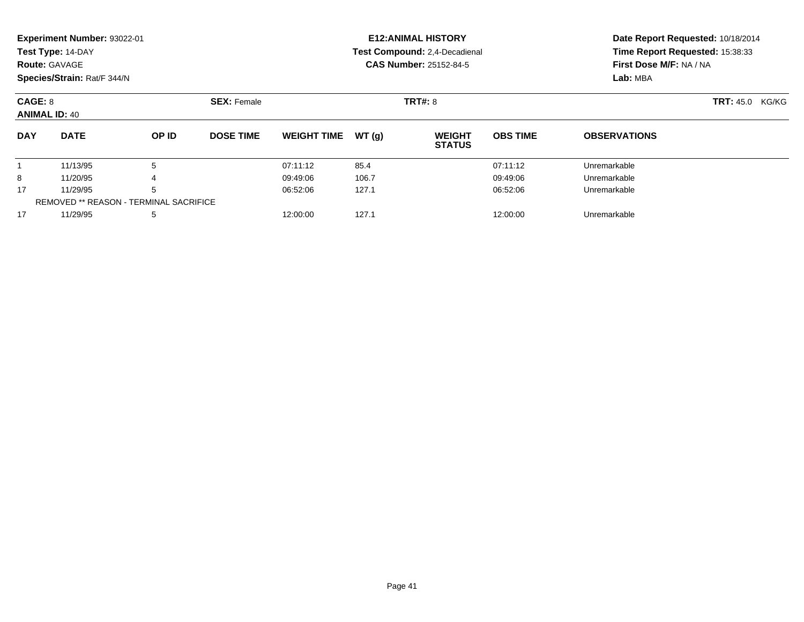|                                 | Experiment Number: 93022-01<br>Test Type: 14-DAY<br><b>Route: GAVAGE</b><br>Species/Strain: Rat/F 344/N |       |                    |                               |       | <b>E12: ANIMAL HISTORY</b><br>Test Compound: 2,4-Decadienal<br><b>CAS Number: 25152-84-5</b> | Date Report Requested: 10/18/2014<br>Time Report Requested: 15:38:33<br>First Dose M/F: NA / NA<br>Lab: MBA |                     |                           |
|---------------------------------|---------------------------------------------------------------------------------------------------------|-------|--------------------|-------------------------------|-------|----------------------------------------------------------------------------------------------|-------------------------------------------------------------------------------------------------------------|---------------------|---------------------------|
| CAGE: 8<br><b>ANIMAL ID: 40</b> |                                                                                                         |       | <b>SEX: Female</b> |                               |       | <b>TRT#: 8</b>                                                                               |                                                                                                             |                     | <b>TRT: 45.0</b><br>KG/KG |
| <b>DAY</b>                      | <b>DATE</b>                                                                                             | OP ID | <b>DOSE TIME</b>   | <b>WEIGHT TIME</b>            | WT(q) | <b>WEIGHT</b><br><b>STATUS</b>                                                               | <b>OBS TIME</b>                                                                                             | <b>OBSERVATIONS</b> |                           |
|                                 | 11/13/95                                                                                                | 5     |                    | 07:11:12                      | 85.4  |                                                                                              | 07:11:12                                                                                                    | Unremarkable        |                           |
| 8                               | 11/20/95<br>4                                                                                           |       | 09:49:06           | 106.7                         |       | 09:49:06                                                                                     | Unremarkable                                                                                                |                     |                           |
| 17                              | 11/29/95<br>5                                                                                           |       |                    | 127.1<br>06:52:06<br>06:52:06 |       |                                                                                              | Unremarkable                                                                                                |                     |                           |
|                                 | <b>REMOVED ** REASON - TERMINAL SACRIFICE</b>                                                           |       |                    |                               |       |                                                                                              |                                                                                                             |                     |                           |

7 11/29/95 5 5 12:00:00 127.1 12:00 127.1 12:00:00 Dhremarkable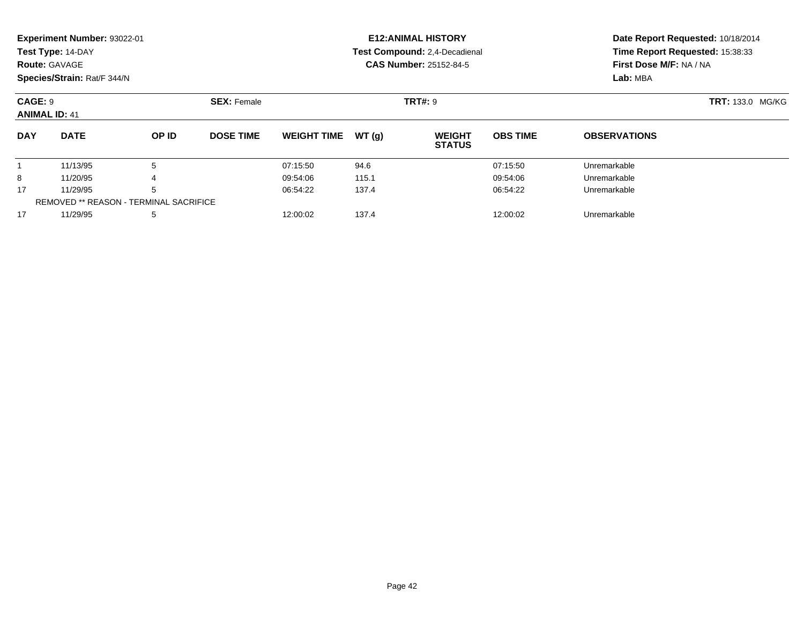| <b>Route: GAVAGE</b>            | Experiment Number: 93022-01<br>Test Type: 14-DAY<br>Species/Strain: Rat/F 344/N |       |                    |                    |       | <b>E12: ANIMAL HISTORY</b><br>Test Compound: 2,4-Decadienal<br><b>CAS Number: 25152-84-5</b> | Date Report Requested: 10/18/2014<br>Time Report Requested: 15:38:33<br>First Dose M/F: NA / NA<br>Lab: MBA |                     |                         |
|---------------------------------|---------------------------------------------------------------------------------|-------|--------------------|--------------------|-------|----------------------------------------------------------------------------------------------|-------------------------------------------------------------------------------------------------------------|---------------------|-------------------------|
| CAGE: 9<br><b>ANIMAL ID: 41</b> |                                                                                 |       | <b>SEX: Female</b> |                    |       | <b>TRT#: 9</b>                                                                               |                                                                                                             |                     | <b>TRT: 133.0 MG/KG</b> |
| <b>DAY</b>                      | <b>DATE</b>                                                                     | OP ID | <b>DOSE TIME</b>   | <b>WEIGHT TIME</b> | WT(q) | <b>WEIGHT</b><br><b>STATUS</b>                                                               | <b>OBS TIME</b>                                                                                             | <b>OBSERVATIONS</b> |                         |
|                                 | 11/13/95                                                                        | 5     |                    | 07:15:50           | 94.6  |                                                                                              | 07:15:50                                                                                                    | Unremarkable        |                         |
| 8                               | 11/20/95                                                                        | 4     |                    | 09:54:06           | 115.1 |                                                                                              | 09:54:06                                                                                                    | Unremarkable        |                         |
| 17                              | 11/29/95<br>5                                                                   |       |                    | 137.4<br>06:54:22  |       | 06:54:22                                                                                     |                                                                                                             | Unremarkable        |                         |

11/29/95 <sup>5</sup> 12:00:02 137.4 12:00:02 Unremarkable

REMOVED \*\* REASON - TERMINAL SACRIFICE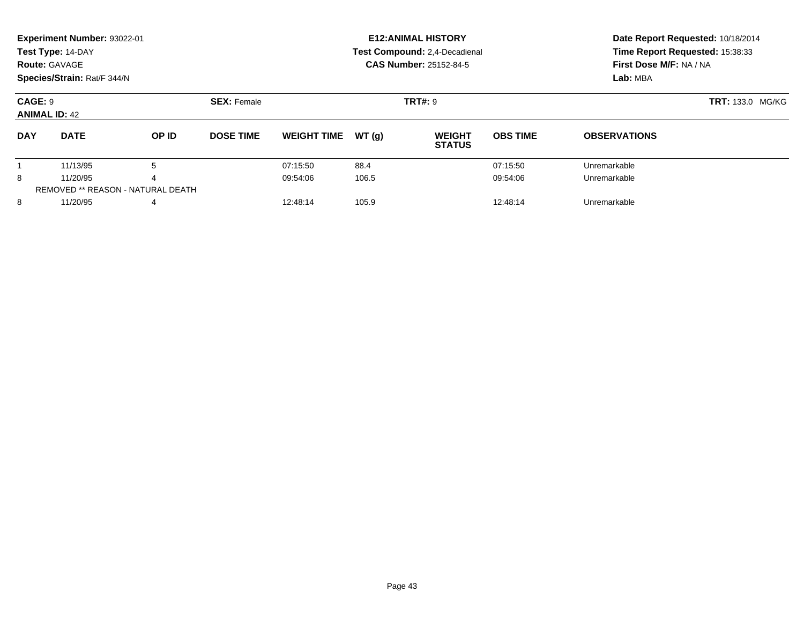|                                 | Experiment Number: 93022-01<br>Test Type: 14-DAY<br><b>Route: GAVAGE</b><br>Species/Strain: Rat/F 344/N |                                          |                    |                    |                | <b>E12: ANIMAL HISTORY</b><br>Test Compound: 2,4-Decadienal<br><b>CAS Number: 25152-84-5</b> | Date Report Requested: 10/18/2014<br>Time Report Requested: 15:38:33<br>First Dose M/F: NA / NA<br>Lab: MBA |                     |
|---------------------------------|---------------------------------------------------------------------------------------------------------|------------------------------------------|--------------------|--------------------|----------------|----------------------------------------------------------------------------------------------|-------------------------------------------------------------------------------------------------------------|---------------------|
| CAGE: 9<br><b>ANIMAL ID: 42</b> |                                                                                                         |                                          | <b>SEX: Female</b> |                    | <b>TRT#: 9</b> | <b>TRT: 133.0 MG/KG</b>                                                                      |                                                                                                             |                     |
| <b>DAY</b>                      | <b>DATE</b>                                                                                             | OP ID                                    | <b>DOSE TIME</b>   | <b>WEIGHT TIME</b> | WT(q)          | <b>WEIGHT</b><br><b>STATUS</b>                                                               | <b>OBS TIME</b>                                                                                             | <b>OBSERVATIONS</b> |
|                                 | 11/13/95                                                                                                | 5                                        |                    | 07:15:50           | 88.4           |                                                                                              | 07:15:50                                                                                                    | Unremarkable        |
| 8                               | 11/20/95                                                                                                |                                          |                    | 09:54:06           | 106.5          |                                                                                              | 09:54:06                                                                                                    | Unremarkable        |
|                                 |                                                                                                         | <b>REMOVED ** REASON - NATURAL DEATH</b> |                    |                    |                |                                                                                              |                                                                                                             |                     |
| 8                               | 11/20/95                                                                                                | 4                                        |                    | 12:48:14           | 105.9          |                                                                                              | 12:48:14                                                                                                    | Unremarkable        |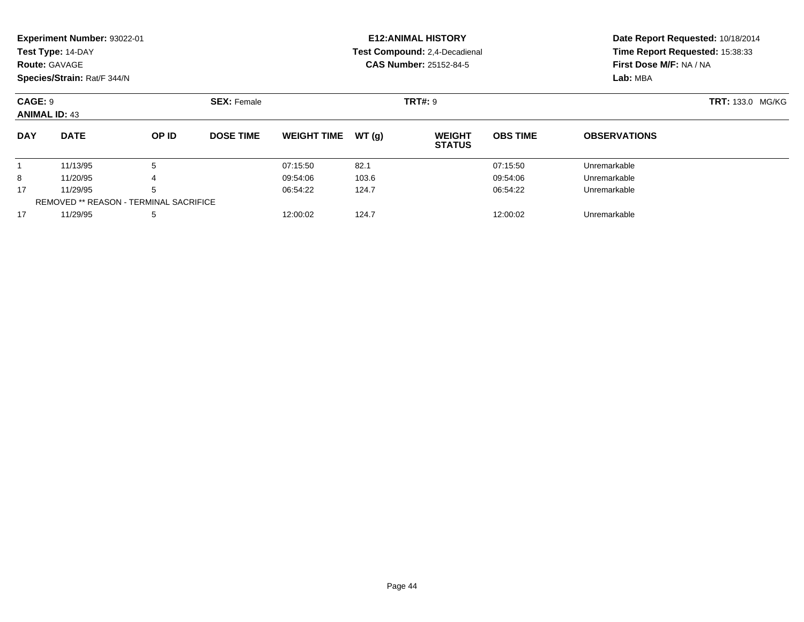|                                 | Experiment Number: 93022-01<br>Test Type: 14-DAY<br><b>Route: GAVAGE</b><br>Species/Strain: Rat/F 344/N |       |                    |                    |                | <b>E12: ANIMAL HISTORY</b><br>Test Compound: 2,4-Decadienal<br><b>CAS Number: 25152-84-5</b> | Date Report Requested: 10/18/2014<br>Time Report Requested: 15:38:33<br>First Dose M/F: NA / NA<br>Lab: MBA |                     |  |
|---------------------------------|---------------------------------------------------------------------------------------------------------|-------|--------------------|--------------------|----------------|----------------------------------------------------------------------------------------------|-------------------------------------------------------------------------------------------------------------|---------------------|--|
| CAGE: 9<br><b>ANIMAL ID: 43</b> |                                                                                                         |       | <b>SEX: Female</b> |                    | <b>TRT#: 9</b> |                                                                                              | <b>TRT:</b> 133.0 MG/KG                                                                                     |                     |  |
| <b>DAY</b>                      | <b>DATE</b>                                                                                             | OP ID | <b>DOSE TIME</b>   | <b>WEIGHT TIME</b> | WT (a)         | <b>WEIGHT</b><br><b>STATUS</b>                                                               | <b>OBS TIME</b>                                                                                             | <b>OBSERVATIONS</b> |  |
|                                 | 11/13/95                                                                                                | 5     |                    | 07:15:50           | 82.1           |                                                                                              | 07:15:50                                                                                                    | Unremarkable        |  |
| 8                               | 11/20/95                                                                                                | 4     |                    | 09:54:06           | 103.6<br>124.7 |                                                                                              | 09:54:06                                                                                                    | Unremarkable        |  |
| 17<br>11/29/95<br>5             |                                                                                                         |       | 06:54:22           |                    |                | 06:54:22                                                                                     | Unremarkable                                                                                                |                     |  |

11/29/95 <sup>5</sup> 12:00:02 124.7 12:00:02 Unremarkable

REMOVED \*\* REASON - TERMINAL SACRIFICE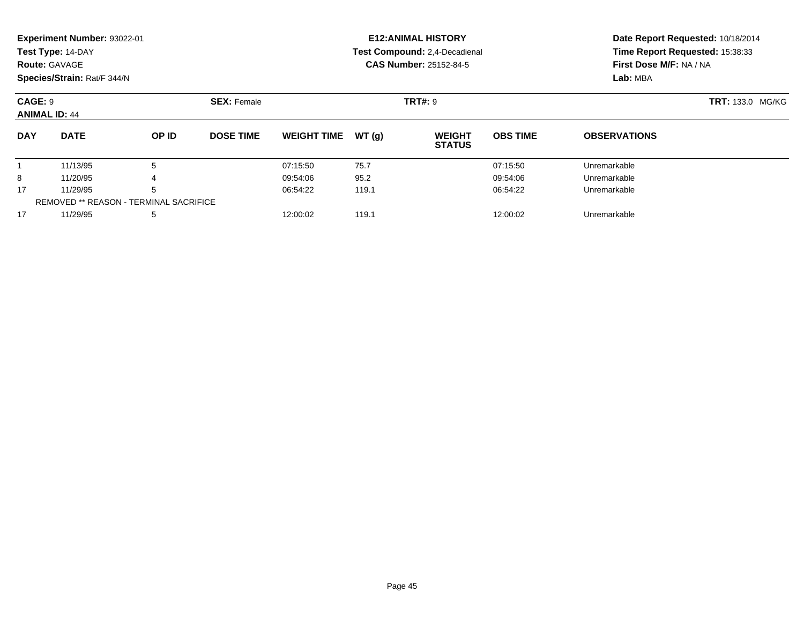|                                 | Experiment Number: 93022-01<br>Test Type: 14-DAY<br><b>Route: GAVAGE</b><br>Species/Strain: Rat/F 344/N |        |                    |                      |                | <b>E12:ANIMAL HISTORY</b><br>Test Compound: 2,4-Decadienal<br><b>CAS Number: 25152-84-5</b> | Date Report Requested: 10/18/2014<br>Time Report Requested: 15:38:33<br>First Dose M/F: NA / NA<br>Lab: MBA |                              |  |
|---------------------------------|---------------------------------------------------------------------------------------------------------|--------|--------------------|----------------------|----------------|---------------------------------------------------------------------------------------------|-------------------------------------------------------------------------------------------------------------|------------------------------|--|
| CAGE: 9<br><b>ANIMAL ID: 44</b> |                                                                                                         |        | <b>SEX: Female</b> |                      | <b>TRT#: 9</b> |                                                                                             |                                                                                                             | <b>TRT: 133.0 MG/KG</b>      |  |
| <b>DAY</b>                      | <b>DATE</b>                                                                                             | OP ID  | <b>DOSE TIME</b>   | <b>WEIGHT TIME</b>   | WT (a)         | <b>WEIGHT</b><br><b>STATUS</b>                                                              | <b>OBS TIME</b>                                                                                             | <b>OBSERVATIONS</b>          |  |
| 8                               | 11/13/95<br>11/20/95                                                                                    | 5<br>4 |                    | 07:15:50<br>09:54:06 | 75.7<br>95.2   |                                                                                             | 07:15:50<br>09:54:06                                                                                        | Unremarkable<br>Unremarkable |  |

11/29/95 <sup>5</sup> 06:54:22 119.1 06:54:22 Unremarkable

11/29/95 <sup>5</sup> 12:00:02 119.1 12:00:02 Unremarkable

17

17

REMOVED \*\* REASON - TERMINAL SACRIFICE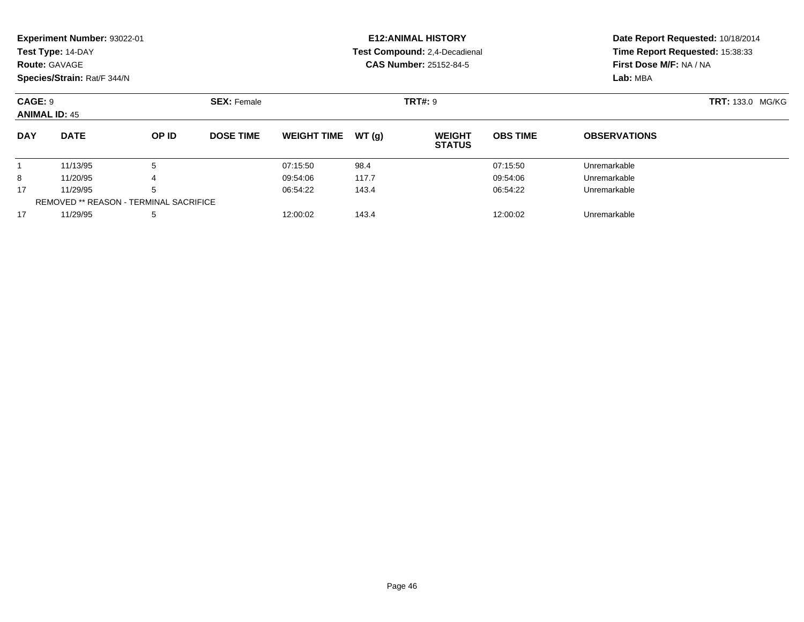|                                 | Experiment Number: 93022-01<br>Test Type: 14-DAY<br><b>Route: GAVAGE</b><br>Species/Strain: Rat/F 344/N |       |                    |                    |        | <b>E12:ANIMAL HISTORY</b><br>Test Compound: 2,4-Decadienal<br><b>CAS Number: 25152-84-5</b> | Date Report Requested: 10/18/2014<br>Time Report Requested: 15:38:33<br>First Dose M/F: NA / NA<br>Lab: MBA |                     |                         |
|---------------------------------|---------------------------------------------------------------------------------------------------------|-------|--------------------|--------------------|--------|---------------------------------------------------------------------------------------------|-------------------------------------------------------------------------------------------------------------|---------------------|-------------------------|
| CAGE: 9<br><b>ANIMAL ID: 45</b> |                                                                                                         |       | <b>SEX:</b> Female |                    |        | <b>TRT#: 9</b>                                                                              |                                                                                                             |                     | <b>TRT: 133.0 MG/KG</b> |
| <b>DAY</b>                      | <b>DATE</b>                                                                                             | OP ID | <b>DOSE TIME</b>   | <b>WEIGHT TIME</b> | WT (a) | <b>WEIGHT</b><br><b>STATUS</b>                                                              | <b>OBS TIME</b>                                                                                             | <b>OBSERVATIONS</b> |                         |
|                                 | 11/13/95                                                                                                | 5     |                    | 07:15:50           | 98.4   |                                                                                             | 07:15:50                                                                                                    | Unremarkable        |                         |
| 8                               | 11/20/95                                                                                                |       |                    | 09:54:06           | 117.7  |                                                                                             | 09:54:06                                                                                                    | Unremarkable        |                         |
| 17                              | 11/29/95                                                                                                |       |                    | 06:54:22           | 143.4  |                                                                                             | 06:54:22                                                                                                    | Unremarkable        |                         |

11/29/95 <sup>5</sup> 06:54:22 143.4 06:54:22 Unremarkable

11/29/95 <sup>5</sup> 12:00:02 143.4 12:00:02 Unremarkable

REMOVED \*\* REASON - TERMINAL SACRIFICE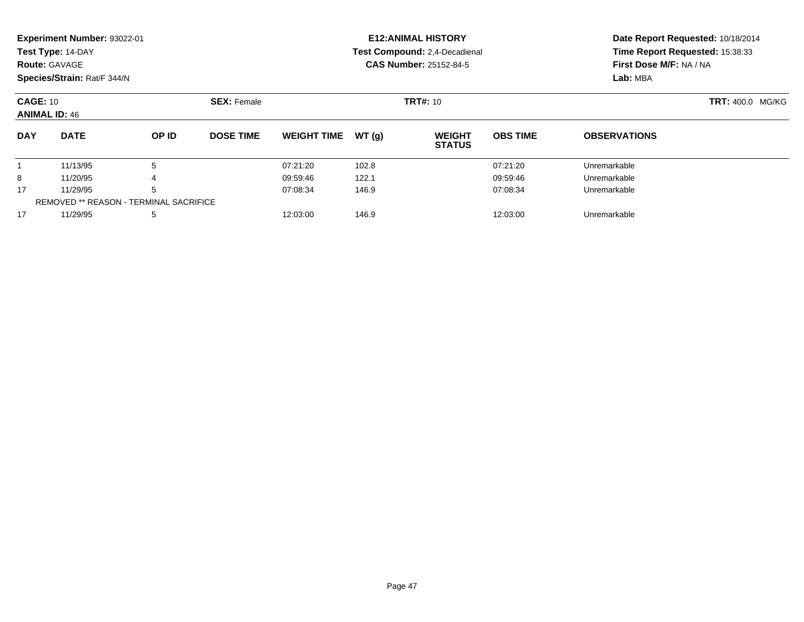|                      | <b>Experiment Number: 93022-01</b> |                                               |                    |                    |       | <b>E12:ANIMAL HISTORY</b>      |                 | Date Report Requested: 10/18/2014<br>Time Report Requested: 15:38:33<br>First Dose M/F: NA / NA |  |  |
|----------------------|------------------------------------|-----------------------------------------------|--------------------|--------------------|-------|--------------------------------|-----------------|-------------------------------------------------------------------------------------------------|--|--|
|                      | Test Type: 14-DAY                  |                                               |                    |                    |       | Test Compound: 2,4-Decadienal  |                 |                                                                                                 |  |  |
| <b>Route: GAVAGE</b> |                                    |                                               |                    |                    |       | <b>CAS Number: 25152-84-5</b>  |                 |                                                                                                 |  |  |
|                      | Species/Strain: Rat/F 344/N        |                                               |                    |                    |       |                                |                 | Lab: MBA                                                                                        |  |  |
| <b>CAGE: 10</b>      |                                    |                                               | <b>SEX: Female</b> |                    |       | <b>TRT#: 10</b>                |                 | <b>TRT: 400.0 MG/KG</b>                                                                         |  |  |
| <b>ANIMAL ID: 46</b> |                                    |                                               |                    |                    |       |                                |                 |                                                                                                 |  |  |
| <b>DAY</b>           | <b>DATE</b>                        | OP ID                                         | <b>DOSE TIME</b>   | <b>WEIGHT TIME</b> | WT(q) | <b>WEIGHT</b><br><b>STATUS</b> | <b>OBS TIME</b> | <b>OBSERVATIONS</b>                                                                             |  |  |
|                      | 11/13/95                           | 5                                             |                    | 07:21:20           | 102.8 |                                | 07:21:20        | Unremarkable                                                                                    |  |  |
| 8                    | 11/20/95                           |                                               |                    | 09:59:46           | 122.1 |                                | 09:59:46        | Unremarkable                                                                                    |  |  |
| 17                   | 11/29/95                           | 5                                             |                    | 07:08:34           | 146.9 |                                | 07:08:34        | Unremarkable                                                                                    |  |  |
|                      |                                    | <b>REMOVED ** REASON - TERMINAL SACRIFICE</b> |                    |                    |       |                                |                 |                                                                                                 |  |  |
| 17                   | 11/29/95                           | 5                                             |                    | 12:03:00           | 146.9 |                                | 12:03:00        | Unremarkable                                                                                    |  |  |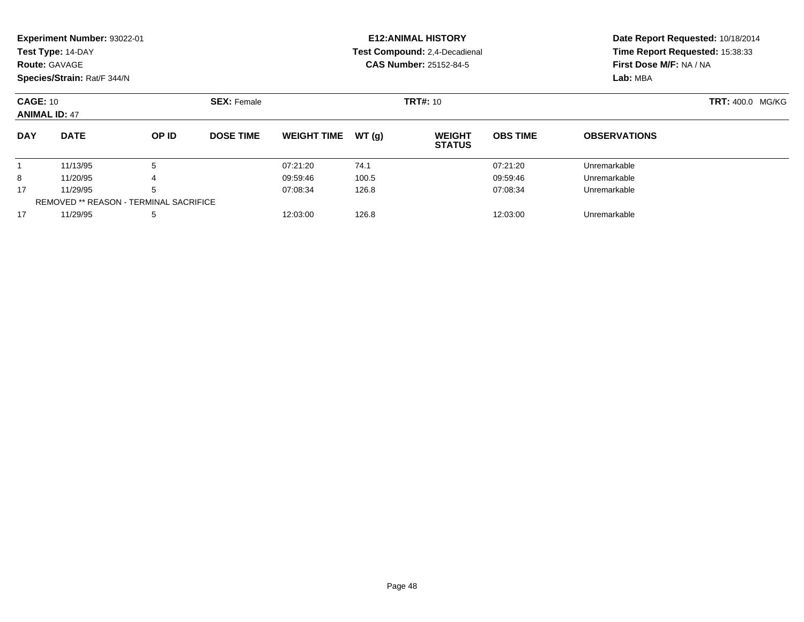| <b>Route: GAVAGE</b>                          | Experiment Number: 93022-01<br>Test Type: 14-DAY<br>Species/Strain: Rat/F 344/N |       |                  |                    |       | <b>E12: ANIMAL HISTORY</b><br>Test Compound: 2,4-Decadienal<br><b>CAS Number: 25152-84-5</b> | Date Report Requested: 10/18/2014<br>Time Report Requested: 15:38:33<br>First Dose M/F: NA / NA<br>Lab: MBA |                     |  |
|-----------------------------------------------|---------------------------------------------------------------------------------|-------|------------------|--------------------|-------|----------------------------------------------------------------------------------------------|-------------------------------------------------------------------------------------------------------------|---------------------|--|
|                                               | <b>SEX: Female</b><br><b>CAGE: 10</b><br><b>ANIMAL ID: 47</b>                   |       |                  |                    |       | <b>TRT#: 10</b>                                                                              |                                                                                                             | TRT: 400.0 MG/KG    |  |
| <b>DAY</b>                                    | <b>DATE</b>                                                                     | OP ID | <b>DOSE TIME</b> | <b>WEIGHT TIME</b> | WT(g) | <b>WEIGHT</b><br><b>STATUS</b>                                                               | <b>OBS TIME</b>                                                                                             | <b>OBSERVATIONS</b> |  |
|                                               | 11/13/95                                                                        | 5     |                  | 07:21:20           | 74.1  |                                                                                              | 07:21:20                                                                                                    | Unremarkable        |  |
| 8                                             | 11/20/95                                                                        | 4     |                  | 09:59:46           | 100.5 |                                                                                              | 09:59:46                                                                                                    | Unremarkable        |  |
| 17                                            | 11/29/95                                                                        | 5     |                  | 07:08:34           | 126.8 |                                                                                              | 07:08:34                                                                                                    | Unremarkable        |  |
| <b>REMOVED ** REASON - TERMINAL SACRIFICE</b> |                                                                                 |       |                  |                    |       |                                                                                              |                                                                                                             |                     |  |
| 11/29/95<br>17<br>5                           |                                                                                 |       | 12:03:00         | 126.8              |       | Unremarkable                                                                                 |                                                                                                             |                     |  |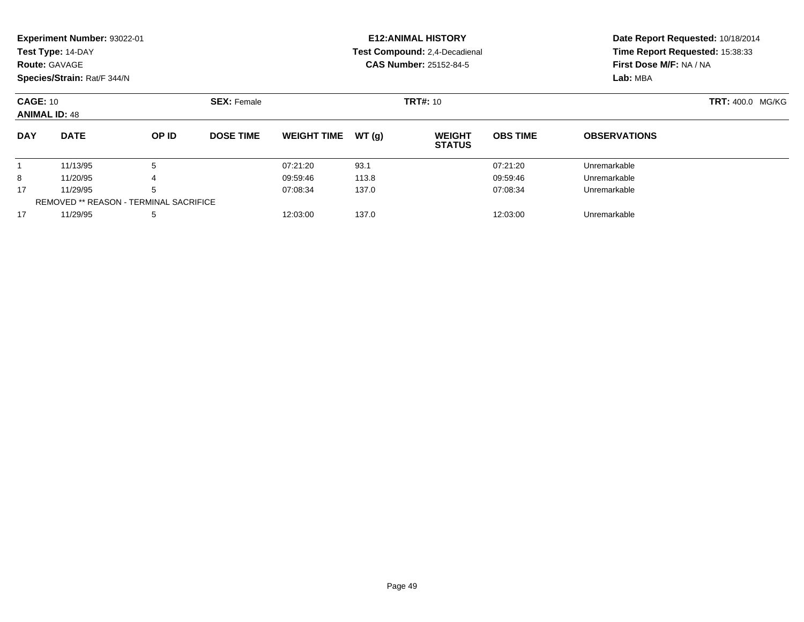|                                                                                  | <b>Experiment Number: 93022-01</b><br>Test Type: 14-DAY<br><b>Route: GAVAGE</b><br>Species/Strain: Rat/F 344/N |                                               |                  |                         |       | <b>E12: ANIMAL HISTORY</b><br>Test Compound: 2,4-Decadienal<br><b>CAS Number: 25152-84-5</b> | Date Report Requested: 10/18/2014<br>Time Report Requested: 15:38:33<br>First Dose M/F: NA / NA<br>Lab: MBA |                     |  |
|----------------------------------------------------------------------------------|----------------------------------------------------------------------------------------------------------------|-----------------------------------------------|------------------|-------------------------|-------|----------------------------------------------------------------------------------------------|-------------------------------------------------------------------------------------------------------------|---------------------|--|
| <b>CAGE: 10</b><br><b>TRT#: 10</b><br><b>SEX: Female</b><br><b>ANIMAL ID: 48</b> |                                                                                                                |                                               |                  | <b>TRT: 400.0 MG/KG</b> |       |                                                                                              |                                                                                                             |                     |  |
| <b>DAY</b>                                                                       | <b>DATE</b>                                                                                                    | OP ID                                         | <b>DOSE TIME</b> | <b>WEIGHT TIME</b>      | WT(q) | <b>WEIGHT</b><br><b>STATUS</b>                                                               | <b>OBS TIME</b>                                                                                             | <b>OBSERVATIONS</b> |  |
|                                                                                  | 11/13/95                                                                                                       | 5                                             |                  | 07:21:20                | 93.1  |                                                                                              | 07:21:20                                                                                                    | Unremarkable        |  |
| 8                                                                                | 11/20/95                                                                                                       |                                               |                  | 09:59:46                | 113.8 |                                                                                              | 09:59:46                                                                                                    | Unremarkable        |  |
| 17                                                                               | 11/29/95                                                                                                       | 5                                             |                  | 07:08:34                | 137.0 |                                                                                              | 07:08:34                                                                                                    | Unremarkable        |  |
|                                                                                  |                                                                                                                | <b>REMOVED ** REASON - TERMINAL SACRIFICE</b> |                  |                         |       |                                                                                              |                                                                                                             |                     |  |
| 17                                                                               | 11/29/95                                                                                                       | 5                                             |                  | 12:03:00                | 137.0 |                                                                                              | 12:03:00                                                                                                    | Unremarkable        |  |
|                                                                                  |                                                                                                                |                                               |                  |                         |       |                                                                                              |                                                                                                             |                     |  |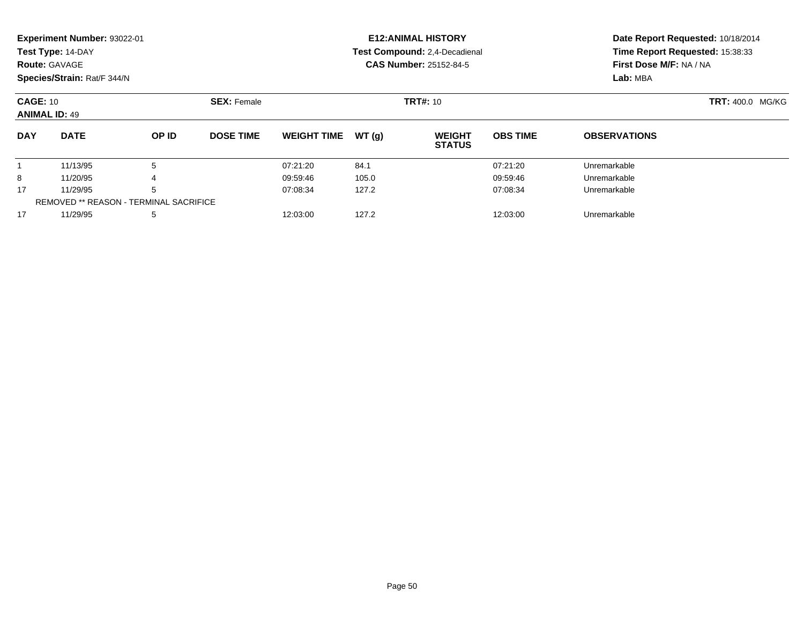|                                               | Experiment Number: 93022-01<br>Test Type: 14-DAY<br><b>Route: GAVAGE</b><br>Species/Strain: Rat/F 344/N |       |                    |                    |       | <b>E12: ANIMAL HISTORY</b><br>Test Compound: 2,4-Decadienal<br><b>CAS Number: 25152-84-5</b> |                 | Date Report Requested: 10/18/2014<br>Time Report Requested: 15:38:33<br>First Dose M/F: NA / NA<br>Lab: MBA |  |
|-----------------------------------------------|---------------------------------------------------------------------------------------------------------|-------|--------------------|--------------------|-------|----------------------------------------------------------------------------------------------|-----------------|-------------------------------------------------------------------------------------------------------------|--|
| <b>CAGE: 10</b><br><b>ANIMAL ID: 49</b>       |                                                                                                         |       | <b>SEX: Female</b> |                    |       | <b>TRT#: 10</b>                                                                              |                 | TRT: 400.0 MG/KG                                                                                            |  |
| <b>DAY</b>                                    | <b>DATE</b>                                                                                             | OP ID | <b>DOSE TIME</b>   | <b>WEIGHT TIME</b> | WT(g) | <b>WEIGHT</b><br><b>STATUS</b>                                                               | <b>OBS TIME</b> | <b>OBSERVATIONS</b>                                                                                         |  |
|                                               | 11/13/95                                                                                                | 5     |                    | 07:21:20           | 84.1  |                                                                                              | 07:21:20        | Unremarkable                                                                                                |  |
| 8                                             | 11/20/95                                                                                                | 4     |                    | 09:59:46           | 105.0 |                                                                                              | 09:59:46        | Unremarkable                                                                                                |  |
| 17                                            | 11/29/95                                                                                                | 5     |                    | 07:08:34           | 127.2 |                                                                                              | 07:08:34        | Unremarkable                                                                                                |  |
| <b>REMOVED ** REASON - TERMINAL SACRIFICE</b> |                                                                                                         |       |                    |                    |       |                                                                                              |                 |                                                                                                             |  |
| 17                                            | 11/29/95                                                                                                | 5     |                    | 12:03:00           | 127.2 |                                                                                              | 12:03:00        | Unremarkable                                                                                                |  |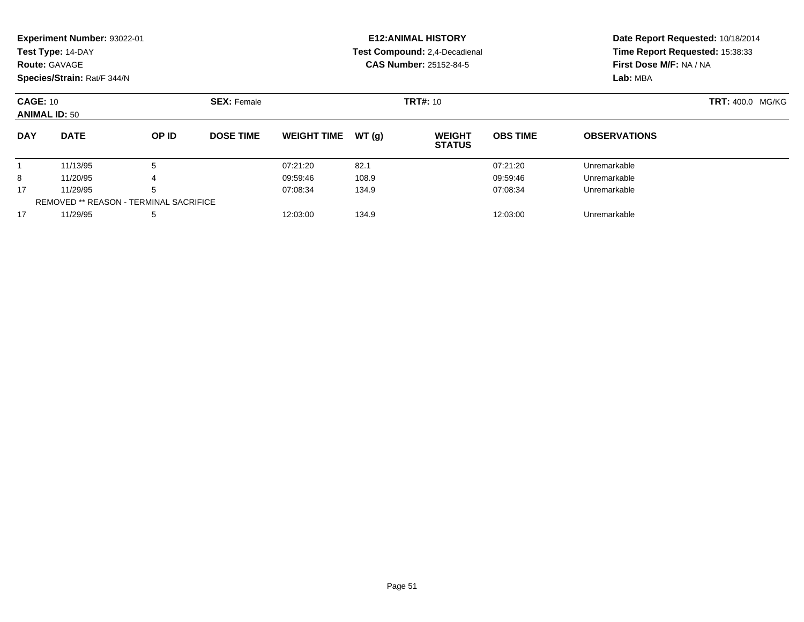|                                               | Experiment Number: 93022-01<br>Test Type: 14-DAY<br><b>Route: GAVAGE</b><br>Species/Strain: Rat/F 344/N |       |                    |                    |       | <b>E12: ANIMAL HISTORY</b><br>Test Compound: 2,4-Decadienal<br><b>CAS Number: 25152-84-5</b> | Date Report Requested: 10/18/2014<br>Time Report Requested: 15:38:33<br>First Dose M/F: NA / NA<br>Lab: MBA |                     |                  |
|-----------------------------------------------|---------------------------------------------------------------------------------------------------------|-------|--------------------|--------------------|-------|----------------------------------------------------------------------------------------------|-------------------------------------------------------------------------------------------------------------|---------------------|------------------|
| <b>CAGE: 10</b><br><b>ANIMAL ID: 50</b>       |                                                                                                         |       | <b>SEX: Female</b> |                    |       | <b>TRT#: 10</b>                                                                              |                                                                                                             |                     | TRT: 400.0 MG/KG |
| <b>DAY</b>                                    | <b>DATE</b>                                                                                             | OP ID | <b>DOSE TIME</b>   | <b>WEIGHT TIME</b> | WT(g) | <b>WEIGHT</b><br><b>STATUS</b>                                                               | <b>OBS TIME</b>                                                                                             | <b>OBSERVATIONS</b> |                  |
|                                               | 11/13/95                                                                                                | 5     |                    | 07:21:20           | 82.1  |                                                                                              | 07:21:20                                                                                                    | Unremarkable        |                  |
| 8                                             | 11/20/95                                                                                                | 4     |                    | 09:59:46           | 108.9 |                                                                                              | 09:59:46                                                                                                    | Unremarkable        |                  |
| 17                                            | 11/29/95                                                                                                | 5     |                    | 07:08:34           | 134.9 |                                                                                              | 07:08:34                                                                                                    | Unremarkable        |                  |
| <b>REMOVED ** REASON - TERMINAL SACRIFICE</b> |                                                                                                         |       |                    |                    |       |                                                                                              |                                                                                                             |                     |                  |
| 17                                            | 11/29/95                                                                                                | 5     |                    | 12:03:00           | 134.9 |                                                                                              | 12:03:00                                                                                                    | Unremarkable        |                  |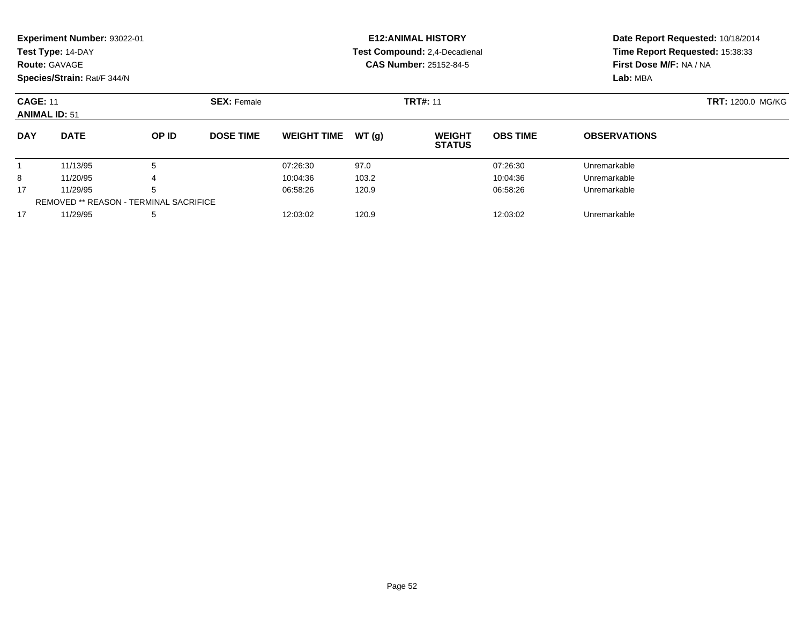| <b>Route: GAVAGE</b>                    | <b>Experiment Number: 93022-01</b><br>Test Type: 14-DAY<br>Species/Strain: Rat/F 344/N |                                                    |                    |                    |       | <b>E12: ANIMAL HISTORY</b><br>Test Compound: 2,4-Decadienal<br><b>CAS Number: 25152-84-5</b> | First Dose M/F: NA / NA<br>Lab: MBA | Date Report Requested: 10/18/2014<br>Time Report Requested: 15:38:33 |                          |
|-----------------------------------------|----------------------------------------------------------------------------------------|----------------------------------------------------|--------------------|--------------------|-------|----------------------------------------------------------------------------------------------|-------------------------------------|----------------------------------------------------------------------|--------------------------|
| <b>CAGE: 11</b><br><b>ANIMAL ID: 51</b> |                                                                                        |                                                    | <b>SEX: Female</b> | <b>TRT#: 11</b>    |       |                                                                                              |                                     |                                                                      | <b>TRT: 1200.0 MG/KG</b> |
| <b>DAY</b>                              | <b>DATE</b>                                                                            | OP ID                                              | <b>DOSE TIME</b>   | <b>WEIGHT TIME</b> | WT(g) | <b>WEIGHT</b><br><b>STATUS</b>                                                               | <b>OBS TIME</b>                     | <b>OBSERVATIONS</b>                                                  |                          |
|                                         | 11/13/95                                                                               | 5                                                  |                    | 07:26:30           | 97.0  |                                                                                              | 07:26:30                            | Unremarkable                                                         |                          |
| 8                                       | 11/20/95                                                                               |                                                    |                    | 10:04:36           | 103.2 |                                                                                              | 10:04:36                            | Unremarkable                                                         |                          |
| 17                                      | 11/29/95                                                                               | 5<br><b>REMOVED ** REASON - TERMINAL SACRIFICE</b> |                    | 06:58:26           | 120.9 |                                                                                              | 06:58:26                            | Unremarkable                                                         |                          |
| 17                                      | 11/29/95                                                                               | 5                                                  |                    | 12:03:02           | 120.9 |                                                                                              | 12:03:02                            | Unremarkable                                                         |                          |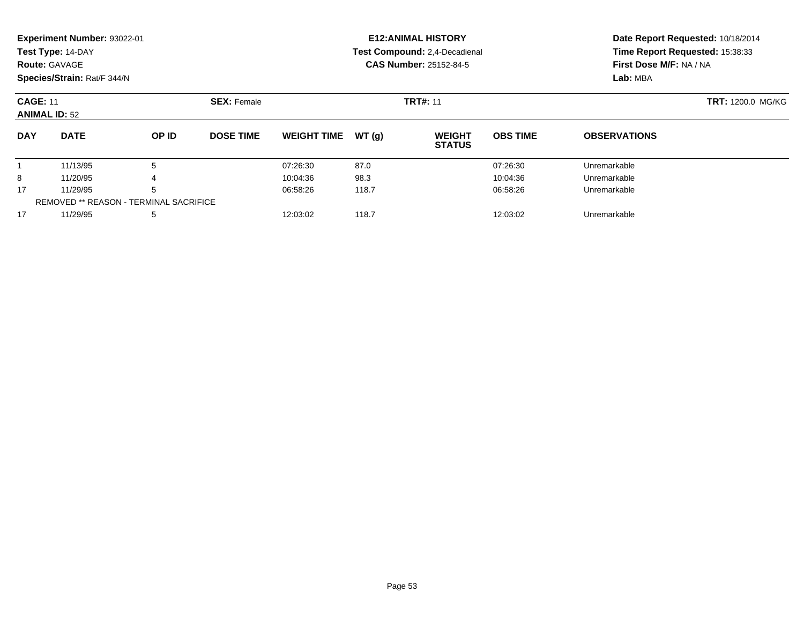|                                         | <b>Experiment Number: 93022-01</b><br>Test Type: 14-DAY<br><b>Route: GAVAGE</b><br>Species/Strain: Rat/F 344/N |                                               |                    |                    |       | <b>E12: ANIMAL HISTORY</b><br>Test Compound: 2,4-Decadienal<br><b>CAS Number: 25152-84-5</b> | Time Report Requested: 15:38:33<br>First Dose M/F: NA / NA<br>Lab: MBA | Date Report Requested: 10/18/2014 |                          |
|-----------------------------------------|----------------------------------------------------------------------------------------------------------------|-----------------------------------------------|--------------------|--------------------|-------|----------------------------------------------------------------------------------------------|------------------------------------------------------------------------|-----------------------------------|--------------------------|
| <b>CAGE: 11</b><br><b>ANIMAL ID: 52</b> |                                                                                                                |                                               | <b>SEX: Female</b> | <b>TRT#: 11</b>    |       |                                                                                              |                                                                        |                                   | <b>TRT: 1200.0 MG/KG</b> |
| <b>DAY</b>                              | <b>DATE</b>                                                                                                    | OP ID                                         | <b>DOSE TIME</b>   | <b>WEIGHT TIME</b> | WT(g) | <b>WEIGHT</b><br><b>STATUS</b>                                                               | <b>OBS TIME</b>                                                        | <b>OBSERVATIONS</b>               |                          |
|                                         | 11/13/95                                                                                                       | 5                                             |                    | 07:26:30           | 87.0  |                                                                                              | 07:26:30                                                               | Unremarkable                      |                          |
| 8                                       | 11/20/95                                                                                                       | 4                                             |                    | 10:04:36           | 98.3  |                                                                                              | 10:04:36                                                               | Unremarkable                      |                          |
| 17                                      | 11/29/95                                                                                                       | 5                                             |                    | 06:58:26           | 118.7 |                                                                                              | 06:58:26                                                               | Unremarkable                      |                          |
|                                         |                                                                                                                | <b>REMOVED ** REASON - TERMINAL SACRIFICE</b> |                    |                    |       |                                                                                              |                                                                        |                                   |                          |
| 17                                      | 11/29/95                                                                                                       | 5                                             |                    | 12:03:02           | 118.7 |                                                                                              | 12:03:02                                                               | Unremarkable                      |                          |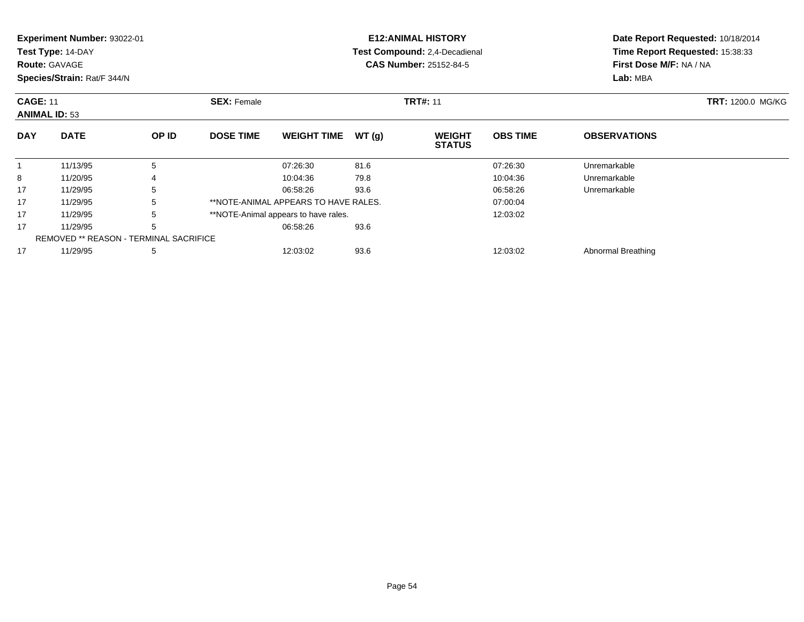| <b>Experiment Number: 93022-01</b> |                    | <b>E12:ANIMAL HISTORY</b>     |  |
|------------------------------------|--------------------|-------------------------------|--|
| Test Type: 14-DAY                  |                    | Test Compound: 2,4-Decadienal |  |
| <b>Route: GAVAGE</b>               |                    | <b>CAS Number: 25152-84-5</b> |  |
| Species/Strain: Rat/F 344/N        |                    |                               |  |
| <b>CAGE: 11</b>                    | <b>SEX:</b> Female | <b>TRT#: 11</b>               |  |

**Date Report Requested:** 10/18/2014 **Time Report Requested:** 15:38:33**First Dose M/F:** NA / NA**Lab:** MBA

| <b>CAGE: 11</b><br><b>ANIMAL ID: 53</b> |                                               | <b>SEX: Female</b> |                  | <b>TRT#: 11</b>                      | <b>TRT: 1200.0 MG/KG</b> |                                |                 |                     |  |
|-----------------------------------------|-----------------------------------------------|--------------------|------------------|--------------------------------------|--------------------------|--------------------------------|-----------------|---------------------|--|
| <b>DAY</b>                              | <b>DATE</b>                                   | OP ID              | <b>DOSE TIME</b> | <b>WEIGHT TIME</b>                   | WT(q)                    | <b>WEIGHT</b><br><b>STATUS</b> | <b>OBS TIME</b> | <b>OBSERVATIONS</b> |  |
|                                         | 11/13/95                                      | 5                  |                  | 07:26:30                             | 81.6                     |                                | 07:26:30        | Unremarkable        |  |
| 8                                       | 11/20/95                                      | 4                  |                  | 10:04:36                             | 79.8                     |                                | 10:04:36        | Unremarkable        |  |
| 17                                      | 11/29/95                                      | 5                  |                  | 06:58:26                             | 93.6                     |                                | 06:58:26        | Unremarkable        |  |
| 17                                      | 11/29/95                                      | 5                  |                  | **NOTE-ANIMAL APPEARS TO HAVE RALES. |                          |                                | 07:00:04        |                     |  |
| 17                                      | 11/29/95                                      | 5                  |                  | **NOTE-Animal appears to have rales. |                          |                                | 12:03:02        |                     |  |
| 17                                      | 11/29/95                                      | 5                  |                  | 06:58:26                             | 93.6                     |                                |                 |                     |  |
|                                         | <b>REMOVED ** REASON - TERMINAL SACRIFICE</b> |                    |                  |                                      |                          |                                |                 |                     |  |
| 17                                      | 11/29/95                                      | 5                  |                  | 12:03:02                             | 93.6                     |                                | 12:03:02        | Abnormal Breathing  |  |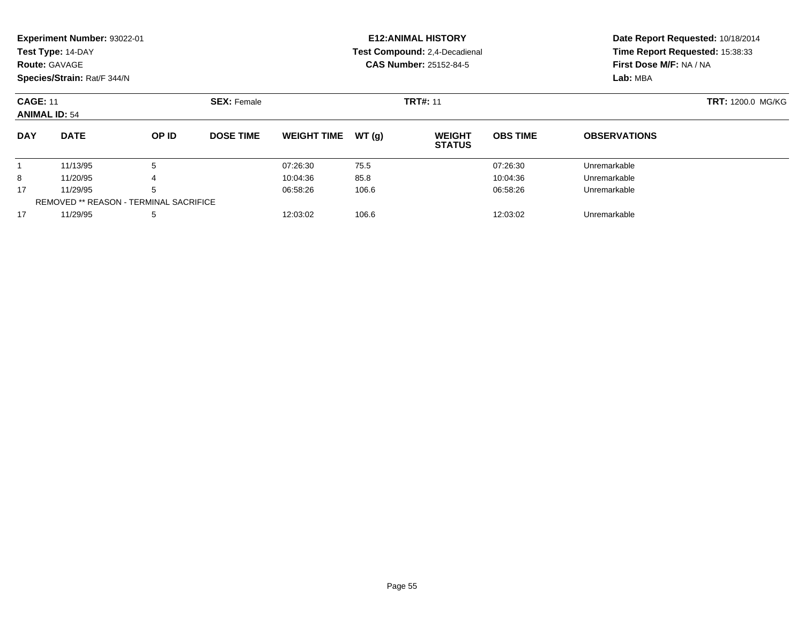| <b>Route: GAVAGE</b>                    | <b>Experiment Number: 93022-01</b><br>Test Type: 14-DAY<br>Species/Strain: Rat/F 344/N |                                                    |                    |                    |       | <b>E12: ANIMAL HISTORY</b><br>Test Compound: 2,4-Decadienal<br><b>CAS Number: 25152-84-5</b> | Time Report Requested: 15:38:33<br>First Dose M/F: NA / NA<br>Lab: MBA | Date Report Requested: 10/18/2014 |                          |
|-----------------------------------------|----------------------------------------------------------------------------------------|----------------------------------------------------|--------------------|--------------------|-------|----------------------------------------------------------------------------------------------|------------------------------------------------------------------------|-----------------------------------|--------------------------|
| <b>CAGE: 11</b><br><b>ANIMAL ID: 54</b> |                                                                                        |                                                    | <b>SEX: Female</b> | <b>TRT#: 11</b>    |       |                                                                                              |                                                                        |                                   | <b>TRT: 1200.0 MG/KG</b> |
| <b>DAY</b>                              | <b>DATE</b>                                                                            | OP ID                                              | <b>DOSE TIME</b>   | <b>WEIGHT TIME</b> | WT(g) | <b>WEIGHT</b><br><b>STATUS</b>                                                               | <b>OBS TIME</b>                                                        | <b>OBSERVATIONS</b>               |                          |
|                                         | 11/13/95                                                                               | 5                                                  |                    | 07:26:30           | 75.5  |                                                                                              | 07:26:30                                                               | Unremarkable                      |                          |
| 8                                       | 11/20/95                                                                               |                                                    |                    | 10:04:36           | 85.8  |                                                                                              | 10:04:36                                                               | Unremarkable                      |                          |
| 17                                      | 11/29/95                                                                               | 5<br><b>REMOVED ** REASON - TERMINAL SACRIFICE</b> |                    | 06:58:26           | 106.6 |                                                                                              | 06:58:26                                                               | Unremarkable                      |                          |
| 17                                      | 11/29/95                                                                               | 5                                                  |                    | 12:03:02           | 106.6 |                                                                                              | 12:03:02                                                               | Unremarkable                      |                          |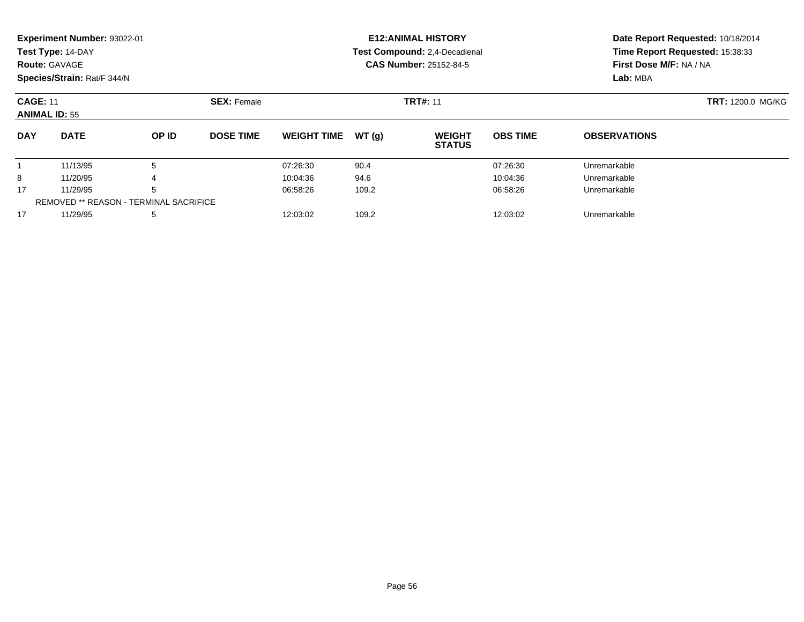| <b>Route: GAVAGE</b>                    | <b>Experiment Number: 93022-01</b><br>Test Type: 14-DAY<br>Species/Strain: Rat/F 344/N |                                                    |                    |                    |       | <b>E12: ANIMAL HISTORY</b><br>Test Compound: 2,4-Decadienal<br><b>CAS Number: 25152-84-5</b> | First Dose M/F: NA / NA<br>Lab: MBA | Date Report Requested: 10/18/2014<br>Time Report Requested: 15:38:33 |                          |
|-----------------------------------------|----------------------------------------------------------------------------------------|----------------------------------------------------|--------------------|--------------------|-------|----------------------------------------------------------------------------------------------|-------------------------------------|----------------------------------------------------------------------|--------------------------|
| <b>CAGE: 11</b><br><b>ANIMAL ID: 55</b> |                                                                                        |                                                    | <b>SEX: Female</b> | <b>TRT#: 11</b>    |       |                                                                                              |                                     |                                                                      | <b>TRT: 1200.0 MG/KG</b> |
| <b>DAY</b>                              | <b>DATE</b>                                                                            | OP ID                                              | <b>DOSE TIME</b>   | <b>WEIGHT TIME</b> | WT(g) | <b>WEIGHT</b><br><b>STATUS</b>                                                               | <b>OBS TIME</b>                     | <b>OBSERVATIONS</b>                                                  |                          |
|                                         | 11/13/95                                                                               | 5                                                  |                    | 07:26:30           | 90.4  |                                                                                              | 07:26:30                            | Unremarkable                                                         |                          |
| 8                                       | 11/20/95                                                                               |                                                    |                    | 10:04:36           | 94.6  |                                                                                              | 10:04:36                            | Unremarkable                                                         |                          |
| 17                                      | 11/29/95                                                                               | 5<br><b>REMOVED ** REASON - TERMINAL SACRIFICE</b> |                    | 06:58:26           | 109.2 |                                                                                              | 06:58:26                            | Unremarkable                                                         |                          |
| 17                                      | 11/29/95                                                                               | 5                                                  |                    | 12:03:02           | 109.2 |                                                                                              | 12:03:02                            | Unremarkable                                                         |                          |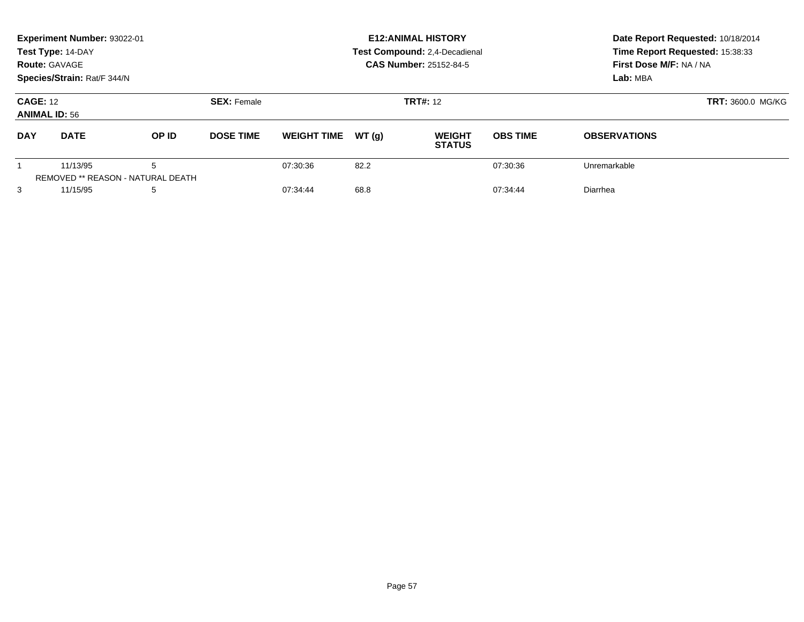| Experiment Number: 93022-01<br>Test Type: 14-DAY<br><b>Route: GAVAGE</b><br>Species/Strain: Rat/F 344/N |             |                                        |                    | <b>E12: ANIMAL HISTORY</b><br>Test Compound: 2,4-Decadienal<br><b>CAS Number: 25152-84-5</b> |                          |                                |                 | Date Report Requested: 10/18/2014<br>Time Report Requested: 15:38:33<br>First Dose M/F: NA / NA<br>Lab: MBA |  |
|---------------------------------------------------------------------------------------------------------|-------------|----------------------------------------|--------------------|----------------------------------------------------------------------------------------------|--------------------------|--------------------------------|-----------------|-------------------------------------------------------------------------------------------------------------|--|
| <b>CAGE: 12</b><br><b>ANIMAL ID: 56</b>                                                                 |             |                                        | <b>SEX: Female</b> |                                                                                              | <b>TRT: 3600.0 MG/KG</b> |                                |                 |                                                                                                             |  |
| <b>DAY</b>                                                                                              | <b>DATE</b> | OP ID                                  | <b>DOSE TIME</b>   | <b>WEIGHT TIME</b>                                                                           | WT(q)                    | <b>WEIGHT</b><br><b>STATUS</b> | <b>OBS TIME</b> | <b>OBSERVATIONS</b>                                                                                         |  |
|                                                                                                         | 11/13/95    | 5<br>REMOVED ** REASON - NATURAL DEATH |                    | 07:30:36                                                                                     | 82.2                     |                                | 07:30:36        | Unremarkable                                                                                                |  |
| 3                                                                                                       | 11/15/95    | 5                                      |                    | 07:34:44                                                                                     | 68.8                     |                                | 07:34:44        | Diarrhea                                                                                                    |  |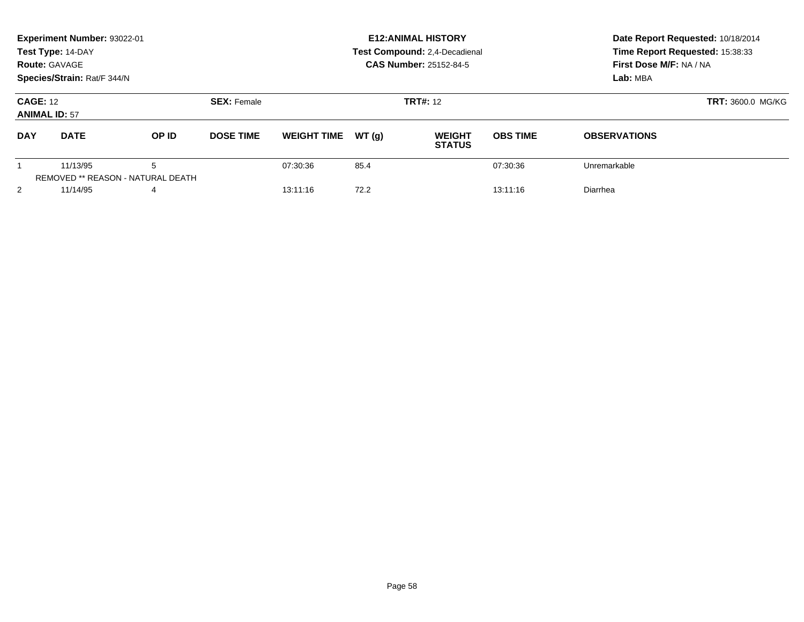|                                         | Experiment Number: 93022-01<br>Test Type: 14-DAY<br><b>Route: GAVAGE</b><br>Species/Strain: Rat/F 344/N |                                               |                    |                    |       | <b>E12: ANIMAL HISTORY</b><br>Test Compound: 2,4-Decadienal<br><b>CAS Number: 25152-84-5</b> | Date Report Requested: 10/18/2014<br>Time Report Requested: 15:38:33<br>First Dose M/F: NA / NA<br>Lab: MBA |                     |  |
|-----------------------------------------|---------------------------------------------------------------------------------------------------------|-----------------------------------------------|--------------------|--------------------|-------|----------------------------------------------------------------------------------------------|-------------------------------------------------------------------------------------------------------------|---------------------|--|
| <b>CAGE: 12</b><br><b>ANIMAL ID: 57</b> |                                                                                                         |                                               | <b>SEX: Female</b> |                    |       | <b>TRT#: 12</b>                                                                              | <b>TRT: 3600.0 MG/KG</b>                                                                                    |                     |  |
| <b>DAY</b>                              | <b>DATE</b>                                                                                             | OP ID                                         | <b>DOSE TIME</b>   | <b>WEIGHT TIME</b> | WT(q) | <b>WEIGHT</b><br><b>STATUS</b>                                                               | <b>OBS TIME</b>                                                                                             | <b>OBSERVATIONS</b> |  |
|                                         | 11/13/95                                                                                                | 5<br><b>REMOVED ** REASON - NATURAL DEATH</b> |                    | 07:30:36           | 85.4  |                                                                                              | 07:30:36                                                                                                    | Unremarkable        |  |
| 2                                       | 11/14/95                                                                                                | 4                                             |                    | 13:11:16           | 72.2  |                                                                                              | 13:11:16                                                                                                    | Diarrhea            |  |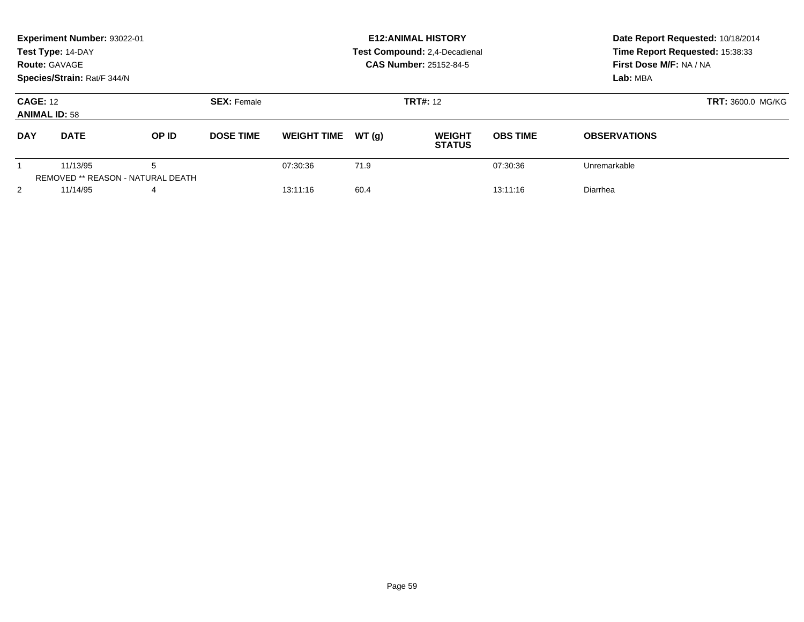| Experiment Number: 93022-01<br>Test Type: 14-DAY<br><b>Route: GAVAGE</b><br>Species/Strain: Rat/F 344/N |             |                                        |                    |                    |       | <b>E12: ANIMAL HISTORY</b><br><b>Test Compound: 2,4-Decadienal</b><br><b>CAS Number: 25152-84-5</b> | Date Report Requested: 10/18/2014<br>Time Report Requested: 15:38:33<br>First Dose M/F: NA / NA<br>Lab: MBA |                     |  |
|---------------------------------------------------------------------------------------------------------|-------------|----------------------------------------|--------------------|--------------------|-------|-----------------------------------------------------------------------------------------------------|-------------------------------------------------------------------------------------------------------------|---------------------|--|
| <b>CAGE: 12</b><br><b>ANIMAL ID: 58</b>                                                                 |             |                                        | <b>SEX: Female</b> |                    |       | <b>TRT#: 12</b>                                                                                     | <b>TRT: 3600.0 MG/KG</b>                                                                                    |                     |  |
| <b>DAY</b>                                                                                              | <b>DATE</b> | OP ID                                  | <b>DOSE TIME</b>   | <b>WEIGHT TIME</b> | WT(q) | <b>WEIGHT</b><br><b>STATUS</b>                                                                      | <b>OBS TIME</b>                                                                                             | <b>OBSERVATIONS</b> |  |
|                                                                                                         | 11/13/95    | 5<br>REMOVED ** REASON - NATURAL DEATH |                    | 07:30:36           | 71.9  |                                                                                                     | 07:30:36                                                                                                    | Unremarkable        |  |
| 2                                                                                                       | 11/14/95    | 4                                      |                    | 13:11:16           | 60.4  |                                                                                                     | 13:11:16                                                                                                    | Diarrhea            |  |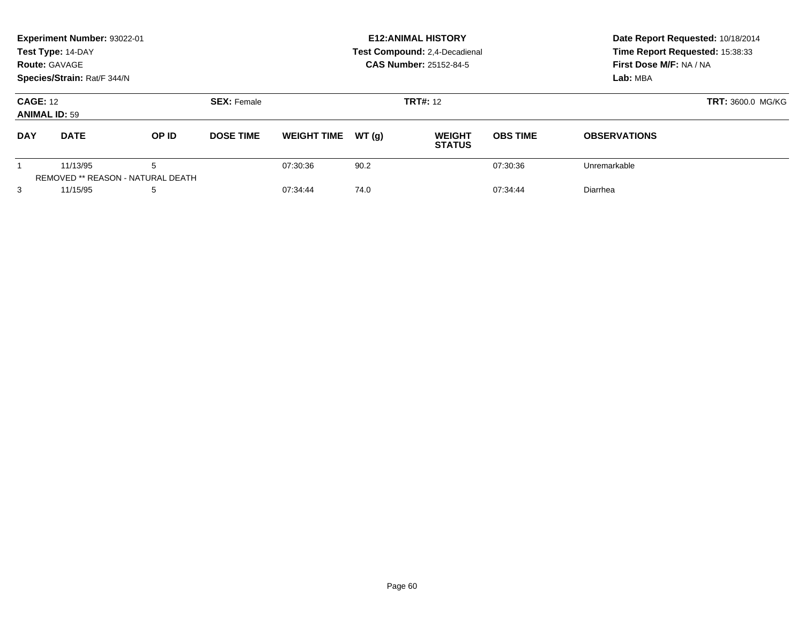| Experiment Number: 93022-01<br>Test Type: 14-DAY<br><b>Route: GAVAGE</b><br>Species/Strain: Rat/F 344/N |                                               |       |                    |                    |       | <b>E12: ANIMAL HISTORY</b><br>Test Compound: 2,4-Decadienal<br><b>CAS Number: 25152-84-5</b> | Date Report Requested: 10/18/2014<br>Time Report Requested: 15:38:33<br>First Dose M/F: NA / NA<br>Lab: MBA |                     |
|---------------------------------------------------------------------------------------------------------|-----------------------------------------------|-------|--------------------|--------------------|-------|----------------------------------------------------------------------------------------------|-------------------------------------------------------------------------------------------------------------|---------------------|
| <b>CAGE: 12</b><br><b>ANIMAL ID: 59</b>                                                                 |                                               |       | <b>SEX: Female</b> |                    |       | <b>TRT#: 12</b>                                                                              | <b>TRT: 3600.0 MG/KG</b>                                                                                    |                     |
| <b>DAY</b>                                                                                              | <b>DATE</b>                                   | OP ID | <b>DOSE TIME</b>   | <b>WEIGHT TIME</b> | WT(q) | <b>WEIGHT</b><br><b>STATUS</b>                                                               | <b>OBS TIME</b>                                                                                             | <b>OBSERVATIONS</b> |
|                                                                                                         | 11/13/95<br>REMOVED ** REASON - NATURAL DEATH | 5     |                    | 07:30:36           | 90.2  |                                                                                              | 07:30:36                                                                                                    | Unremarkable        |
| 3                                                                                                       | 11/15/95                                      | 5     |                    | 07:34:44           | 74.0  |                                                                                              | 07:34:44                                                                                                    | Diarrhea            |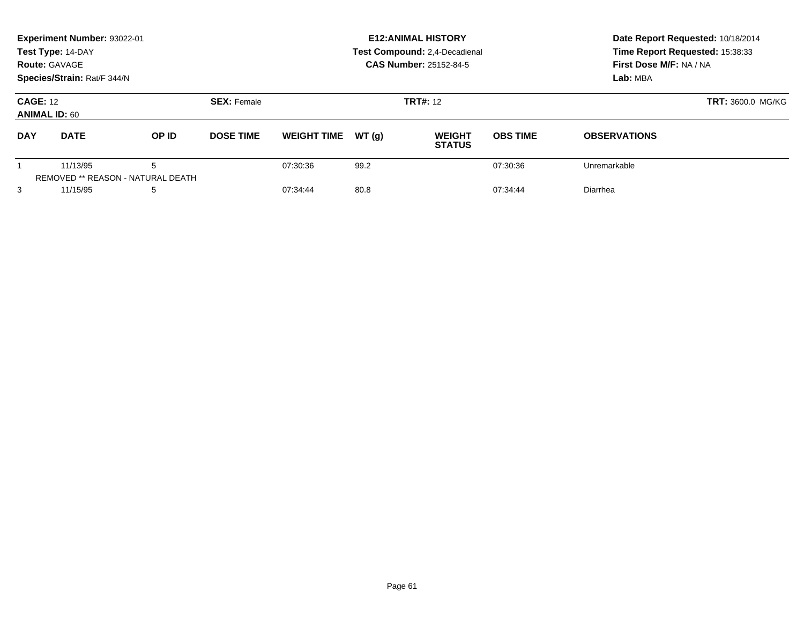| Experiment Number: 93022-01<br>Test Type: 14-DAY<br><b>Route: GAVAGE</b><br>Species/Strain: Rat/F 344/N |                                               |       |                    |                    |       | <b>E12: ANIMAL HISTORY</b><br>Test Compound: 2,4-Decadienal<br><b>CAS Number: 25152-84-5</b> | Date Report Requested: 10/18/2014<br>Time Report Requested: 15:38:33<br>First Dose M/F: NA / NA<br>Lab: MBA |                     |
|---------------------------------------------------------------------------------------------------------|-----------------------------------------------|-------|--------------------|--------------------|-------|----------------------------------------------------------------------------------------------|-------------------------------------------------------------------------------------------------------------|---------------------|
| <b>CAGE: 12</b><br><b>ANIMAL ID: 60</b>                                                                 |                                               |       | <b>SEX: Female</b> |                    |       | <b>TRT#: 12</b>                                                                              | <b>TRT: 3600.0 MG/KG</b>                                                                                    |                     |
| <b>DAY</b>                                                                                              | <b>DATE</b>                                   | OP ID | <b>DOSE TIME</b>   | <b>WEIGHT TIME</b> | WT(q) | <b>WEIGHT</b><br><b>STATUS</b>                                                               | <b>OBS TIME</b>                                                                                             | <b>OBSERVATIONS</b> |
|                                                                                                         | 11/13/95<br>REMOVED ** REASON - NATURAL DEATH | 5     |                    | 07:30:36           | 99.2  |                                                                                              | 07:30:36                                                                                                    | Unremarkable        |
| 3                                                                                                       | 11/15/95                                      | 5     |                    | 07:34:44           | 80.8  |                                                                                              | 07:34:44                                                                                                    | Diarrhea            |